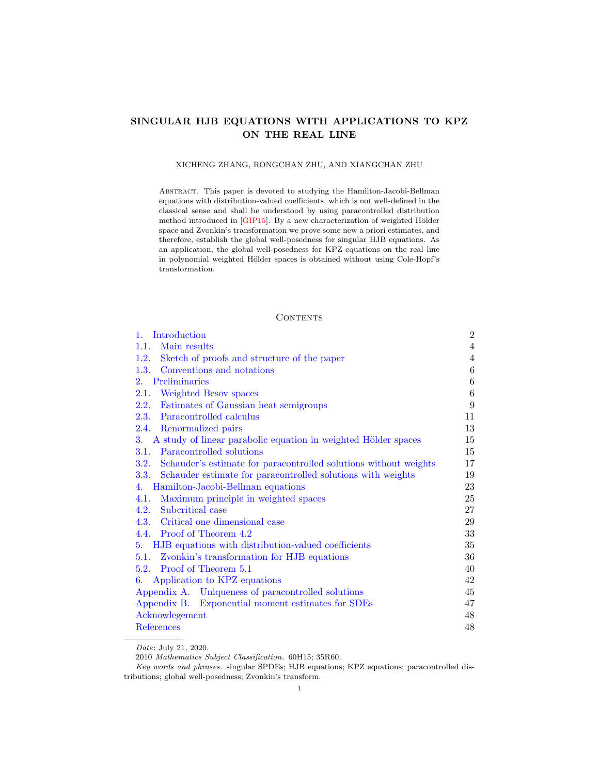# SINGULAR HJB EQUATIONS WITH APPLICATIONS TO KPZ ON THE REAL LINE

### XICHENG ZHANG, RONGCHAN ZHU, AND XIANGCHAN ZHU

Abstract. This paper is devoted to studying the Hamilton-Jacobi-Bellman equations with distribution-valued coefficients, which is not well-defined in the classical sense and shall be understood by using paracontrolled distribution method introduced in [\[GIP15\]](#page-48-0). By a new characterization of weighted Hölder space and Zvonkin's transformation we prove some new a priori estimates, and therefore, establish the global well-posedness for singular HJB equations. As an application, the global well-posedness for KPZ equations on the real line in polynomial weighted Hölder spaces is obtained without using Cole-Hopf's transformation.

### **CONTENTS**

| Introduction<br>1.                                                    | $\overline{2}$   |
|-----------------------------------------------------------------------|------------------|
| Main results<br>1.1.                                                  | $\overline{4}$   |
| 1.2.<br>Sketch of proofs and structure of the paper                   | 4                |
| 1.3. Conventions and notations                                        | $\,6$            |
| Preliminaries<br>$2^{\circ}$                                          | $\boldsymbol{6}$ |
| 2.1. Weighted Besov spaces                                            | $\,6\,$          |
| 2.2. Estimates of Gaussian heat semigroups                            | 9                |
| 2.3. Paracontrolled calculus                                          | 11               |
| 2.4. Renormalized pairs                                               | 13               |
| 3. A study of linear parabolic equation in weighted Hölder spaces     | 15               |
| Paracontrolled solutions<br>3.1.                                      | 15               |
| 3.2. Schauder's estimate for paracontrolled solutions without weights | 17               |
| 3.3. Schauder estimate for paracontrolled solutions with weights      | 19               |
| Hamilton-Jacobi-Bellman equations<br>4.                               | 23               |
| Maximum principle in weighted spaces<br>4.1.                          | 25               |
| 4.2. Subcritical case                                                 | 27               |
| 4.3. Critical one dimensional case                                    | 29               |
| 4.4. Proof of Theorem 4.2                                             | 33               |
| HJB equations with distribution-valued coefficients<br>5.             | 35               |
| 5.1. Zvonkin's transformation for HJB equations                       | 36               |
| 5.2. Proof of Theorem 5.1                                             | 40               |
| 6. Application to KPZ equations                                       | 42               |
| Appendix A. Uniqueness of paracontrolled solutions                    | 45               |
| Appendix B. Exponential moment estimates for SDEs                     | 47               |
| Acknowlegement                                                        | 48               |
| References                                                            | 48               |

Date: July 21, 2020.

2010 Mathematics Subject Classification. 60H15; 35R60.

Key words and phrases. singular SPDEs; HJB equations; KPZ equations; paracontrolled distributions; global well-posedness; Zvonkin's transform.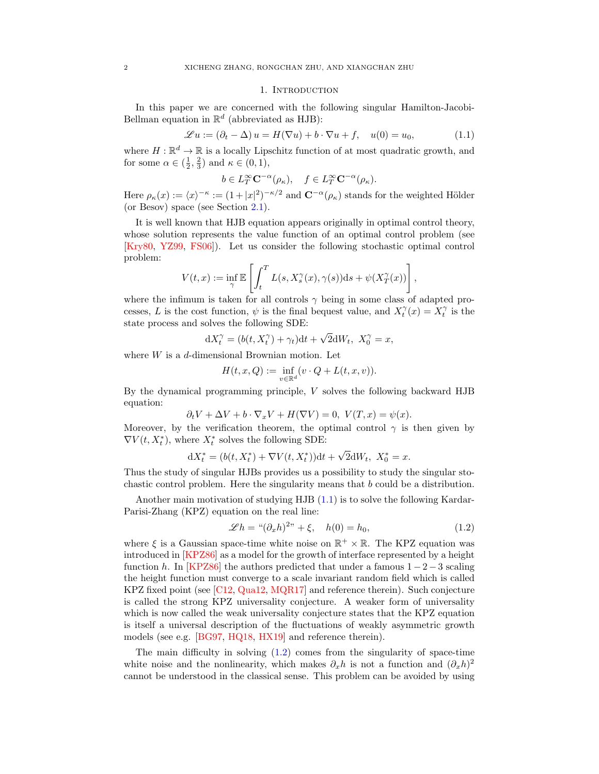### 1. INTRODUCTION

<span id="page-1-0"></span>In this paper we are concerned with the following singular Hamilton-Jacobi-Bellman equation in  $\mathbb{R}^d$  (abbreviated as HJB):

<span id="page-1-1"></span>
$$
\mathcal{L}u := (\partial_t - \Delta)u = H(\nabla u) + b \cdot \nabla u + f, \quad u(0) = u_0,
$$
\n(1.1)

where  $H : \mathbb{R}^d \to \mathbb{R}$  is a locally Lipschitz function of at most quadratic growth, and for some  $\alpha \in (\frac{1}{2}, \frac{2}{3})$  and  $\kappa \in (0, 1)$ ,

$$
b\in L^\infty_T{\mathbf C}^{-\alpha}(\rho_\kappa),\quad f\in L^\infty_T{\mathbf C}^{-\alpha}(\rho_\kappa).
$$

Here  $\rho_{\kappa}(x) := \langle x \rangle^{-\kappa} := (1 + |x|^2)^{-\kappa/2}$  and  $\mathbb{C}^{-\alpha}(\rho_{\kappa})$  stands for the weighted Hölder (or Besov) space (see Section [2.1\)](#page-5-2).

It is well known that HJB equation appears originally in optimal control theory, whose solution represents the value function of an optimal control problem (see [\[Kry80,](#page-48-1) [YZ99,](#page-48-2) [FS06\]](#page-47-2)). Let us consider the following stochastic optimal control problem:

$$
V(t,x) := \inf_{\gamma} \mathbb{E}\left[\int_t^T L(s,X_s^{\gamma}(x),\gamma(s))ds + \psi(X_T^{\gamma}(x))\right],
$$

where the infimum is taken for all controls  $\gamma$  being in some class of adapted processes, L is the cost function,  $\psi$  is the final bequest value, and  $X_t^{\gamma}(x) = X_t^{\gamma}$  is the state process and solves the following SDE: √

$$
dX_t^{\gamma} = (b(t, X_t^{\gamma}) + \gamma_t)dt + \sqrt{2}dW_t, \ X_0^{\gamma} = x,
$$

where  $W$  is a  $d$ -dimensional Brownian motion. Let

$$
H(t, x, Q) := \inf_{v \in \mathbb{R}^d} (v \cdot Q + L(t, x, v)).
$$

By the dynamical programming principle, V solves the following backward HJB equation:

$$
\partial_t V + \Delta V + b \cdot \nabla_x V + H(\nabla V) = 0, \ V(T, x) = \psi(x).
$$

Moreover, by the verification theorem, the optimal control  $\gamma$  is then given by  $\nabla V(t,X^*_t)$ , where  $X^*_t$  solves the following SDE:

$$
dX_t^* = (b(t, X_t^*) + \nabla V(t, X_t^*))dt + \sqrt{2}dW_t, \ X_0^* = x.
$$

Thus the study of singular HJBs provides us a possibility to study the singular stochastic control problem. Here the singularity means that  $b$  could be a distribution.

Another main motivation of studying HJB [\(1.1\)](#page-1-1) is to solve the following Kardar-Parisi-Zhang (KPZ) equation on the real line:

<span id="page-1-2"></span>
$$
\mathscr{L}h = \mathscr{L}(\partial_x h)^{2n} + \xi, \quad h(0) = h_0,\tag{1.2}
$$

where  $\xi$  is a Gaussian space-time white noise on  $\mathbb{R}^+ \times \mathbb{R}$ . The KPZ equation was introduced in [\[KPZ86\]](#page-48-3) as a model for the growth of interface represented by a height function h. In [\[KPZ86\]](#page-48-3) the authors predicted that under a famous  $1 - 2 - 3$  scaling the height function must converge to a scale invariant random field which is called KPZ fixed point (see [\[C12,](#page-47-3) [Qua12,](#page-48-4) [MQR17\]](#page-48-5) and reference therein). Such conjecture is called the strong KPZ universality conjecture. A weaker form of universality which is now called the weak universality conjecture states that the KPZ equation is itself a universal description of the fluctuations of weakly asymmetric growth models (see e.g. [\[BG97,](#page-47-4) [HQ18,](#page-48-6) [HX19\]](#page-48-7) and reference therein).

The main difficulty in solving  $(1.2)$  comes from the singularity of space-time white noise and the nonlinearity, which makes  $\partial_x h$  is not a function and  $(\partial_x h)^2$ cannot be understood in the classical sense. This problem can be avoided by using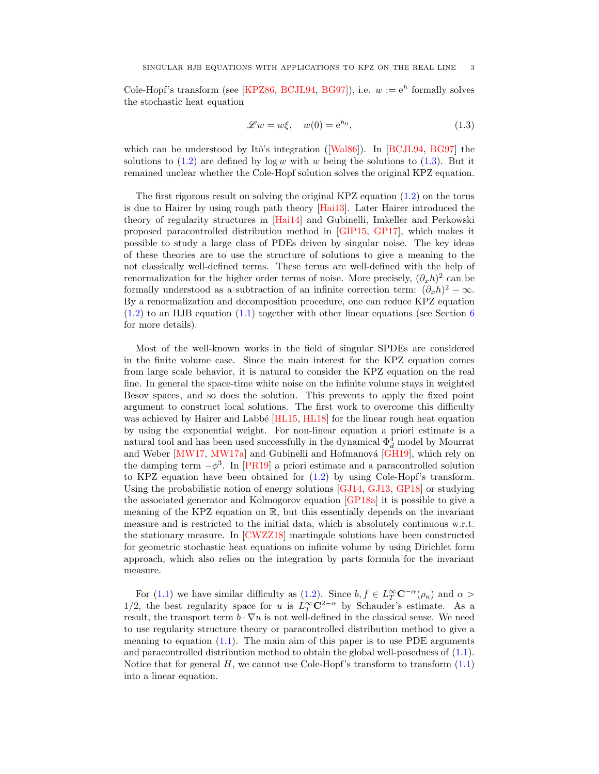Cole-Hopf's transform (see [\[KPZ86,](#page-48-3) [BCJL94,](#page-47-5) [BG97\]](#page-47-4)), i.e.  $w := e^{h}$  formally solves the stochastic heat equation

<span id="page-2-0"></span>
$$
\mathscr{L}w = w\xi, \quad w(0) = e^{h_0}, \tag{1.3}
$$

whichcan be understood by Itô's integration ( $[Wa186]$ ). In [\[BCJL94,](#page-47-5) [BG97\]](#page-47-4) the solutions to  $(1.2)$  are defined by log w with w being the solutions to  $(1.3)$ . But it remained unclear whether the Cole-Hopf solution solves the original KPZ equation.

The first rigorous result on solving the original KPZ equation [\(1.2\)](#page-1-2) on the torus is due to Hairer by using rough path theory [\[Hai13\]](#page-48-9). Later Hairer introduced the theory of regularity structures in [\[Hai14\]](#page-48-10) and Gubinelli, Imkeller and Perkowski proposed paracontrolled distribution method in [\[GIP15,](#page-48-0) [GP17\]](#page-48-11), which makes it possible to study a large class of PDEs driven by singular noise. The key ideas of these theories are to use the structure of solutions to give a meaning to the not classically well-defined terms. These terms are well-defined with the help of renormalization for the higher order terms of noise. More precisely,  $(\partial_x h)^2$  can be formally understood as a subtraction of an infinite correction term:  $(\partial_x h)^2 - \infty$ . By a renormalization and decomposition procedure, one can reduce KPZ equation  $(1.2)$  to an HJB equation  $(1.1)$  together with other linear equations (see Section [6](#page-41-0)) for more details).

Most of the well-known works in the field of singular SPDEs are considered in the finite volume case. Since the main interest for the KPZ equation comes from large scale behavior, it is natural to consider the KPZ equation on the real line. In general the space-time white noise on the infinite volume stays in weighted Besov spaces, and so does the solution. This prevents to apply the fixed point argument to construct local solutions. The first work to overcome this difficulty was achieved by Hairer and Labbé [\[HL15,](#page-48-12) [HL18\]](#page-48-13) for the linear rough heat equation by using the exponential weight. For non-linear equation a priori estimate is a natural tool and has been used successfully in the dynamical  $\Phi_d^4$  model by Mourrat and Weber  $\text{[MW17]}$ , [MW17a\]](#page-48-15) and Gubinelli and Hofmanová  $\text{[GH19]}$ , which rely on the damping term  $-\phi^3$ . In [\[PR19\]](#page-48-17) a priori estimate and a paracontrolled solution to KPZ equation have been obtained for [\(1.2\)](#page-1-2) by using Cole-Hopf's transform. Using the probabilistic notion of energy solutions [\[GJ14,](#page-48-18) [GJ13,](#page-48-19) [GP18\]](#page-48-20) or studying the associated generator and Kolmogorov equation [\[GP18a\]](#page-48-21) it is possible to give a meaning of the KPZ equation on R, but this essentially depends on the invariant measure and is restricted to the initial data, which is absolutely continuous w.r.t. the stationary measure. In [\[CWZZ18\]](#page-47-6) martingale solutions have been constructed for geometric stochastic heat equations on infinite volume by using Dirichlet form approach, which also relies on the integration by parts formula for the invariant measure.

For [\(1.1\)](#page-1-1) we have similar difficulty as [\(1.2\)](#page-1-2). Since  $b, f \in L^{\infty}_T \mathbb{C}^{-\alpha}(\rho_{\kappa})$  and  $\alpha >$ 1/2, the best regularity space for u is  $L_T^{\infty} \mathbb{C}^{2-\alpha}$  by Schauder's estimate. As a result, the transport term  $b \cdot \nabla u$  is not well-defined in the classical sense. We need to use regularity structure theory or paracontrolled distribution method to give a meaning to equation  $(1.1)$ . The main aim of this paper is to use PDE arguments and paracontrolled distribution method to obtain the global well-posedness of [\(1.1\)](#page-1-1). Notice that for general  $H$ , we cannot use Cole-Hopf's transform to transform  $(1.1)$ into a linear equation.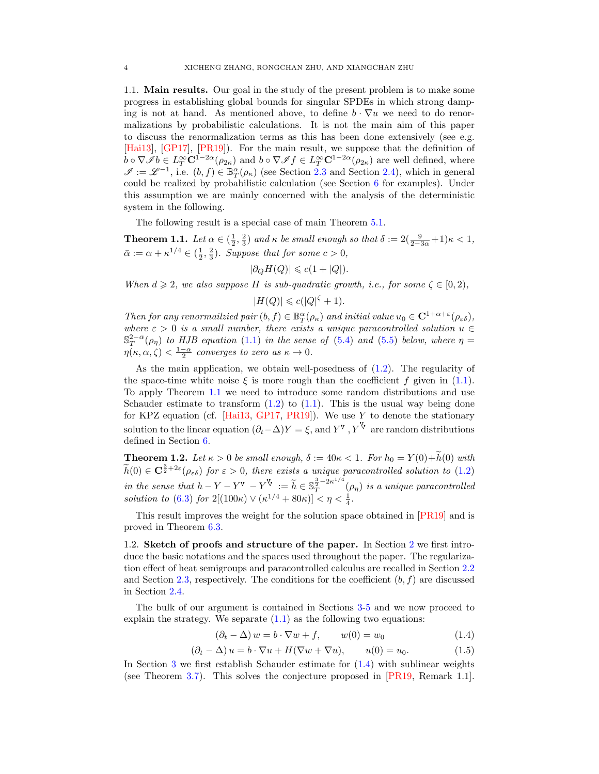<span id="page-3-0"></span>1.1. Main results. Our goal in the study of the present problem is to make some progress in establishing global bounds for singular SPDEs in which strong damping is not at hand. As mentioned above, to define  $b \cdot \nabla u$  we need to do renormalizations by probabilistic calculations. It is not the main aim of this paper to discuss the renormalization terms as this has been done extensively (see e.g. [\[Hai13\]](#page-48-9), [\[GP17\]](#page-48-11), [\[PR19\]](#page-48-17)). For the main result, we suppose that the definition of  $b \circ \nabla \mathscr{I} b \in L_T^{\infty} \mathbb{C}^{1-2\alpha}(\rho_{2\kappa})$  and  $b \circ \nabla \mathscr{I} f \in L_T^{\infty} \mathbb{C}^{1-2\alpha}(\rho_{2\kappa})$  are well defined, where  $\mathscr{I} := \mathscr{L}^{-1}$ , i.e.  $(b, f) \in \mathbb{B}_{T}^{\alpha}(\rho_{\kappa})$  (see Section [2.3](#page-10-0) and Section [2.4\)](#page-12-0), which in general could be realized by probabilistic calculation (see Section [6](#page-41-0) for examples). Under this assumption we are mainly concerned with the analysis of the deterministic system in the following.

The following result is a special case of main Theorem [5.1.](#page-34-1)

<span id="page-3-2"></span>**Theorem 1.1.** Let  $\alpha \in (\frac{1}{2}, \frac{2}{3})$  and  $\kappa$  be small enough so that  $\delta := 2(\frac{9}{2-3\alpha}+1)\kappa < 1$ ,  $\bar{\alpha} := \alpha + \kappa^{1/4} \in \left(\frac{1}{2}, \frac{2}{3}\right)$ . Suppose that for some  $c > 0$ ,

$$
|\partial_Q H(Q)| \leqslant c(1+|Q|).
$$

When  $d \geq 2$ , we also suppose H is sub-quadratic growth, i.e., for some  $\zeta \in [0,2)$ ,

$$
|H(Q)| \leqslant c(|Q|^{\zeta} + 1).
$$

Then for any renormalizied pair  $(b, f) \in \mathbb{B}^{\alpha}_{T}(\rho_{\kappa})$  and initial value  $u_0 \in \mathbb{C}^{1+\alpha+\varepsilon}(\rho_{\varepsilon\delta}),$ where  $\varepsilon > 0$  is a small number, there exists a unique paracontrolled solution  $u \in$  $\mathbb{S}_{T}^{2-\bar{\alpha}}(\rho_{\eta})$  to HJB equation [\(1.1\)](#page-1-1) in the sense of [\(5.4\)](#page-34-2) and [\(5.5\)](#page-34-3) below, where  $\eta =$  $\eta(\kappa,\alpha,\zeta)<\frac{1-\alpha}{2}$  converges to zero as  $\kappa\to 0$ .

As the main application, we obtain well-posedness of  $(1.2)$ . The regularity of the space-time white noise  $\xi$  is more rough than the coefficient f given in [\(1.1\)](#page-1-1). To apply Theorem [1.1](#page-3-2) we need to introduce some random distributions and use Schauder estimate to transform  $(1.2)$  to  $(1.1)$ . This is the usual way being done for KPZ equation (cf. [\[Hai13,](#page-48-9) [GP17,](#page-48-11) [PR19\]](#page-48-17)). We use Y to denote the stationary solution to the linear equation  $(\partial_t - \Delta)Y = \xi$ , and Y<sup>v</sup>, Y<sup>v</sup> are random distributions defined in Section [6.](#page-41-0)

<span id="page-3-5"></span>**Theorem 1.2.** Let  $\kappa > 0$  be small enough,  $\delta := 40\kappa < 1$ . For  $h_0 = Y(0) + \widetilde{h}(0)$  with  $\widetilde{h}(0) \in \mathbf{C}^{\frac{3}{2}+2\varepsilon}(\rho_{\varepsilon\delta})$  for  $\varepsilon > 0$ , there exists a unique paracontrolled solution to [\(1.2\)](#page-1-2) in the sense that  $h - Y - Y^{\mathbf{V}} - Y^{\mathbf{V}} := \widetilde{h} \in \mathbb{S}_{T}^{\frac{3}{2}-2\kappa^{1/4}}$  $\frac{\overline{z}}{T}^{-2\kappa}$  ( $\rho_{\eta}$ ) is a unique paracontrolled solution to [\(6.3\)](#page-42-0) for  $2[(100\kappa) \vee (\kappa^{1/4} + 80\kappa)] < \eta < \frac{1}{4}$ .

This result improves the weight for the solution space obtained in [\[PR19\]](#page-48-17) and is proved in Theorem [6.3.](#page-43-0)

<span id="page-3-1"></span>1.2. Sketch of proofs and structure of the paper. In Section [2](#page-5-1) we first introduce the basic notations and the spaces used throughout the paper. The regularization effect of heat semigroups and paracontrolled calculus are recalled in Section [2.2](#page-8-0) and Section [2.3,](#page-10-0) respectively. The conditions for the coefficient  $(b, f)$  are discussed in Section [2.4.](#page-12-0)

The bulk of our argument is contained in Sections [3-](#page-14-0)[5](#page-34-0) and we now proceed to explain the strategy. We separate  $(1.1)$  as the following two equations:

<span id="page-3-3"></span>
$$
(\partial_t - \Delta) w = b \cdot \nabla w + f, \qquad w(0) = w_0 \tag{1.4}
$$

<span id="page-3-4"></span>
$$
(\partial_t - \Delta) u = b \cdot \nabla u + H(\nabla w + \nabla u), \qquad u(0) = u_0.
$$
 (1.5)

In Section [3](#page-14-0) we first establish Schauder estimate for [\(1.4\)](#page-3-3) with sublinear weights (see Theorem [3.7\)](#page-18-1). This solves the conjecture proposed in [\[PR19,](#page-48-17) Remark 1.1].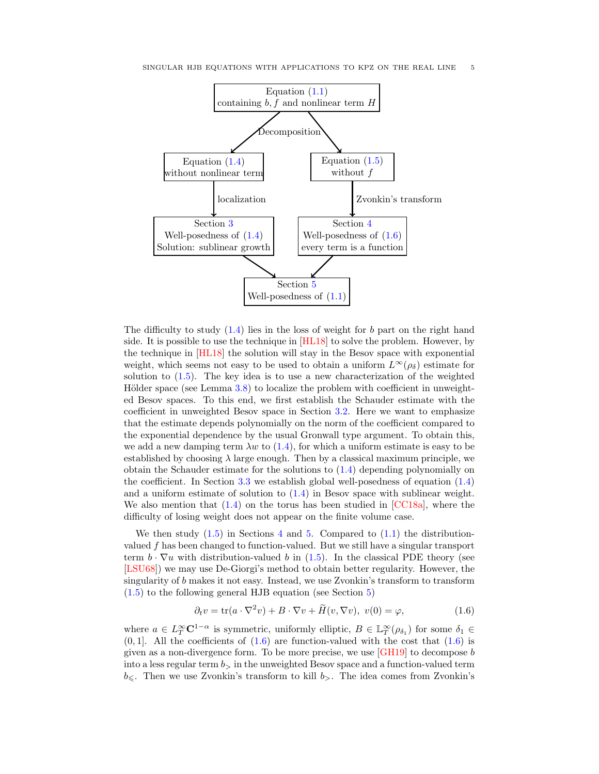

The difficulty to study  $(1.4)$  lies in the loss of weight for b part on the right hand side. It is possible to use the technique in [\[HL18\]](#page-48-13) to solve the problem. However, by the technique in [\[HL18\]](#page-48-13) the solution will stay in the Besov space with exponential weight, which seems not easy to be used to obtain a uniform  $L^{\infty}(\rho_{\delta})$  estimate for solution to [\(1.5\)](#page-3-4). The key idea is to use a new characterization of the weighted Hölder space (see Lemma  $3.8$ ) to localize the problem with coefficient in unweighted Besov spaces. To this end, we first establish the Schauder estimate with the coefficient in unweighted Besov space in Section [3.2.](#page-16-0) Here we want to emphasize that the estimate depends polynomially on the norm of the coefficient compared to the exponential dependence by the usual Gronwall type argument. To obtain this, we add a new damping term  $\lambda w$  to [\(1.4\)](#page-3-3), for which a uniform estimate is easy to be established by choosing  $\lambda$  large enough. Then by a classical maximum principle, we obtain the Schauder estimate for the solutions to [\(1.4\)](#page-3-3) depending polynomially on the coefficient. In Section [3.3](#page-18-0) we establish global well-posedness of equation [\(1.4\)](#page-3-3) and a uniform estimate of solution to [\(1.4\)](#page-3-3) in Besov space with sublinear weight. We also mention that  $(1.4)$  on the torus has been studied in [\[CC18a\]](#page-47-7), where the difficulty of losing weight does not appear on the finite volume case.

We then study  $(1.5)$  in Sections [4](#page-22-0) and [5.](#page-34-0) Compared to  $(1.1)$  the distributionvalued f has been changed to function-valued. But we still have a singular transport term  $b \cdot \nabla u$  with distribution-valued b in [\(1.5\)](#page-3-4). In the classical PDE theory (see [\[LSU68\]](#page-48-22)) we may use De-Giorgi's method to obtain better regularity. However, the singularity of b makes it not easy. Instead, we use Zvonkin's transform to transform [\(1.5\)](#page-3-4) to the following general HJB equation (see Section [5\)](#page-34-0)

<span id="page-4-0"></span>
$$
\partial_t v = \text{tr}(a \cdot \nabla^2 v) + B \cdot \nabla v + \tilde{H}(v, \nabla v), \ v(0) = \varphi,
$$
\n(1.6)

where  $a \in L^{\infty}_T \mathbb{C}^{1-\alpha}$  is symmetric, uniformly elliptic,  $B \in \mathbb{L}^{\infty}_T(\rho_{\delta_1})$  for some  $\delta_1 \in$  $(0, 1]$ . All the coefficients of  $(1.6)$  are function-valued with the cost that  $(1.6)$  is given as a non-divergence form. To be more precise, we use [\[GH19\]](#page-48-16) to decompose b into a less regular term  $b<sub>></sub>$  in the unweighted Besov space and a function-valued term  $b_{\leq}$ . Then we use Zvonkin's transform to kill  $b_{>}$ . The idea comes from Zvonkin's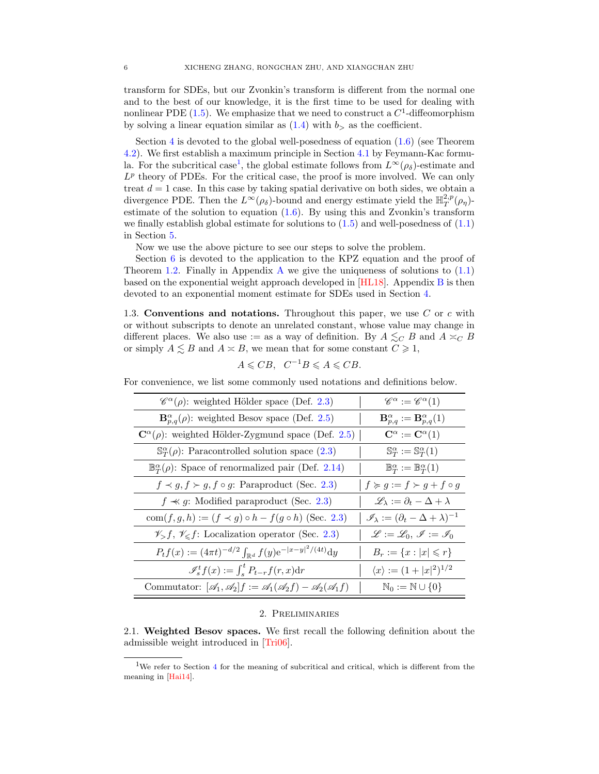transform for SDEs, but our Zvonkin's transform is different from the normal one and to the best of our knowledge, it is the first time to be used for dealing with nonlinear PDE  $(1.5)$ . We emphasize that we need to construct a  $C<sup>1</sup>$ -diffeomorphism by solving a linear equation similar as  $(1.4)$  with  $b<sub>></sub>$  as the coefficient.

Section [4](#page-22-0) is devoted to the global well-posedness of equation  $(1.6)$  (see Theorem [4.2\)](#page-24-1). We first establish a maximum principle in Section [4.1](#page-24-0) by Feymann-Kac formu-la. For the subcritical case<sup>[1](#page-5-3)</sup>, the global estimate follows from  $L^{\infty}(\rho_{\delta})$ -estimate and  $L^p$  theory of PDEs. For the critical case, the proof is more involved. We can only treat  $d = 1$  case. In this case by taking spatial derivative on both sides, we obtain a divergence PDE. Then the  $L^{\infty}(\rho_{\delta})$ -bound and energy estimate yield the  $\mathbb{H}^{2,p}_{T}(\rho_{\eta})$ estimate of the solution to equation [\(1.6\)](#page-4-0). By using this and Zvonkin's transform we finally establish global estimate for solutions to  $(1.5)$  and well-posedness of  $(1.1)$ in Section [5.](#page-34-0)

Now we use the above picture to see our steps to solve the problem.

Section [6](#page-41-0) is devoted to the application to the KPZ equation and the proof of Theorem [1.2.](#page-3-5) Finally in [A](#page-44-0)ppendix A we give the uniqueness of solutions to  $(1.1)$ based on the exponential weight approach developed in [\[HL18\]](#page-48-13). Appendix [B](#page-46-0) is then devoted to an exponential moment estimate for SDEs used in Section [4.](#page-22-0)

<span id="page-5-0"></span>1.3. Conventions and notations. Throughout this paper, we use  $C$  or  $c$  with or without subscripts to denote an unrelated constant, whose value may change in different places. We also use := as a way of definition. By  $A \lesssim_C B$  and  $A \asymp_C B$ or simply  $A \leq B$  and  $A \asymp B$ , we mean that for some constant  $C \geq 1$ ,

$$
A \leqslant CB, \quad C^{-1}B \leqslant A \leqslant CB.
$$

For convenience, we list some commonly used notations and definitions below.

| $\mathscr{C}^{\alpha}(\rho)$ : weighted Hölder space (Def. 2.3)                                                | $\mathscr{C}^{\alpha} := \mathscr{C}^{\alpha}(1)$               |
|----------------------------------------------------------------------------------------------------------------|-----------------------------------------------------------------|
| $\mathbf{B}_{p,q}^{\alpha}(\rho)$ : weighted Besov space (Def. 2.5)                                            | $\mathbf{B}_{p,q}^{\alpha}:=\mathbf{B}_{p,q}^{\alpha}(1)$       |
| $\mathbf{C}^{\alpha}(\rho)$ : weighted Hölder-Zygmund space (Def. 2.5)                                         | $\mathbf{C}^{\alpha} := \mathbf{C}^{\alpha}(1)$                 |
| $\mathbb{S}_{T}^{\alpha}(\rho)$ : Paracontrolled solution space (2.3)                                          | $\mathbb{S}_T^{\alpha} := \mathbb{S}_T^{\alpha}(1)$             |
| $\mathbb{B}_{T}^{\alpha}(\rho)$ : Space of renormalized pair (Def. 2.14)                                       | $\mathbb{B}^{\alpha}_{T} := \mathbb{B}^{\alpha}_{T}(1)$         |
| $f \prec g, f \succ g, f \circ g$ : Paraproduct (Sec. 2.3)                                                     | $f \succcurlyeq g := f \succ g + f \circ g$                     |
| $f \nless g$ : Modified paraproduct (Sec. 2.3)                                                                 | $\mathscr{L}_{\lambda} := \partial_t - \Delta + \lambda$        |
| com(f, g, h) := $(f \prec g) \circ h - f(g \circ h)$ (Sec. 2.3)                                                | $\mathscr{I}_{\lambda} := (\partial_t - \Delta + \lambda)^{-1}$ |
| $\mathscr{V}_f, \mathscr{V}_g$ : Localization operator (Sec. 2.3)                                              | $\mathscr{L} := \mathscr{L}_0, \mathscr{I} := \mathscr{I}_0$    |
| $P_t f(x) := (4\pi t)^{-d/2} \int_{\mathbb{R}^d} f(y) e^{- x-y ^2/(4t)} dy$                                    | $B_r := \{x :  x  \leq r\}$                                     |
| $\mathcal{I}_s^t f(x) := \int_s^t P_{t-r} f(r, x) dr$                                                          | $\langle x \rangle := (1+ x ^2)^{1/2}$                          |
| Commutator: $[\mathcal{A}_1, \mathcal{A}_2]f := \mathcal{A}_1(\mathcal{A}_2f) - \mathcal{A}_2(\mathcal{A}_1f)$ | $\mathbb{N}_0 := \mathbb{N} \cup \{0\}$                         |

### 2. Preliminaries

<span id="page-5-2"></span><span id="page-5-1"></span>2.1. Weighted Besov spaces. We first recall the following definition about the admissible weight introduced in [\[Tri06\]](#page-48-23).

<span id="page-5-3"></span><sup>&</sup>lt;sup>1</sup>We refer to Section [4](#page-22-0) for the meaning of subcritical and critical, which is different from the meaning in [\[Hai14\]](#page-48-10).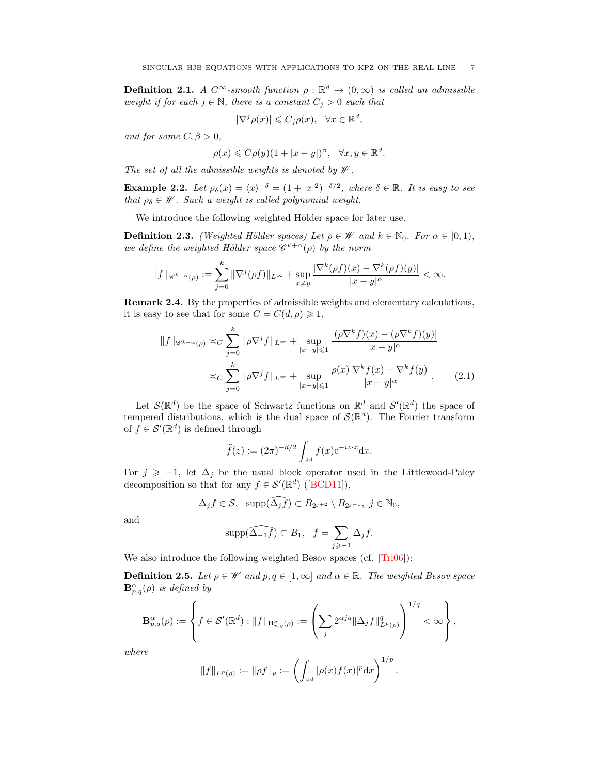**Definition 2.1.** A  $C^{\infty}$ -smooth function  $\rho : \mathbb{R}^{d} \to (0, \infty)$  is called an admissible weight if for each  $j \in \mathbb{N}$ , there is a constant  $C_j > 0$  such that

$$
|\nabla^j \rho(x)| \leqslant C_j \rho(x), \quad \forall x \in \mathbb{R}^d,
$$

and for some  $C, \beta > 0$ ,

$$
\rho(x) \leqslant C\rho(y)(1+|x-y|)^{\beta}, \quad \forall x, y \in \mathbb{R}^d.
$$

The set of all the admissible weights is denoted by  $\mathscr W$ .

**Example 2.2.** Let  $\rho_{\delta}(x) = \langle x \rangle^{-\delta} = (1 + |x|^2)^{-\delta/2}$ , where  $\delta \in \mathbb{R}$ . It is easy to see that  $\rho_{\delta} \in \mathscr{W}$ . Such a weight is called polynomial weight.

We introduce the following weighted Hölder space for later use.

<span id="page-6-0"></span>**Definition 2.3.** (Weighted Hölder spaces) Let  $\rho \in \mathcal{W}$  and  $k \in \mathbb{N}_0$ . For  $\alpha \in [0,1)$ , we define the weighted Hölder space  $\mathscr{C}^{k+\alpha}(\rho)$  by the norm

$$
||f||_{\mathscr{C}^{k+\alpha}(\rho)} := \sum_{j=0}^k \|\nabla^j(\rho f)\|_{L^\infty} + \sup_{x \neq y} \frac{|\nabla^k(\rho f)(x) - \nabla^k(\rho f)(y)|}{|x - y|^\alpha} < \infty.
$$

Remark 2.4. By the properties of admissible weights and elementary calculations, it is easy to see that for some  $C = C(d, \rho) \geq 1$ ,

$$
||f||_{\mathscr{C}^{k+\alpha}(\rho)} \asymp_C \sum_{j=0}^k \|\rho \nabla^j f\|_{L^\infty} + \sup_{|x-y| \leq 1} \frac{|(\rho \nabla^k f)(x) - (\rho \nabla^k f)(y)|}{|x-y|^\alpha}
$$

$$
\asymp_C \sum_{j=0}^k \|\rho \nabla^j f\|_{L^\infty} + \sup_{|x-y| \leq 1} \frac{\rho(x)|\nabla^k f(x) - \nabla^k f(y)|}{|x-y|^\alpha}.
$$
(2.1)

Let  $\mathcal{S}(\mathbb{R}^d)$  be the space of Schwartz functions on  $\mathbb{R}^d$  and  $\mathcal{S}'(\mathbb{R}^d)$  the space of tempered distributions, which is the dual space of  $\mathcal{S}(\mathbb{R}^d)$ . The Fourier transform of  $f \in \mathcal{S}'(\mathbb{R}^d)$  is defined through

<span id="page-6-2"></span>
$$
\widehat{f}(z) := (2\pi)^{-d/2} \int_{\mathbb{R}^d} f(x) e^{-iz \cdot x} dx.
$$

For  $j \ge -1$ , let  $\Delta_j$  be the usual block operator used in the Littlewood-Paley decompositionso that for any  $f \in \mathcal{S}'(\mathbb{R}^d)$  ([\[BCD11\]](#page-47-8)),

$$
\Delta_j f \in \mathcal{S}, \ \ \supp(\widehat{\Delta_j f}) \subset B_{2^{j+2}} \setminus B_{2^{j-1}}, \ j \in \mathbb{N}_0,
$$

and

$$
\mathrm{supp}(\widehat{\Delta_{-1}f}) \subset B_1, \ \ f = \sum_{j \geqslant -1} \Delta_j f.
$$

We also introduce the following weighted Besov spaces (cf. [\[Tri06\]](#page-48-23)):

<span id="page-6-1"></span>**Definition 2.5.** Let  $\rho \in \mathcal{W}$  and  $p, q \in [1, \infty]$  and  $\alpha \in \mathbb{R}$ . The weighted Besov space  $\mathbf{B}_{p,q}^{\alpha}(\rho)$  is defined by

$$
\mathbf{B}_{p,q}^{\alpha}(\rho) := \left\{ f \in \mathcal{S}'(\mathbb{R}^d) : \|f\|_{\mathbf{B}_{p,q}^{\alpha}(\rho)} := \left(\sum_j 2^{\alpha j q} \|\Delta_j f\|_{L^p(\rho)}^q\right)^{1/q} < \infty \right\},\
$$

where

$$
||f||_{L^p(\rho)} := ||\rho f||_p := \left(\int_{\mathbb{R}^d} |\rho(x)f(x)|^p dx\right)^{1/p}.
$$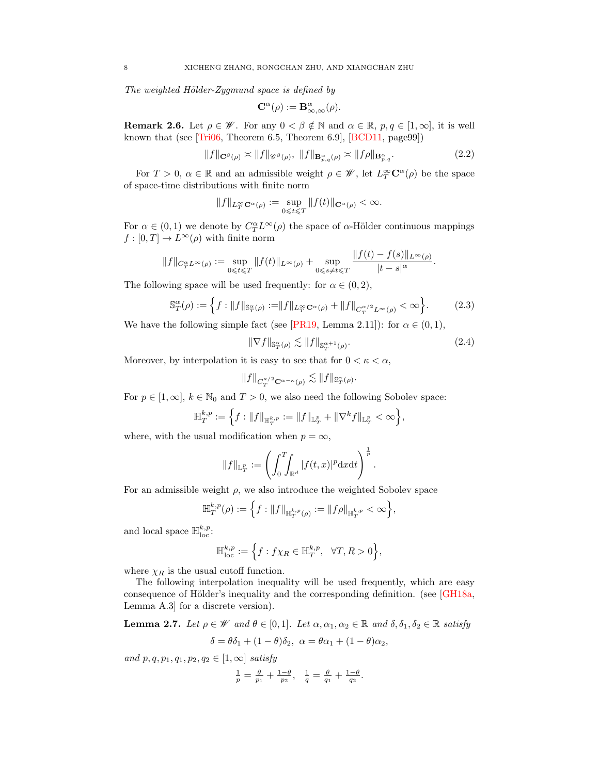The weighted Hölder-Zygmund space is defined by

$$
\mathbf{C}^{\alpha}(\rho) := \mathbf{B}^{\alpha}_{\infty,\infty}(\rho).
$$

**Remark 2.6.** Let  $\rho \in \mathscr{W}$ . For any  $0 < \beta \notin \mathbb{N}$  and  $\alpha \in \mathbb{R}$ ,  $p, q \in [1, \infty]$ , it is well known that (see [\[Tri06,](#page-48-23) Theorem 6.5, Theorem 6.9], [\[BCD11,](#page-47-8) page99])

$$
||f||_{\mathbf{C}^{\beta}(\rho)} \asymp ||f||_{\mathscr{C}^{\beta}(\rho)}, \ ||f||_{\mathbf{B}^{\alpha}_{p,q}(\rho)} \asymp ||f\rho||_{\mathbf{B}^{\alpha}_{p,q}}.
$$
\n(2.2)

For  $T > 0$ ,  $\alpha \in \mathbb{R}$  and an admissible weight  $\rho \in \mathscr{W}$ , let  $L^{\infty}_T \mathbb{C}^{\alpha}(\rho)$  be the space of space-time distributions with finite norm

$$
\|f\|_{L^\infty_T{\mathbf C}^\alpha(\rho)}:=\sup_{0\leqslant t\leqslant T}\|f(t)\|_{{\mathbf C}^\alpha(\rho)}<\infty.
$$

For  $\alpha \in (0,1)$  we denote by  $C_T^{\alpha} L^{\infty}(\rho)$  the space of  $\alpha$ -Hölder continuous mappings  $f : [0, T] \to L^{\infty}(\rho)$  with finite norm

$$
||f||_{C_T^{\alpha}L^{\infty}(\rho)} := \sup_{0 \leq t \leq T} ||f(t)||_{L^{\infty}(\rho)} + \sup_{0 \leq s \neq t \leq T} \frac{||f(t) - f(s)||_{L^{\infty}(\rho)}}{|t - s|^{\alpha}}.
$$

The following space will be used frequently: for  $\alpha \in (0, 2)$ ,

$$
\mathbb{S}_{T}^{\alpha}(\rho) := \left\{ f : \|f\|_{\mathbb{S}_{T}^{\alpha}(\rho)} := \|f\|_{L_{T}^{\infty} \mathbf{C}^{\alpha}(\rho)} + \|f\|_{C_{T}^{\alpha/2} L^{\infty}(\rho)} < \infty \right\}.
$$
 (2.3)

We have the following simple fact (see [\[PR19,](#page-48-17) Lemma 2.11]): for  $\alpha \in (0,1)$ ,

<span id="page-7-1"></span><span id="page-7-0"></span>
$$
\|\nabla f\|_{\mathbb{S}_T^{\alpha}(\rho)} \lesssim \|f\|_{\mathbb{S}_T^{\alpha+1}(\rho)}.\tag{2.4}
$$

Moreover, by interpolation it is easy to see that for  $0 < \kappa < \alpha$ ,

$$
\|f\|_{C^{\kappa/2}_T{\mathbf C}^{\alpha-\kappa}(\rho)}\lesssim \|f\|_{{\mathbb S}^{\alpha}_T(\rho)}.
$$

For  $p \in [1,\infty], k \in \mathbb{N}_0$  and  $T > 0$ , we also need the following Sobolev space:

$$
\mathbb{H}_T^{k,p} := \left\{ f : \|f\|_{\mathbb{H}_T^{k,p}} := \|f\|_{\mathbb{L}_T^p} + \|\nabla^k f\|_{\mathbb{L}_T^p} < \infty \right\},
$$

where, with the usual modification when  $p = \infty$ ,

$$
||f||_{\mathbb{L}^p_T} := \left(\int_0^T \int_{\mathbb{R}^d} |f(t,x)|^p \mathrm{d}x \mathrm{d}t\right)^{\frac{1}{p}}.
$$

For an admissible weight  $\rho$ , we also introduce the weighted Sobolev space

$$
\mathbb{H}_T^{k,p}(\rho) := \left\{ f : \|f\|_{\mathbb{H}_T^{k,p}(\rho)} := \|f\rho\|_{\mathbb{H}_T^{k,p}} < \infty \right\},
$$

and local space  $\mathbb{H}^{k,p}_{\text{loc}}$ :

$$
\mathbb{H}^{k,p}_{\rm loc}:=\Big\{f: f\chi_R\in \mathbb{H}^{k,p}_T, \ \ \forall T,R>0\Big\},
$$

where  $\chi_R$  is the usual cutoff function.

The following interpolation inequality will be used frequently, which are easy consequence of Hölder's inequality and the corresponding definition. (see [\[GH18a,](#page-48-24) Lemma A.3] for a discrete version).

**Lemma 2.7.** Let  $\rho \in \mathcal{W}$  and  $\theta \in [0,1]$ . Let  $\alpha, \alpha_1, \alpha_2 \in \mathbb{R}$  and  $\delta, \delta_1, \delta_2 \in \mathbb{R}$  satisfy

$$
\delta = \theta \delta_1 + (1 - \theta)\delta_2, \ \alpha = \theta \alpha_1 + (1 - \theta)\alpha_2,
$$

and  $p, q, p_1, q_1, p_2, q_2 \in [1, \infty]$  satisfy

$$
\frac{1}{p} = \frac{\theta}{p_1} + \frac{1-\theta}{p_2}, \quad \frac{1}{q} = \frac{\theta}{q_1} + \frac{1-\theta}{q_2}.
$$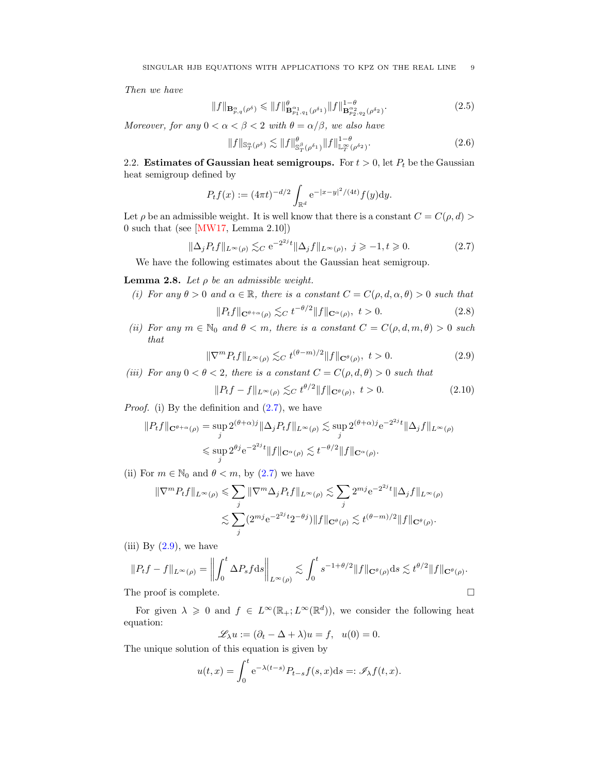Then we have

$$
||f||_{\mathbf{B}^{\alpha}_{p,q}(\rho^{\delta})} \leq ||f||^{\theta}_{\mathbf{B}^{\alpha_{1}}_{p_{1},q_{1}}(\rho^{\delta_{1}})} ||f||^{1-\theta}_{\mathbf{B}^{\alpha_{2}}_{p_{2},q_{2}}(\rho^{\delta_{2}})}.
$$
\n(2.5)

Moreover, for any  $0 < \alpha < \beta < 2$  with  $\theta = \alpha/\beta$ , we also have

<span id="page-8-6"></span><span id="page-8-5"></span>
$$
||f||_{\mathbb{S}_T^{\alpha}(\rho^{\delta})} \lesssim ||f||_{\mathbb{S}_T^{\beta}(\rho^{\delta_1})}^{\theta} ||f||_{\mathbb{L}_T^{\infty}(\rho^{\delta_2})}^{1-\theta}.
$$
 (2.6)

<span id="page-8-0"></span>2.2. Estimates of Gaussian heat semigroups. For  $t > 0$ , let  $P_t$  be the Gaussian heat semigroup defined by

$$
P_t f(x) := (4\pi t)^{-d/2} \int_{\mathbb{R}^d} e^{-|x-y|^2/(4t)} f(y) dy.
$$

Let  $\rho$  be an admissible weight. It is well know that there is a constant  $C = C(\rho, d)$ 0 such that (see [\[MW17,](#page-48-14) Lemma 2.10])

$$
\|\Delta_j P_t f\|_{L^\infty(\rho)} \lesssim_C e^{-2^{2j}t} \|\Delta_j f\|_{L^\infty(\rho)}, \ j \geqslant -1, t \geqslant 0. \tag{2.7}
$$

We have the following estimates about the Gaussian heat semigroup.

# <span id="page-8-7"></span>**Lemma 2.8.** Let  $\rho$  be an admissible weight.

(i) For any  $\theta > 0$  and  $\alpha \in \mathbb{R}$ , there is a constant  $C = C(\rho, d, \alpha, \theta) > 0$  such that

<span id="page-8-3"></span><span id="page-8-2"></span><span id="page-8-1"></span>
$$
||P_t f||_{\mathbf{C}^{\theta+\alpha}(\rho)} \lesssim_C t^{-\theta/2} ||f||_{\mathbf{C}^{\alpha}(\rho)}, \ t > 0.
$$
 (2.8)

(ii) For any  $m \in \mathbb{N}_0$  and  $\theta < m$ , there is a constant  $C = C(\rho, d, m, \theta) > 0$  such that

$$
\|\nabla^m P_t f\|_{L^\infty(\rho)} \lesssim_C t^{(\theta - m)/2} \|f\|_{\mathbf{C}^\theta(\rho)}, \ t > 0. \tag{2.9}
$$

(iii) For any  $0 < \theta < 2$ , there is a constant  $C = C(\rho, d, \theta) > 0$  such that

<span id="page-8-4"></span>
$$
||P_t f - f||_{L^{\infty}(\rho)} \lesssim_C t^{\theta/2} ||f||_{\mathbf{C}^{\theta}(\rho)}, \ t > 0.
$$
 (2.10)

*Proof.* (i) By the definition and  $(2.7)$ , we have

$$
||P_t f||_{\mathbf{C}^{\theta+\alpha}(\rho)} = \sup_j 2^{(\theta+\alpha)j} ||\Delta_j P_t f||_{L^{\infty}(\rho)} \lesssim \sup_j 2^{(\theta+\alpha)j} e^{-2^{2j}t} ||\Delta_j f||_{L^{\infty}(\rho)}
$$
  

$$
\leq \sup_j 2^{\theta j} e^{-2^{2j}t} ||f||_{\mathbf{C}^{\alpha}(\rho)} \lesssim t^{-\theta/2} ||f||_{\mathbf{C}^{\alpha}(\rho)}.
$$

(ii) For  $m \in \mathbb{N}_0$  and  $\theta < m$ , by [\(2.7\)](#page-8-1) we have

$$
\begin{aligned} \|\nabla^m P_t f\|_{L^{\infty}(\rho)} &\leq \sum_j \|\nabla^m \Delta_j P_t f\|_{L^{\infty}(\rho)} \lesssim \sum_j 2^{mj} e^{-2^{2j}t} \|\Delta_j f\|_{L^{\infty}(\rho)} \\ &\lesssim \sum_j (2^{mj} e^{-2^{2j}t} 2^{-\theta j}) \|f\|_{\mathbf{C}^{\theta}(\rho)} \lesssim t^{(\theta-m)/2} \|f\|_{\mathbf{C}^{\theta}(\rho)}. \end{aligned}
$$

(iii) By  $(2.9)$ , we have

$$
||P_t f - f||_{L^{\infty}(\rho)} = \left\| \int_0^t \Delta P_s f ds \right\|_{L^{\infty}(\rho)} \lesssim \int_0^t s^{-1+\theta/2} ||f||_{\mathbf{C}^{\theta}(\rho)} ds \lesssim t^{\theta/2} ||f||_{\mathbf{C}^{\theta}(\rho)}.
$$
  
The proof is complete.

For given  $\lambda \geq 0$  and  $f \in L^{\infty}(\mathbb{R}^d)$ , we consider the following heat equation:

$$
\mathscr{L}_{\lambda}u := (\partial_t - \Delta + \lambda)u = f, \ \ u(0) = 0.
$$

The unique solution of this equation is given by

$$
u(t,x) = \int_0^t e^{-\lambda(t-s)} P_{t-s} f(s,x) ds =: \mathcal{I}_{\lambda} f(t,x).
$$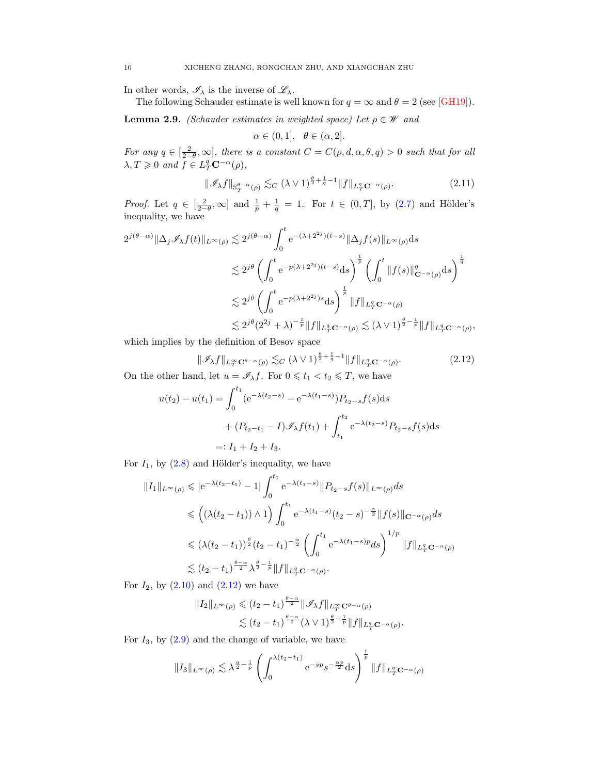In other words,  $\mathscr{I}_{\lambda}$  is the inverse of  $\mathscr{L}_{\lambda}$ .

The following Schauder estimate is well known for  $q = \infty$  and  $\theta = 2$  (see [\[GH19\]](#page-48-16)).

<span id="page-9-2"></span>**Lemma 2.9.** (Schauder estimates in weighted space) Let  $\rho \in \mathcal{W}$  and

<span id="page-9-1"></span>
$$
\alpha \in (0,1], \quad \theta \in (\alpha,2].
$$

For any  $q \in \left[\frac{2}{2-\theta}, \infty\right]$ , there is a constant  $C = C(\rho, d, \alpha, \theta, q) > 0$  such that for all  $\lambda, T \geqslant 0$  and  $f \in L^q_T \mathbf{C}^{-\alpha}(\rho)$ ,

$$
\|\mathcal{I}_{\lambda}f\|_{\mathbb{S}^{\theta-\alpha}_{T}(\rho)} \lesssim_C (\lambda \vee 1)^{\frac{\theta}{2}+\frac{1}{q}-1} \|f\|_{L^q_T \mathbf{C}^{-\alpha}(\rho)}.
$$
 (2.11)

*Proof.* Let  $q \in \left[\frac{2}{2-\theta}, \infty\right]$  and  $\frac{1}{p} + \frac{1}{q} = 1$ . For  $t \in (0, T]$ , by  $(2.7)$  and Hölder's inequality, we have

$$
2^{j(\theta-\alpha)} \|\Delta_j \mathscr{I}_\lambda f(t)\|_{L^\infty(\rho)} \lesssim 2^{j(\theta-\alpha)} \int_0^t e^{-(\lambda+2^{2j})(t-s)} \|\Delta_j f(s)\|_{L^\infty(\rho)} ds
$$
  

$$
\lesssim 2^{j\theta} \left( \int_0^t e^{-p(\lambda+2^{2j})(t-s)} ds \right)^{\frac{1}{p}} \left( \int_0^t \|f(s)\|_{\mathbf{C}^{-\alpha}(\rho)}^q ds \right)^{\frac{1}{q}}
$$
  

$$
\lesssim 2^{j\theta} \left( \int_0^t e^{-p(\lambda+2^{2j})s} ds \right)^{\frac{1}{p}} \|f\|_{L_T^q \mathbf{C}^{-\alpha}(\rho)}
$$
  

$$
\lesssim 2^{j\theta} (2^{2j} + \lambda)^{-\frac{1}{p}} \|f\|_{L_T^q \mathbf{C}^{-\alpha}(\rho)} \lesssim (\lambda \vee 1)^{\frac{\theta}{2} - \frac{1}{p}} \|f\|_{L_T^q \mathbf{C}^{-\alpha}(\rho)},
$$

which implies by the definition of Besov space

<span id="page-9-0"></span>
$$
\|\mathcal{I}_{\lambda}f\|_{L^{\infty}_{T}\mathbf{C}^{\theta-\alpha}(\rho)} \lesssim_C (\lambda \vee 1)^{\frac{\theta}{2}+\frac{1}{q}-1} \|f\|_{L^q_T\mathbf{C}^{-\alpha}(\rho)}.
$$
\n(2.12)

On the other hand, let  $u = \mathscr{I}_{\lambda} f$ . For  $0 \leq t_1 < t_2 \leq T$ , we have

$$
u(t_2) - u(t_1) = \int_0^{t_1} (e^{-\lambda(t_2 - s)} - e^{-\lambda(t_1 - s)}) P_{t_2 - s} f(s) ds
$$
  
+ 
$$
(P_{t_2 - t_1} - I) \mathscr{I}_{\lambda} f(t_1) + \int_{t_1}^{t_2} e^{-\lambda(t_2 - s)} P_{t_2 - s} f(s) ds
$$
  
=:  $I_1 + I_2 + I_3$ .

For  $I_1$ , by  $(2.8)$  and Hölder's inequality, we have

$$
||I_{1}||_{L^{\infty}(\rho)} \leqslant |e^{-\lambda(t_{2}-t_{1})}-1| \int_{0}^{t_{1}} e^{-\lambda(t_{1}-s)} ||P_{t_{2}-s}f(s)||_{L^{\infty}(\rho)} ds
$$
  

$$
\leqslant \left((\lambda(t_{2}-t_{1}))\wedge 1\right) \int_{0}^{t_{1}} e^{-\lambda(t_{1}-s)} (t_{2}-s)^{-\frac{\alpha}{2}} ||f(s)||_{\mathbf{C}^{-\alpha}(\rho)} ds
$$
  

$$
\leqslant (\lambda(t_{2}-t_{1}))^{\frac{\beta}{2}} (t_{2}-t_{1})^{-\frac{\alpha}{2}} \left(\int_{0}^{t_{1}} e^{-\lambda(t_{1}-s)p} ds\right)^{1/p} ||f||_{L_{T}^{q}\mathbf{C}^{-\alpha}(\rho)}
$$
  

$$
\lesssim (t_{2}-t_{1})^{\frac{\theta-\alpha}{2}} \lambda^{\frac{\theta}{2}-\frac{1}{p}} ||f||_{L_{T}^{q}\mathbf{C}^{-\alpha}(\rho)}.
$$

For  $I_2$ , by  $(2.10)$  and  $(2.12)$  we have

$$
||I_2||_{L^{\infty}(\rho)} \leq (t_2 - t_1)^{\frac{\theta - \alpha}{2}} ||\mathscr{I}_{\lambda}f||_{L^{\infty}_T \mathbf{C}^{\theta - \alpha}(\rho)}
$$
  

$$
\lesssim (t_2 - t_1)^{\frac{\theta - \alpha}{2}} (\lambda \vee 1)^{\frac{\theta}{2} - \frac{1}{p}} ||f||_{L^q_T \mathbf{C}^{-\alpha}(\rho)}.
$$

For  $I_3$ , by  $(2.9)$  and the change of variable, we have

$$
||I_3||_{L^{\infty}(\rho)} \lesssim \lambda^{\frac{\alpha}{2}-\frac{1}{p}} \left( \int_0^{\lambda(t_2-t_1)} e^{-sp} s^{-\frac{\alpha p}{2}} ds \right)^{\frac{1}{p}} ||f||_{L^q_T \mathbf{C}^{-\alpha}(\rho)}
$$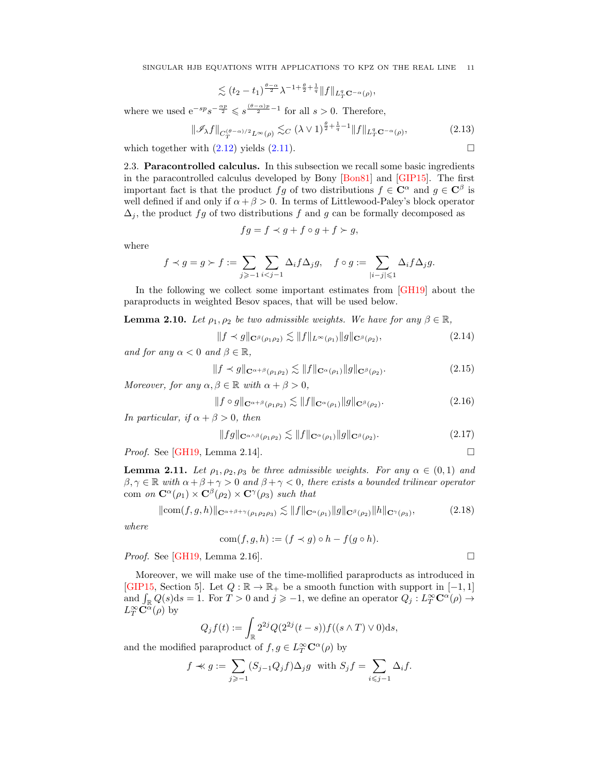SINGULAR HJB EQUATIONS WITH APPLICATIONS TO KPZ ON THE REAL LINE 11

$$
\lesssim (t_2-t_1)^{\frac{\theta-\alpha}{2}}\lambda^{-1+\frac{\theta}{2}+\frac{1}{q}}\|f\|_{L^q_T\mathbf{C}^{-\alpha}(\rho)},
$$

where we used  $e^{-sp}s^{-\frac{\alpha p}{2}} \leqslant s^{\frac{(\theta-\alpha)p}{2}-1}$  for all  $s > 0$ . Therefore,

$$
\|\mathscr{I}_{\lambda}f\|_{C_T^{(\theta-\alpha)/2}L^{\infty}(\rho)} \lesssim_C (\lambda \vee 1)^{\frac{\theta}{2}+\frac{1}{q}-1} \|f\|_{L^q_T \mathbf{C}^{-\alpha}(\rho)},\tag{2.13}
$$

which together with  $(2.12)$  yields  $(2.11)$ .

<span id="page-10-0"></span>2.3. Paracontrolled calculus. In this subsection we recall some basic ingredients in the paracontrolled calculus developed by Bony [\[Bon81\]](#page-47-9) and [\[GIP15\]](#page-48-0). The first important fact is that the product fg of two distributions  $f \in \mathbb{C}^{\alpha}$  and  $g \in \mathbb{C}^{\beta}$  is well defined if and only if  $\alpha + \beta > 0$ . In terms of Littlewood-Paley's block operator  $\Delta_i$ , the product fg of two distributions f and g can be formally decomposed as

$$
fg = f \prec g + f \circ g + f \succ g,
$$

where

$$
f \prec g = g \succ f := \sum_{j \geqslant -1} \sum_{i < j-1} \Delta_i f \Delta_j g, \quad f \circ g := \sum_{|i-j| \leqslant 1} \Delta_i f \Delta_j g.
$$

In the following we collect some important estimates from [\[GH19\]](#page-48-16) about the paraproducts in weighted Besov spaces, that will be used below.

<span id="page-10-6"></span>**Lemma 2.10.** Let  $\rho_1, \rho_2$  be two admissible weights. We have for any  $\beta \in \mathbb{R}$ ,

<span id="page-10-2"></span>
$$
||f \prec g||_{\mathbf{C}^{\beta}(\rho_1 \rho_2)} \lesssim ||f||_{L^{\infty}(\rho_1)} ||g||_{\mathbf{C}^{\beta}(\rho_2)},
$$
\n(2.14)

and for any  $\alpha < 0$  and  $\beta \in \mathbb{R}$ ,

<span id="page-10-1"></span>
$$
||f \prec g||_{\mathbf{C}^{\alpha+\beta}(\rho_1 \rho_2)} \lesssim ||f||_{\mathbf{C}^{\alpha}(\rho_1)} ||g||_{\mathbf{C}^{\beta}(\rho_2)}.
$$
\n(2.15)

Moreover, for any  $\alpha, \beta \in \mathbb{R}$  with  $\alpha + \beta > 0$ ,

<span id="page-10-3"></span>
$$
||f \circ g||_{\mathbf{C}^{\alpha+\beta}(\rho_1 \rho_2)} \lesssim ||f||_{\mathbf{C}^{\alpha}(\rho_1)} ||g||_{\mathbf{C}^{\beta}(\rho_2)}.
$$
\n(2.16)

In particular, if  $\alpha + \beta > 0$ , then

<span id="page-10-4"></span>
$$
||fg||_{\mathbf{C}^{\alpha\wedge\beta}(\rho_1\rho_2)} \lesssim ||f||_{\mathbf{C}^{\alpha}(\rho_1)} ||g||_{\mathbf{C}^{\beta}(\rho_2)}.
$$
\n(2.17)

*Proof.* See [\[GH19,](#page-48-16) Lemma 2.14].

<span id="page-10-7"></span>**Lemma 2.11.** Let  $\rho_1, \rho_2, \rho_3$  be three admissible weights. For any  $\alpha \in (0,1)$  and  $\beta, \gamma \in \mathbb{R}$  with  $\alpha + \beta + \gamma > 0$  and  $\beta + \gamma < 0$ , there exists a bounded trilinear operator com on  $\mathbf{C}^{\alpha}(\rho_1) \times \mathbf{C}^{\beta}(\rho_2) \times \mathbf{C}^{\gamma}(\rho_3)$  such that

$$
\|\text{com}(f,g,h)\|_{\mathbf{C}^{\alpha+\beta+\gamma}(\rho_1\rho_2\rho_3)} \lesssim \|f\|_{\mathbf{C}^{\alpha}(\rho_1)} \|g\|_{\mathbf{C}^{\beta}(\rho_2)} \|h\|_{\mathbf{C}^{\gamma}(\rho_3)},
$$
(2.18)

where

<span id="page-10-5"></span>
$$
com(f, g, h) := (f \prec g) \circ h - f(g \circ h).
$$

*Proof.* See [\[GH19,](#page-48-16) Lemma 2.16].

Moreover, we will make use of the time-mollified paraproducts as introduced in [\[GIP15,](#page-48-0) Section 5]. Let  $Q : \mathbb{R} \to \mathbb{R}_+$  be a smooth function with support in  $[-1, 1]$ and  $\int_{\mathbb{R}} Q(s) ds = 1$ . For  $T > 0$  and  $j \geqslant -1$ , we define an operator  $Q_j : L^\infty_T \mathbb{C}^\alpha(\rho) \to$  $L_T^{\infty} \check{\mathbf{C}}^{\alpha}(\rho)$  by

$$
Q_j f(t) := \int_{\mathbb{R}} 2^{2j} Q(2^{2j}(t-s)) f((s \wedge T) \vee 0) \, ds,
$$

and the modified paraproduct of  $f, g \in L_T^{\infty} \mathbb{C}^{\alpha}(\rho)$  by

$$
f \nless g := \sum_{j \ge -1} (S_{j-1}Q_j f) \Delta_j g
$$
 with  $S_j f = \sum_{i \le j-1} \Delta_i f$ .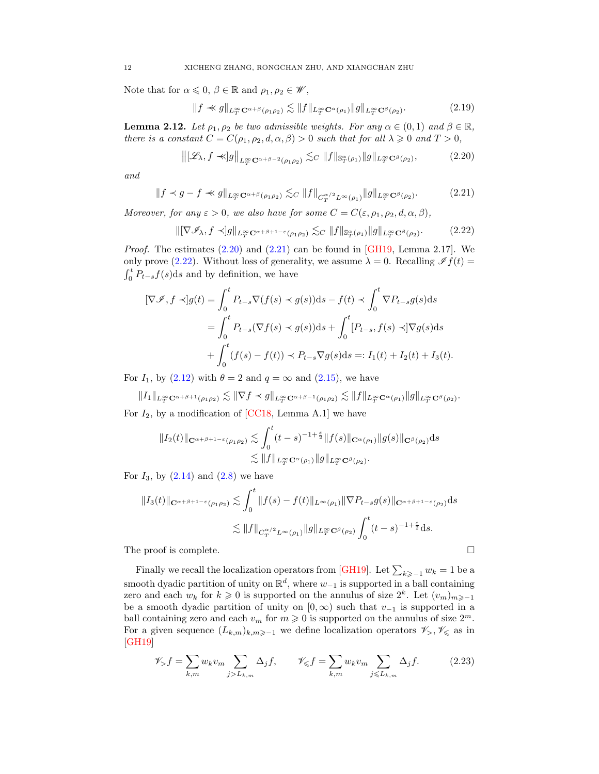Note that for  $\alpha \leq 0, \beta \in \mathbb{R}$  and  $\rho_1, \rho_2 \in \mathscr{W}$ ,

<span id="page-11-4"></span><span id="page-11-0"></span>
$$
||f \ll g||_{L_T^{\infty} \mathbf{C}^{\alpha+\beta}(\rho_1 \rho_2)} \lesssim ||f||_{L_T^{\infty} \mathbf{C}^{\alpha}(\rho_1)} ||g||_{L_T^{\infty} \mathbf{C}^{\beta}(\rho_2)}.
$$
 (2.19)

<span id="page-11-3"></span>**Lemma 2.12.** Let  $\rho_1, \rho_2$  be two admissible weights. For any  $\alpha \in (0,1)$  and  $\beta \in \mathbb{R}$ , there is a constant  $C = C(\rho_1, \rho_2, d, \alpha, \beta) > 0$  such that for all  $\lambda \geq 0$  and  $T > 0$ ,

<span id="page-11-1"></span>
$$
\left\| [\mathcal{L}_{\lambda}, f \prec g] \right\|_{L^{\infty}_T \mathbf{C}^{\alpha+\beta-2}(\rho_1 \rho_2)} \lesssim_C \|f\|_{\mathbb{S}^{\alpha}_T(\rho_1)} \|g\|_{L^{\infty}_T \mathbf{C}^{\beta}(\rho_2)},
$$
\n(2.20)

and

$$
||f \prec g - f \prec g||_{L_T^{\infty} \mathbf{C}^{\alpha+\beta}(\rho_1 \rho_2)} \lesssim_C ||f||_{C_T^{\alpha/2} L^{\infty}(\rho_1)} ||g||_{L_T^{\infty} \mathbf{C}^{\beta}(\rho_2)}.
$$
 (2.21)

Moreover, for any  $\varepsilon > 0$ , we also have for some  $C = C(\varepsilon, \rho_1, \rho_2, d, \alpha, \beta)$ ,

<span id="page-11-2"></span>
$$
\|[\nabla \mathcal{I}_{\lambda}, f \prec]g\|_{L^{\infty}_T \mathbf{C}^{\alpha+\beta+1-\varepsilon}(\rho_1 \rho_2)} \lesssim_C \|f\|_{\mathcal{S}^{\alpha}_T(\rho_1)} \|g\|_{L^{\infty}_T \mathbf{C}^{\beta}(\rho_2)}.
$$
 (2.22)

*Proof.* The estimates  $(2.20)$  and  $(2.21)$  can be found in [\[GH19,](#page-48-16) Lemma 2.17]. We only prove [\(2.22\)](#page-11-2). Without loss of generality, we assume  $\lambda = 0$ . Recalling  $\mathscr{I}f(t) =$  $\int_0^t P_{t-s}f(s)ds$  and by definition, we have

$$
[\nabla \mathcal{I}, f \prec] g(t) = \int_0^t P_{t-s} \nabla (f(s) \prec g(s)) \mathrm{d}s - f(t) \prec \int_0^t \nabla P_{t-s} g(s) \mathrm{d}s
$$
  

$$
= \int_0^t P_{t-s} (\nabla f(s) \prec g(s)) \mathrm{d}s + \int_0^t [P_{t-s}, f(s) \prec] \nabla g(s) \mathrm{d}s
$$
  

$$
+ \int_0^t (f(s) - f(t)) \prec P_{t-s} \nabla g(s) \mathrm{d}s =: I_1(t) + I_2(t) + I_3(t).
$$

For  $I_1$ , by [\(2.12\)](#page-9-0) with  $\theta = 2$  and  $q = \infty$  and [\(2.15\)](#page-10-1), we have

 $||I_1||_{L_T^{\infty} \mathbf{C}^{\alpha+\beta+1}(\rho_1\rho_2)} \lesssim ||\nabla f \prec g||_{L_T^{\infty} \mathbf{C}^{\alpha+\beta-1}(\rho_1\rho_2)} \lesssim ||f||_{L_T^{\infty} \mathbf{C}^{\alpha}(\rho_1)} ||g||_{L_T^{\infty} \mathbf{C}^{\beta}(\rho_2)}.$ For  $I_2$ , by a modification of [\[CC18,](#page-47-10) Lemma A.1] we have

$$
||I_2(t)||_{\mathbf{C}^{\alpha+\beta+1-\varepsilon}(\rho_1\rho_2)} \lesssim \int_0^t (t-s)^{-1+\frac{\varepsilon}{2}} ||f(s)||_{\mathbf{C}^{\alpha}(\rho_1)} ||g(s)||_{\mathbf{C}^{\beta}(\rho_2)} ds
$$
  

$$
\lesssim ||f||_{L^{\infty}_{T} \mathbf{C}^{\alpha}(\rho_1)} ||g||_{L^{\infty}_{T} \mathbf{C}^{\beta}(\rho_2)}.
$$

For  $I_3$ , by  $(2.14)$  and  $(2.8)$  we have

$$
||I_3(t)||_{\mathbf{C}^{\alpha+\beta+1-\epsilon}(\rho_1\rho_2)} \lesssim \int_0^t ||f(s)-f(t)||_{L^{\infty}(\rho_1)} ||\nabla P_{t-s}g(s)||_{\mathbf{C}^{\alpha+\beta+1-\epsilon}(\rho_2)} ds
$$
  

$$
\lesssim ||f||_{C_T^{\alpha/2}L^{\infty}(\rho_1)} ||g||_{L_T^{\infty} \mathbf{C}^{\beta}(\rho_2)} \int_0^t (t-s)^{-1+\frac{\epsilon}{2}} ds.
$$

The proof is complete.

Finally we recall the localization operators from [\[GH19\]](#page-48-16). Let  $\sum_{k\geqslant -1} w_k = 1$  be a smooth dyadic partition of unity on  $\mathbb{R}^d$ , where  $w_{-1}$  is supported in a ball containing zero and each  $w_k$  for  $k \geq 0$  is supported on the annulus of size  $2^k$ . Let  $(v_m)_{m \geq -1}$ be a smooth dyadic partition of unity on  $[0, \infty)$  such that  $v_{-1}$  is supported in a ball containing zero and each  $v_m$  for  $m \geq 0$  is supported on the annulus of size  $2^m$ . For a given sequence  $(L_{k,m})_{k,m\geqslant-1}$  we define localization operators  $\mathscr{V}_{>} \mathscr{V}_{\leqslant}$  as in  $|GH19|$ 

<span id="page-11-5"></span>
$$
\mathscr{V}_> f = \sum_{k,m} w_k v_m \sum_{j \ge L_{k,m}} \Delta_j f, \qquad \mathscr{V}_{\leqslant} f = \sum_{k,m} w_k v_m \sum_{j \le L_{k,m}} \Delta_j f. \tag{2.23}
$$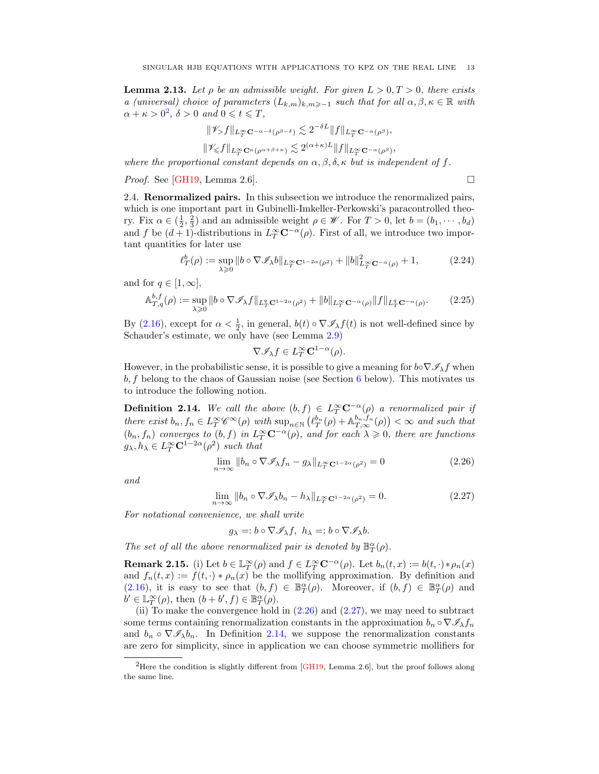<span id="page-12-5"></span>**Lemma 2.13.** Let  $\rho$  be an admissible weight. For given  $L > 0, T > 0$ , there exists a (universal) choice of parameters  $(L_{k,m})_{k,m\geq 1}$  such that for all  $\alpha, \beta, \kappa \in \mathbb{R}$  with  $\alpha + \kappa > 0^2$  $\alpha + \kappa > 0^2$ ,  $\delta > 0$  and  $0 \leqslant t \leqslant T$ ,

$$
\|\mathscr{V}_{\geq} f\|_{L^{\infty}_{T} \mathbf{C}^{-\alpha-\delta}(\rho^{\beta-\delta})} \lesssim 2^{-\delta L} \|f\|_{L^{\infty}_{T} \mathbf{C}^{-\alpha}(\rho^{\beta})},
$$
  

$$
\|\mathscr{V}_{\leq} f\|_{L^{\infty}_{T} \mathbf{C}^{\kappa}(\rho^{\alpha+\beta+\kappa})} \lesssim 2^{(\alpha+\kappa)L} \|f\|_{L^{\infty}_{T} \mathbf{C}^{-\alpha}(\rho^{\beta})},
$$

where the proportional constant depends on  $\alpha, \beta, \delta, \kappa$  but is independent of f.

*Proof.* See [\[GH19,](#page-48-16) Lemma 2.6].

<span id="page-12-7"></span><span id="page-12-6"></span>

<span id="page-12-0"></span>2.4. Renormalized pairs. In this subsection we introduce the renormalized pairs, which is one important part in Gubinelli-Imkeller-Perkowski's paracontrolled theory. Fix  $\alpha \in (\frac{1}{2}, \frac{2}{3})$  and an admissible weight  $\rho \in \mathscr{W}$ . For  $T > 0$ , let  $b = (b_1, \dots, b_d)$ and f be  $(d+1)$ -distributions in  $L_T^{\infty} \mathbb{C}^{-\alpha}(\rho)$ . First of all, we introduce two important quantities for later use

$$
\ell_T^b(\rho) := \sup_{\lambda \ge 0} \|b \circ \nabla \mathcal{I}_{\lambda} b\|_{L_T^{\infty} \mathbf{C}^{1-2\alpha}(\rho^2)} + \|b\|_{L_T^{\infty} \mathbf{C}^{-\alpha}(\rho)}^2 + 1, \tag{2.24}
$$

and for  $q \in [1,\infty],$ 

$$
\mathbb{A}_{T,q}^{b,f}(\rho) := \sup_{\lambda \geq 0} \|b \circ \nabla \mathcal{I}_{\lambda} f\|_{L^q_T \mathbf{C}^{1-2\alpha}(\rho^2)} + \|b\|_{L^\infty_T \mathbf{C}^{-\alpha}(\rho)} \|f\|_{L^q_T \mathbf{C}^{-\alpha}(\rho)}.
$$
 (2.25)

By [\(2.16\)](#page-10-3), except for  $\alpha < \frac{1}{2}$ , in general,  $b(t) \circ \nabla \mathcal{I}_{\lambda} f(t)$  is not well-defined since by Schauder's estimate, we only have (see Lemma [2.9\)](#page-9-2)

<span id="page-12-3"></span>
$$
\nabla \mathscr{I}_{\lambda} f \in L^{\infty}_T \mathbf{C}^{1-\alpha}(\rho).
$$

However, in the probabilistic sense, it is possible to give a meaning for  $b \circ \nabla \mathscr{I}_{\lambda} f$  when b, f belong to the chaos of Gaussian noise (see Section [6](#page-41-0) below). This motivates us to introduce the following notion.

<span id="page-12-1"></span>**Definition 2.14.** We call the above  $(b, f) \in L^{\infty}_T C^{-\alpha}(\rho)$  a renormalized pair if there exist  $b_n, f_n \in L_T^{\infty} \mathscr{C}^{\infty}(\rho)$  with  $\sup_{n \in \mathbb{N}} (\ell_T^{b_n}(\rho) + \mathbb{A}_{T,\infty}^{b_n, f_n}(\rho)) < \infty$  and such that  $(b_n, f_n)$  converges to  $(b, f)$  in  $L_T^{\infty} \mathbf{C}^{-\alpha}(\rho)$ , and for each  $\lambda \geqslant 0$ , there are functions  $g_{\lambda}, h_{\lambda} \in L^{\infty}_{T} \mathbb{C}^{1-2\alpha}(\rho^{2})$  such that

$$
\lim_{n \to \infty} ||b_n \circ \nabla \mathcal{I}_\lambda f_n - g_\lambda||_{L^\infty_T \mathbf{C}^{1-2\alpha}(\rho^2)} = 0 \tag{2.26}
$$

and

$$
\lim_{n \to \infty} \|b_n \circ \nabla \mathcal{I}_{\lambda} b_n - h_{\lambda}\|_{L^{\infty}_T \mathbf{C}^{1-2\alpha}(\rho^2)} = 0.
$$
\n(2.27)

For notational convenience, we shall write

<span id="page-12-4"></span>
$$
g_{\lambda}=:b\circ \nabla \mathscr{I}_{\lambda}f, h_{\lambda}=:b\circ \nabla \mathscr{I}_{\lambda}b.
$$

The set of all the above renormalized pair is denoted by  $\mathbb{B}_{T}^{\alpha}(\rho)$ .

**Remark 2.15.** (i) Let  $b \in \mathbb{L}_T^{\infty}(\rho)$  and  $f \in L_T^{\infty}C^{-\alpha}(\rho)$ . Let  $b_n(t, x) := b(t, \cdot) * \rho_n(x)$ and  $f_n(t, x) := f(t, \cdot) * \rho_n(x)$  be the mollifying approximation. By definition and [\(2.16\)](#page-10-3), it is easy to see that  $(b, f) \in \mathbb{B}^{\alpha}_{T}(\rho)$ . Moreover, if  $(b, f) \in \mathbb{B}^{\alpha}_{T}(\rho)$  and  $b' \in \mathbb{L}_T^{\infty}(\rho)$ , then  $(b+b', f) \in \mathbb{B}_T^{\alpha}(\rho)$ .

(ii) To make the convergence hold in  $(2.26)$  and  $(2.27)$ , we may need to subtract some terms containing renormalization constants in the approximation  $b_n \circ \nabla \mathscr{I}_{\lambda} f_n$ and  $b_n \circ \nabla \mathscr{I}_{\lambda} b_n$ . In Definition [2.14,](#page-12-1) we suppose the renormalization constants are zero for simplicity, since in application we can choose symmetric mollifiers for

<span id="page-12-2"></span><sup>&</sup>lt;sup>2</sup>Here the condition is slightly different from  $[GH19, \text{ Lemma 2.6}],$  $[GH19, \text{ Lemma 2.6}],$  but the proof follows along the same line.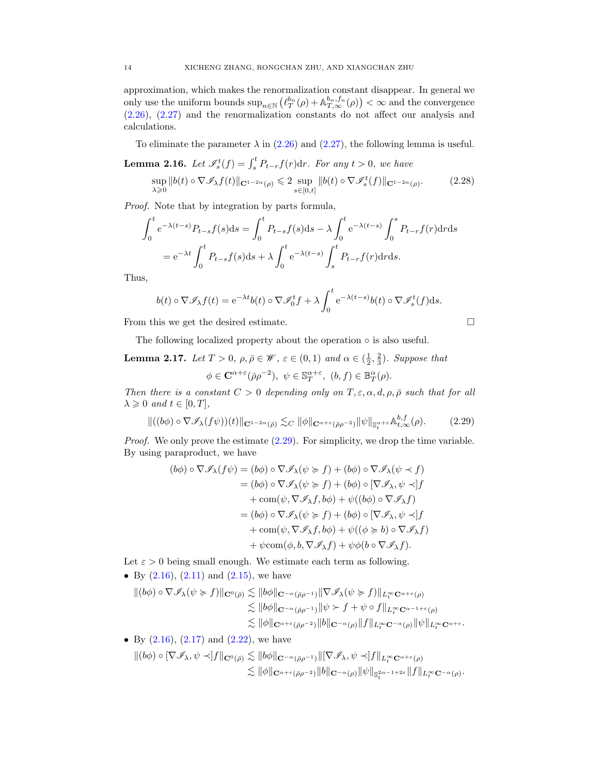approximation, which makes the renormalization constant disappear. In general we only use the uniform bounds  $\sup_{n\in\mathbb{N}}\left(\ell_T^{b_n}(\rho)+\mathbb{A}_{T,\infty}^{b_n,f_n}(\rho)\right)<\infty$  and the convergence [\(2.26\)](#page-12-3), [\(2.27\)](#page-12-4) and the renormalization constants do not affect our analysis and calculations.

To eliminate the parameter  $\lambda$  in [\(2.26\)](#page-12-3) and [\(2.27\)](#page-12-4), the following lemma is useful.

<span id="page-13-2"></span>**Lemma 2.16.** Let  $\mathscr{I}_{s}^{t}(f) = \int_{s}^{t} P_{t-r}f(r)dr$ . For any  $t > 0$ , we have

$$
\sup_{\lambda \geq 0} \|b(t) \circ \nabla \mathcal{I}_{\lambda} f(t)\|_{\mathbf{C}^{1-2\alpha}(\rho)} \leq 2 \sup_{s \in [0,t]} \|b(t) \circ \nabla \mathcal{I}_{s}^{t}(f)\|_{\mathbf{C}^{1-2\alpha}(\rho)}.
$$
 (2.28)

Proof. Note that by integration by parts formula,

$$
\int_0^t e^{-\lambda(t-s)} P_{t-s} f(s) ds = \int_0^t P_{t-s} f(s) ds - \lambda \int_0^t e^{-\lambda(t-s)} \int_0^s P_{t-r} f(r) dr ds
$$
  
=  $e^{-\lambda t} \int_0^t P_{t-s} f(s) ds + \lambda \int_0^t e^{-\lambda(t-s)} \int_s^t P_{t-r} f(r) dr ds.$ 

Thus,

$$
b(t) \circ \nabla \mathscr{I}_{\lambda} f(t) = e^{-\lambda t} b(t) \circ \nabla \mathscr{I}_0^t f + \lambda \int_0^t e^{-\lambda (t-s)} b(t) \circ \nabla \mathscr{I}_s^t (f) ds.
$$

From this we get the desired estimate.

<span id="page-13-0"></span>
$$
\qquad \qquad \Box
$$

The following localized property about the operation  $\circ$  is also useful.

<span id="page-13-1"></span>**Lemma 2.17.** Let  $T > 0$ ,  $\rho, \bar{\rho} \in \mathcal{W}$ ,  $\varepsilon \in (0, 1)$  and  $\alpha \in (\frac{1}{2}, \frac{2}{3})$ . Suppose that  $\phi \in \mathbf{C}^{\alpha+\varepsilon}(\bar{\rho}\rho^{-2}), \ \psi \in \mathbb{S}_T^{\alpha+\varepsilon}, \ (b,f) \in \mathbb{B}_T^{\alpha}(\rho).$ 

Then there is a constant  $C > 0$  depending only on  $T, \varepsilon, \alpha, d, \rho, \bar{\rho}$  such that for all  $\lambda \geqslant 0$  and  $t \in [0, T]$ ,

$$
\|((b\phi)\circ\nabla\mathscr{I}_{\lambda}(f\psi))(t)\|_{\mathbf{C}^{1-2\alpha}(\bar{\rho})}\lesssim_C \|\phi\|_{\mathbf{C}^{\alpha+\varepsilon}(\bar{\rho}\rho^{-2})}\|\psi\|_{\mathbb{S}_t^{\alpha+\varepsilon}}\mathbb{A}_{t,\infty}^{b,f}(\rho). \tag{2.29}
$$

Proof. We only prove the estimate  $(2.29)$ . For simplicity, we drop the time variable. By using paraproduct, we have

$$
(b\phi) \circ \nabla \mathscr{I}_{\lambda}(f\psi) = (b\phi) \circ \nabla \mathscr{I}_{\lambda}(\psi \succ f) + (b\phi) \circ \nabla \mathscr{I}_{\lambda}(\psi \prec f)
$$
  
\n
$$
= (b\phi) \circ \nabla \mathscr{I}_{\lambda}(\psi \succ f) + (b\phi) \circ [\nabla \mathscr{I}_{\lambda}, \psi \prec] f
$$
  
\n
$$
+ \text{com}(\psi, \nabla \mathscr{I}_{\lambda}f, b\phi) + \psi((b\phi) \circ \nabla \mathscr{I}_{\lambda}f)
$$
  
\n
$$
= (b\phi) \circ \nabla \mathscr{I}_{\lambda}(\psi \succ f) + (b\phi) \circ [\nabla \mathscr{I}_{\lambda}, \psi \prec] f
$$
  
\n
$$
+ \text{com}(\psi, \nabla \mathscr{I}_{\lambda}f, b\phi) + \psi((\phi \succ g) \circ \nabla \mathscr{I}_{\lambda}f)
$$
  
\n
$$
+ \psi \text{com}(\phi, b, \nabla \mathscr{I}_{\lambda}f) + \psi \phi(b \circ \nabla \mathscr{I}_{\lambda}f).
$$

Let  $\varepsilon > 0$  being small enough. We estimate each term as following.

• By  $(2.16)$ ,  $(2.11)$  and  $(2.15)$ , we have

$$
\begin{aligned} \| (b\phi) \circ \nabla \mathscr{I}_{\lambda}(\psi \succcurlyeq f) \|_{\mathbf{C}^{0}(\bar{\rho})} &\lesssim \| b\phi \|_{\mathbf{C}^{-\alpha}(\bar{\rho}\rho^{-1})} \| \nabla \mathscr{I}_{\lambda}(\psi \succcurlyeq f) \|_{L_{t}^{\infty}\mathbf{C}^{\alpha+\varepsilon}(\rho)} \\ &\lesssim \| b\phi \|_{\mathbf{C}^{-\alpha}(\bar{\rho}\rho^{-1})} \| \psi \succ f + \psi \circ f \|_{L_{t}^{\infty}\mathbf{C}^{\alpha-1+\varepsilon}(\rho)} \\ &\lesssim \| \phi \|_{\mathbf{C}^{\alpha+\varepsilon}(\bar{\rho}\rho^{-2})} \| b \|_{\mathbf{C}^{-\alpha}(\rho)} \| f \|_{L_{t}^{\infty}\mathbf{C}^{-\alpha}(\rho)} \| \psi \|_{L_{t}^{\infty}\mathbf{C}^{\alpha+\varepsilon}}. \end{aligned}
$$

• By  $(2.16)$ ,  $(2.17)$  and  $(2.22)$ , we have

$$
\begin{aligned} \| (b \phi) \circ [\nabla \mathscr{I}_{\lambda}, \psi \prec] f \|_{{\mathbf C}^0(\bar{\rho})} &\lesssim \| b \phi \|_{{\mathbf C}^{-\alpha}(\bar{\rho} \rho^{-1})} \| [\nabla \mathscr{I}_{\lambda}, \psi \prec] f \|_{L^\infty_t {\mathbf C}^{\alpha+\varepsilon}(\rho)} \\ &\lesssim \| \phi \|_{{\mathbf C}^{\alpha+\varepsilon}(\bar{\rho} \rho^{-2})} \| b \|_{{\mathbf C}^{-\alpha}(\rho)} \| \psi \|_{{\mathbb S}^{2\alpha-1+2\varepsilon}_t} \| f \|_{L^\infty_t {\mathbf C}^{-\alpha}(\rho)}. \end{aligned}
$$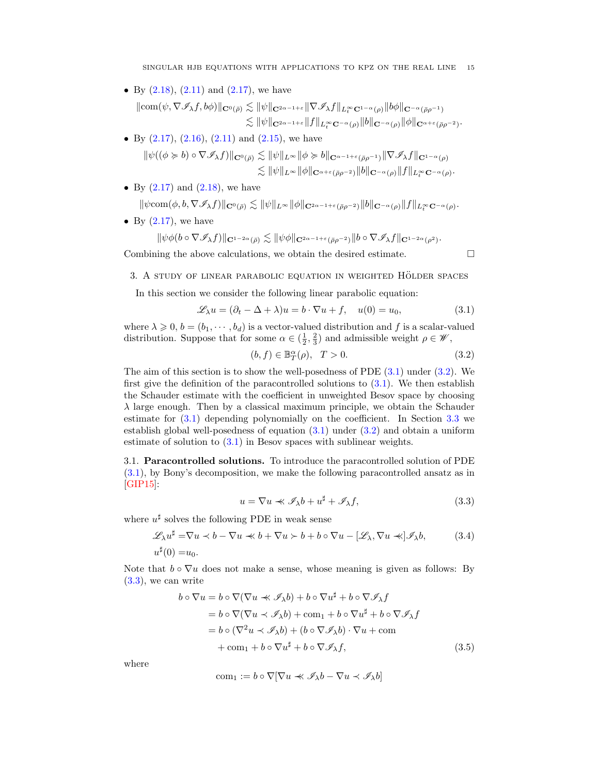SINGULAR HJB EQUATIONS WITH APPLICATIONS TO KPZ ON THE REAL LINE 15

• By  $(2.18)$ ,  $(2.11)$  and  $(2.17)$ , we have

 $\|\text{com}(\psi, \nabla\mathscr{I}_{\lambda}f, b\phi)\|_{\mathbf{C}^0(\bar{\rho})} \lesssim \|\psi\|_{\mathbf{C}^{2\alpha-1+\varepsilon}}\|\nabla\mathscr{I}_{\lambda}f\|_{L^\infty_{\tau}\mathbf{C}^{1-\alpha}(\rho)}\|b\phi\|_{\mathbf{C}^{-\alpha}(\bar{\rho}\rho^{-1})}$  $\lesssim \|\psi\|_{\mathbf{C}^{2\alpha-1+\varepsilon}} \|f\|_{L^\infty_t \mathbf{C}^{-\alpha}(\rho)} \|b\|_{\mathbf{C}^{-\alpha}(\rho)} \|\phi\|_{\mathbf{C}^{\alpha+\varepsilon}(\bar{\rho}\rho^{-2})}.$ 

• By  $(2.17)$ ,  $(2.16)$ ,  $(2.11)$  and  $(2.15)$ , we have  $\left\| \psi((\phi \subseteq b) \circ \nabla \mathcal{A}, f) \right\|_{\infty} \leq \left\| \psi \|_{\infty} \right\| \left\| \phi \subseteq b \right\|$ 

$$
\|\psi((\varphi \succcurlyeq b) \circ \nabla \mathscr{I}_{\lambda}f)\|_{\mathbf{C}^{0}(\bar{\rho})} \lesssim \|\psi\|_{L^{\infty}} \|\varphi \succcurlyeq b\|_{\mathbf{C}^{\alpha-1+\varepsilon}(\bar{\rho}\rho^{-1})}\|\nabla \mathscr{I}_{\lambda}f\|_{\mathbf{C}^{1-\alpha}(\rho)}\lesssim \|\psi\|_{L^{\infty}} \|\phi\|_{\mathbf{C}^{\alpha+\varepsilon}(\bar{\rho}\rho^{-2})}\|b\|_{\mathbf{C}^{-\alpha}(\rho)} \|f\|_{L^{\infty}_{t}(\mathbf{C}^{-\alpha}(\rho)}.
$$

• By  $(2.17)$  and  $(2.18)$ , we have

 $\|\psi\text{com}(\phi,b,\nabla {\mathscr I}_\lambda f)\|_{{\mathbf C}^0(\bar\rho)}\lesssim \|\psi\|_{L^\infty}\|\phi\|_{{\mathbf C}^{2\alpha-1+\varepsilon}(\bar\rho\rho^{-2})}\|b\|_{{\mathbf C}^{-\alpha}(\rho)}\|f\|_{L^\infty_t{\mathbf C}^{-\alpha}(\rho)}.$ 

• By  $(2.17)$ , we have

$$
\|\psi\phi(b\circ \nabla {\mathscr I}_\lambda f)\|_{{\mathbf C}^{1-2\alpha}(\bar\rho)}\lesssim \|\psi\phi\|_{{\mathbf C}^{2\alpha-1+\varepsilon}(\bar\rho\rho^{-2})} \|b\circ \nabla {\mathscr I}_\lambda f\|_{{\mathbf C}^{1-2\alpha}(\rho^2)}.
$$

Combining the above calculations, we obtain the desired estimate.  $\Box$ 

<span id="page-14-3"></span><span id="page-14-2"></span>

<span id="page-14-0"></span>3. A STUDY OF LINEAR PARABOLIC EQUATION IN WEIGHTED HÖLDER SPACES

In this section we consider the following linear parabolic equation:

$$
\mathcal{L}_{\lambda}u = (\partial_t - \Delta + \lambda)u = b \cdot \nabla u + f, \quad u(0) = u_0,
$$
\n(3.1)

where  $\lambda \geq 0$ ,  $b = (b_1, \dots, b_d)$  is a vector-valued distribution and f is a scalar-valued distribution. Suppose that for some  $\alpha \in (\frac{1}{2}, \frac{2}{3})$  and admissible weight  $\rho \in \mathscr{W}$ ,

$$
(b, f) \in \mathbb{B}^{\alpha}_{T}(\rho), \quad T > 0.
$$
\n
$$
(3.2)
$$

The aim of this section is to show the well-posedness of PDE [\(3.1\)](#page-14-2) under [\(3.2\)](#page-14-3). We first give the definition of the paracontrolled solutions to  $(3.1)$ . We then establish the Schauder estimate with the coefficient in unweighted Besov space by choosing  $\lambda$  large enough. Then by a classical maximum principle, we obtain the Schauder estimate for [\(3.1\)](#page-14-2) depending polynomially on the coefficient. In Section [3.3](#page-18-0) we establish global well-posedness of equation [\(3.1\)](#page-14-2) under [\(3.2\)](#page-14-3) and obtain a uniform estimate of solution to  $(3.1)$  in Besov spaces with sublinear weights.

<span id="page-14-1"></span>3.1. Paracontrolled solutions. To introduce the paracontrolled solution of PDE [\(3.1\)](#page-14-2), by Bony's decomposition, we make the following paracontrolled ansatz as in [\[GIP15\]](#page-48-0):

<span id="page-14-5"></span><span id="page-14-4"></span>
$$
u = \nabla u \ll \mathcal{I}_{\lambda} b + u^{\sharp} + \mathcal{I}_{\lambda} f, \tag{3.3}
$$

where  $u^{\sharp}$  solves the following PDE in weak sense

$$
\mathcal{L}_{\lambda} u^{\sharp} = \nabla u \prec b - \nabla u \prec b + \nabla u \succ b + b \circ \nabla u - [\mathcal{L}_{\lambda}, \nabla u \prec] \mathcal{I}_{\lambda} b, \qquad (3.4)
$$
  

$$
u^{\sharp}(0) = u_0.
$$

Note that  $b \circ \nabla u$  does not make a sense, whose meaning is given as follows: By [\(3.3\)](#page-14-4), we can write

$$
b \circ \nabla u = b \circ \nabla (\nabla u \ll \mathcal{I}_{\lambda} b) + b \circ \nabla u^{\sharp} + b \circ \nabla \mathcal{I}_{\lambda} f
$$
  
=  $b \circ \nabla (\nabla u \prec \mathcal{I}_{\lambda} b) + \text{com}_1 + b \circ \nabla u^{\sharp} + b \circ \nabla \mathcal{I}_{\lambda} f$   
=  $b \circ (\nabla^2 u \prec \mathcal{I}_{\lambda} b) + (b \circ \nabla \mathcal{I}_{\lambda} b) \cdot \nabla u + \text{com}$   
+  $\text{com}_1 + b \circ \nabla u^{\sharp} + b \circ \nabla \mathcal{I}_{\lambda} f,$  (3.5)

where

<span id="page-14-6"></span>
$$
\text{com}_1 := b \circ \nabla[\nabla u \prec \mathscr{I}_\lambda b - \nabla u \prec \mathscr{I}_\lambda b]
$$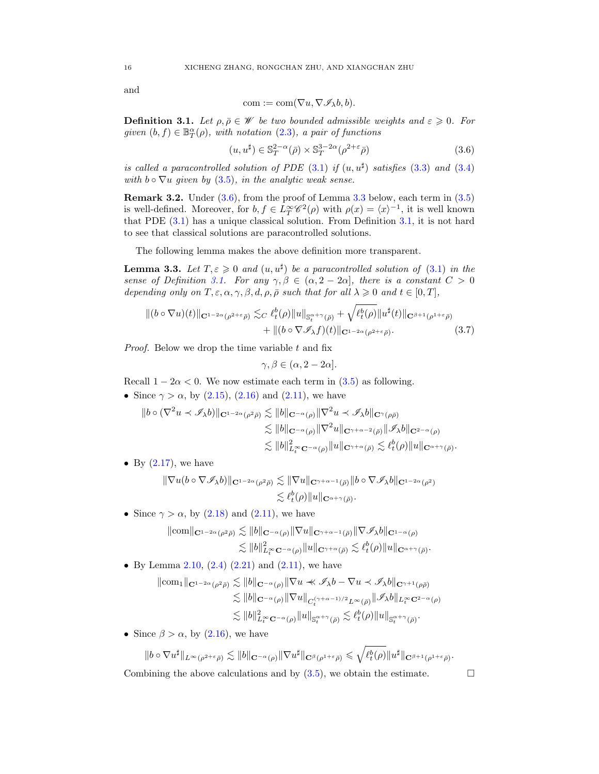and

<span id="page-15-0"></span>
$$
com := com(\nabla u, \nabla \mathcal{I}_{\lambda}b, b).
$$

<span id="page-15-2"></span>**Definition 3.1.** Let  $\rho, \overline{\rho} \in \mathcal{W}$  be two bounded admissible weights and  $\varepsilon \geqslant 0$ . For given  $(b, f) \in \mathbb{B}^{\alpha}_{T}(\rho)$ , with notation  $(2.3)$ , a pair of functions

$$
(u, u^{\sharp}) \in \mathbb{S}_T^{2-\alpha}(\bar{\rho}) \times \mathbb{S}_T^{3-2\alpha}(\rho^{2+\varepsilon}\bar{\rho})
$$
\n
$$
(3.6)
$$

is called a paracontrolled solution of PDE  $(3.1)$  if  $(u, u^{\sharp})$  satisfies  $(3.3)$  and  $(3.4)$ with  $b \circ \nabla u$  given by [\(3.5\)](#page-14-6), in the analytic weak sense.

Remark 3.2. Under [\(3.6\)](#page-15-0), from the proof of Lemma [3.3](#page-15-1) below, each term in [\(3.5\)](#page-14-6) is well-defined. Moreover, for  $b, f \in L_T^{\infty} \mathscr{C}^2(\rho)$  with  $\rho(x) = \langle x \rangle^{-1}$ , it is well known that PDE [\(3.1\)](#page-14-2) has a unique classical solution. From Definition [3.1,](#page-15-2) it is not hard to see that classical solutions are paracontrolled solutions.

The following lemma makes the above definition more transparent.

<span id="page-15-1"></span>**Lemma 3.3.** Let  $T, \varepsilon \geq 0$  and  $(u, u^{\sharp})$  be a paracontrolled solution of [\(3.1\)](#page-14-2) in the sense of Definition [3.1.](#page-15-2) For any  $\gamma, \beta \in (\alpha, 2 - 2\alpha]$ , there is a constant  $C > 0$ depending only on  $T, \varepsilon, \alpha, \gamma, \beta, d, \rho, \bar{\rho}$  such that for all  $\lambda \geq 0$  and  $t \in [0, T]$ ,

$$
\| (b \circ \nabla u)(t) \|_{\mathbf{C}^{1-2\alpha}(\rho^{2+\epsilon}\bar{\rho})} \lesssim_C \ell_t^b(\rho) \| u \|_{\mathbb{S}_t^{\alpha+\gamma}(\bar{\rho})} + \sqrt{\ell_t^b(\rho)} \| u^\sharp(t) \|_{\mathbf{C}^{\beta+1}(\rho^{1+\epsilon}\bar{\rho})} + \| (b \circ \nabla \mathscr{I}_\lambda f)(t) \|_{\mathbf{C}^{1-2\alpha}(\rho^{2+\epsilon}\bar{\rho})}.
$$
 (3.7)

*Proof.* Below we drop the time variable  $t$  and fix

<span id="page-15-3"></span>
$$
\gamma, \beta \in (\alpha, 2 - 2\alpha].
$$

Recall  $1 - 2\alpha < 0$ . We now estimate each term in [\(3.5\)](#page-14-6) as following.

• Since  $\gamma > \alpha$ , by [\(2.15\)](#page-10-1), [\(2.16\)](#page-10-3) and [\(2.11\)](#page-9-1), we have

$$
\|b \circ (\nabla^2 u \prec \mathscr{I}_{\lambda} b)\|_{\mathbf{C}^{1-2\alpha}(\rho^2 \bar{\rho})} \lesssim \|b\|_{\mathbf{C}^{-\alpha}(\rho)} \|\nabla^2 u \prec \mathscr{I}_{\lambda} b\|_{\mathbf{C}^{\gamma}(\rho \bar{\rho})}
$$
  

$$
\lesssim \|b\|_{\mathbf{C}^{-\alpha}(\rho)} \|\nabla^2 u\|_{\mathbf{C}^{\gamma+\alpha-2}(\bar{\rho})} \|\mathscr{I}_{\lambda} b\|_{\mathbf{C}^{2-\alpha}(\rho)}
$$
  

$$
\lesssim \|b\|_{L_t^\infty \mathbf{C}^{-\alpha}(\rho)}^2 \|u\|_{\mathbf{C}^{\gamma+\alpha}(\bar{\rho})} \lesssim \ell_t^b(\rho) \|u\|_{\mathbf{C}^{\alpha+\gamma}(\bar{\rho})}.
$$

• By  $(2.17)$ , we have

$$
\begin{aligned} \|\nabla u (b \circ \nabla \mathscr{I}_{\lambda} b) \|_{\mathbf{C}^{1-2\alpha}(\rho^2\bar{\rho})} &\lesssim \|\nabla u\|_{\mathbf{C}^{\gamma+\alpha-1}(\bar{\rho})} \|b \circ \nabla \mathscr{I}_{\lambda} b\|_{\mathbf{C}^{1-2\alpha}(\rho^2)} \\ &\lesssim \ell_t^b(\rho) \|u\|_{\mathbf{C}^{\alpha+\gamma}(\bar{\rho})}. \end{aligned}
$$

• Since  $\gamma > \alpha$ , by [\(2.18\)](#page-10-5) and [\(2.11\)](#page-9-1), we have

$$
\|com\|_{\mathbf{C}^{1-2\alpha}(\rho^2\bar{\rho})}\lesssim \|b\|_{\mathbf{C}^{-\alpha}(\rho)} \|\nabla u\|_{\mathbf{C}^{\gamma+\alpha-1}(\bar{\rho})} \|\nabla \mathscr{I}_{\lambda}b\|_{\mathbf{C}^{1-\alpha}(\rho)}\lesssim \|b\|_{L_t^\infty \mathbf{C}^{-\alpha}(\rho)}^2 \|u\|_{\mathbf{C}^{\gamma+\alpha}(\bar{\rho})}\lesssim \ell_t^b(\rho) \|u\|_{\mathbf{C}^{\alpha+\gamma}(\bar{\rho})}.
$$

• By Lemma [2.10,](#page-10-6)  $(2.4)$   $(2.21)$  and  $(2.11)$ , we have

$$
\|\text{com}_1\|_{\mathbf{C}^{1-2\alpha}(\rho^2\bar{\rho})} \lesssim \|b\|_{\mathbf{C}^{-\alpha}(\rho)} \|\nabla u \prec \mathscr{I}_{\lambda}b - \nabla u \prec \mathscr{I}_{\lambda}b\|_{\mathbf{C}^{\gamma+1}(\rho\bar{\rho})}
$$
  
\n
$$
\lesssim \|b\|_{\mathbf{C}^{-\alpha}(\rho)} \|\nabla u\|_{C_t^{(\gamma+\alpha-1)/2} L^{\infty}(\bar{\rho})} \|\mathscr{I}_{\lambda}b\|_{L^{\infty}_t \mathbf{C}^{2-\alpha}(\rho)}
$$
  
\n
$$
\lesssim \|b\|_{L^{\infty}_t \mathbf{C}^{-\alpha}(\rho)}^2 \|u\|_{\mathbf{S}^{\alpha+\gamma}_t(\bar{\rho})} \lesssim \ell^b_t(\rho) \|u\|_{\mathbf{S}^{\alpha+\gamma}_t(\bar{\rho})}.
$$

• Since  $\beta > \alpha$ , by [\(2.16\)](#page-10-3), we have

$$
||b \circ \nabla u^{\sharp}||_{L^{\infty}(\rho^{2+\varepsilon}\bar{\rho})} \lesssim ||b||_{\mathbf{C}^{-\alpha}(\rho)} ||\nabla u^{\sharp}||_{\mathbf{C}^{\beta}(\rho^{1+\varepsilon}\bar{\rho})} \leqslant \sqrt{\ell_{t}^{b}(\rho)} ||u^{\sharp}||_{\mathbf{C}^{\beta+1}(\rho^{1+\varepsilon}\bar{\rho})}.
$$

Combining the above calculations and by  $(3.5)$ , we obtain the estimate.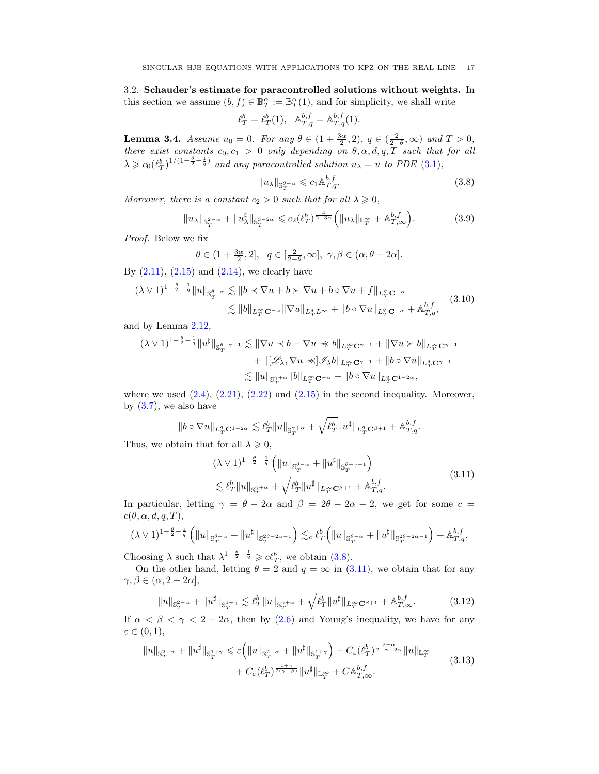<span id="page-16-0"></span>3.2. Schauder's estimate for paracontrolled solutions without weights. In this section we assume  $(b, f) \in \mathbb{B}_T^{\alpha} := \mathbb{B}_T^{\alpha}(1)$ , and for simplicity, we shall write

$$
\ell_T^b = \ell_T^b(1), \quad \mathbb{A}_{T,q}^{b,f} = \mathbb{A}_{T,q}^{b,f}(1).
$$

<span id="page-16-6"></span>**Lemma 3.4.** Assume  $u_0 = 0$ . For any  $\theta \in (1 + \frac{3\alpha}{2}, 2)$ ,  $q \in (\frac{2}{2-\theta}, \infty)$  and  $T > 0$ , there exist constants  $c_0, c_1 > 0$  only depending on  $\theta, \alpha, d, q, T$  such that for all  $\lambda \geqslant c_0 \left(\ell_T^b\right)^{1/(1-\frac{\theta}{2}-\frac{1}{q})}$  and any paracontrolled solution  $u_\lambda = u$  to PDE [\(3.1\)](#page-14-2),

<span id="page-16-5"></span><span id="page-16-1"></span>
$$
||u_{\lambda}||_{\mathbb{S}^{\theta-\alpha}_{T}} \leqslant c_{1}\mathbb{A}^{b,f}_{T,q}.
$$
\n(3.8)

Moreover, there is a constant  $c_2 > 0$  such that for all  $\lambda \geq 0$ ,

$$
||u_{\lambda}||_{\mathbb{S}_T^{2-\alpha}} + ||u_{\lambda}^{\sharp}||_{\mathbb{S}_T^{3-2\alpha}} \leqslant c_2(\ell_T^b)^{\frac{4}{2-3\alpha}} \Big(||u_{\lambda}||_{\mathbb{L}_T^{\infty}} + \mathbb{A}_{T,\infty}^{b,f} \Big). \tag{3.9}
$$

Proof. Below we fix

$$
\theta \in (1 + \frac{3\alpha}{2}, 2], q \in [\frac{2}{2-\theta}, \infty], \gamma, \beta \in (\alpha, \theta - 2\alpha].
$$
  
5) and (2.14) we clearly have

By  $(2.11)$ ,  $(2.15)$  and  $(2.14)$ , we clearly have

$$
(\lambda \vee 1)^{1-\frac{\theta}{2}-\frac{1}{q}}\|u\|_{\mathbb{S}_{T}^{\theta-\alpha}} \lesssim \|b \times \nabla u + b \succ \nabla u + b \circ \nabla u + f\|_{L_{T}^{q} \mathbf{C}^{-\alpha}}
$$
  

$$
\lesssim \|b\|_{L_{T}^{\infty} \mathbf{C}^{-\alpha}} \|\nabla u\|_{L_{T}^{q} L^{\infty}} + \|b \circ \nabla u\|_{L_{T}^{q} \mathbf{C}^{-\alpha}} + \mathbb{A}_{T,q}^{b,f}, \tag{3.10}
$$

and by Lemma [2.12,](#page-11-3)

$$
(\lambda \vee 1)^{1-\frac{\theta}{2}-\frac{1}{q}}\|u^{\sharp}\|_{\mathbb{S}^{\theta+\gamma-1}_{T}} \lesssim \|\nabla u \prec b - \nabla u \prec b\|_{L^{\infty}_{T}C^{\gamma-1}} + \|\nabla u \succ b\|_{L^{\infty}_{T}C^{\gamma-1}} + \|[{\mathscr L}_{\lambda}, \nabla u \prec {\mathscr L}_{\lambda} b\|_{L^{\infty}_{T}C^{\gamma-1}} + \|b \circ \nabla u\|_{L^{q}_{T}C^{\gamma-1}} \lesssim \|u\|_{\mathbb{S}^{\gamma+\alpha}_{T}} \|b\|_{L^{\infty}_{T}C^{-\alpha}} + \|b \circ \nabla u\|_{L^{q}_{T}C^{1-2\alpha}},
$$

where we used  $(2.4)$ ,  $(2.21)$ ,  $(2.22)$  and  $(2.15)$  in the second inequality. Moreover, by  $(3.7)$ , we also have

$$
\|b\circ\nabla u\|_{L^q_T\mathbf{C}^{1-2\alpha}}\lesssim \ell^b_T\|u\|_{\mathbb{S}^{\gamma+\alpha}_T}+\sqrt{\ell^b_T}\|u^\sharp\|_{L^q_T\mathbf{C}^{\beta+1}}+\mathbb{A}^{b,f}_{T,q}.
$$

Thus, we obtain that for all  $\lambda \geqslant 0$ ,

<span id="page-16-4"></span><span id="page-16-2"></span>
$$
(\lambda \vee 1)^{1 - \frac{\theta}{2} - \frac{1}{q}} \left( \|u\|_{\mathbb{S}^{\theta-\alpha}_{T}} + \|u^{\sharp}\|_{\mathbb{S}^{\theta+\gamma-1}_{T}} \right)
$$
  
\$\lesssim \ell\_{T}^{b} \|u\|\_{\mathbb{S}^{\gamma+\alpha}\_{T}} + \sqrt{\ell\_{T}^{b}} \|u^{\sharp}\|\_{L^{\infty}\_{T}} \mathbf{C}^{\beta+1} + \mathbb{A}^{b,f}\_{T,q}. \tag{3.11}

In particular, letting  $\gamma = \theta - 2\alpha$  and  $\beta = 2\theta - 2\alpha - 2$ , we get for some  $c =$  $c(\theta, \alpha, d, q, T),$ 

$$
(\lambda \vee 1)^{1-\frac{\theta}{2}-\frac{1}{q}} \left( \|u\|_{\mathbb{S}^{\theta-\alpha}_{T}} + \|u^{\sharp}\|_{\mathbb{S}^{2\theta-2\alpha-1}_{T}} \right) \lesssim_c \ell_T^b \left( \|u\|_{\mathbb{S}^{\theta-\alpha}_{T}} + \|u^{\sharp}\|_{\mathbb{S}^{2\theta-2\alpha-1}_{T}} \right) + \mathbb{A}^{b,f}_{T,q}.
$$

Choosing  $\lambda$  such that  $\lambda^{1-\frac{\theta}{2}-\frac{1}{q}} \geqslant c\ell_{T}^{b}$ , we obtain [\(3.8\)](#page-16-1).

On the other hand, letting  $\theta = 2$  and  $q = \infty$  in [\(3.11\)](#page-16-2), we obtain that for any  $\gamma, \beta \in (\alpha, 2 - 2\alpha],$ 

<span id="page-16-3"></span>
$$
||u||_{\mathbb{S}_T^{2-\alpha}} + ||u^{\sharp}||_{\mathbb{S}_T^{1+\gamma}} \lesssim \ell_T^b ||u||_{\mathbb{S}_T^{\gamma+\alpha}} + \sqrt{\ell_T^b} ||u^{\sharp}||_{L_T^{\infty} \mathbf{C}^{\beta+1}} + \mathbb{A}_{T,\infty}^{b,f}.
$$
 (3.12)

If  $\alpha < \beta < \gamma < 2 - 2\alpha$ , then by [\(2.6\)](#page-8-5) and Young's inequality, we have for any  $\varepsilon \in (0,1),$ 

$$
||u||_{\mathbb{S}_{T}^{2-\alpha}} + ||u^{\sharp}||_{\mathbb{S}_{T}^{1+\gamma}} \leq \varepsilon \left( ||u||_{\mathbb{S}_{T}^{2-\alpha}} + ||u^{\sharp}||_{\mathbb{S}_{T}^{1+\gamma}} \right) + C_{\varepsilon}(\ell_{T}^{b})^{\frac{2-\alpha}{2-\gamma-2\alpha}} ||u||_{\mathbb{L}_{T}^{\infty}} + C_{\varepsilon}(\ell_{T}^{b})^{\frac{1+\gamma}{2(\gamma-\beta)}} ||u^{\sharp}||_{\mathbb{L}_{T}^{\infty}} + C \mathbb{A}_{T,\infty}^{b,f}.
$$
\n(3.13)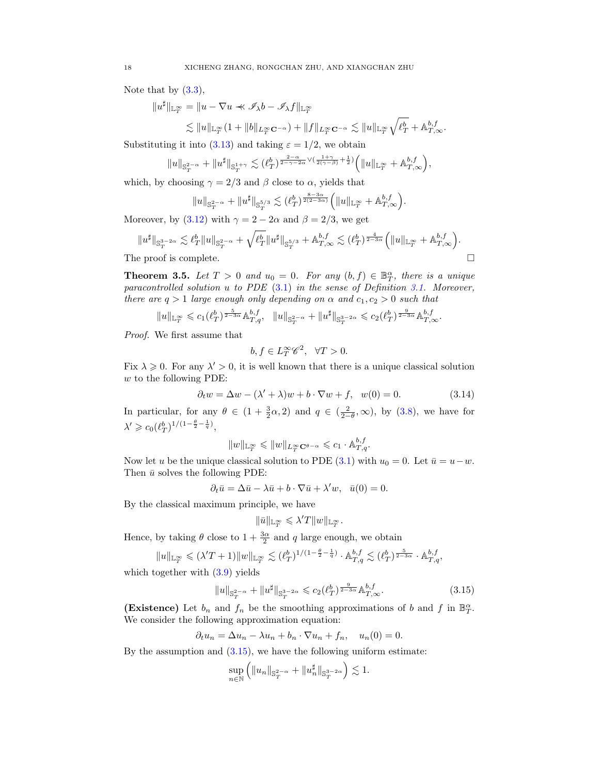Note that by  $(3.3)$ ,

$$
||u^{\sharp}||_{\mathbb{L}_T^{\infty}} = ||u - \nabla u \prec \mathscr{I}_{\lambda}b - \mathscr{I}_{\lambda}f||_{\mathbb{L}_T^{\infty}}
$$

 $\lesssim \|u\|_{{\mathbb L}^\infty_T} (1 + \|b\|_{L^\infty_T{\mathbf C}^{-\alpha}}) + \|f\|_{L^\infty_T{\mathbf C}^{-\alpha}} \lesssim \|u\|_{{\mathbb L}^\infty_T} \sqrt{\ell_T^b} + {\mathbb A}^{b,f}_{T,\infty}.$ 

Substituting it into [\(3.13\)](#page-16-3) and taking  $\varepsilon = 1/2$ , we obtain

$$
||u||_{\mathbb{S}_T^{2-\alpha}}+||u^{\sharp}||_{\mathbb{S}_T^{1+\gamma}}\lesssim(\ell_T^b)^{\frac{2-\alpha}{2-\gamma-2\alpha}\vee(\frac{1+\gamma}{2(\gamma-\beta)}+\frac{1}{2})}\Big(||u||_{\mathbb{L}_T^\infty}+\mathbb{A}_{T,\infty}^{b,f}\Big),
$$

which, by choosing  $\gamma = 2/3$  and  $\beta$  close to  $\alpha$ , yields that

$$
||u||_{\mathbb{S}_T^{2-\alpha}} + ||u^{\sharp}||_{\mathbb{S}_T^{5/3}} \lesssim (\ell_T^b)^{\frac{8-3\alpha}{2(2-3\alpha)}} \Big( ||u||_{\mathbb{L}_T^{\infty}} + \mathbb{A}_{T,\infty}^{b,f} \Big).
$$

Moreover, by [\(3.12\)](#page-16-4) with  $\gamma = 2 - 2\alpha$  and  $\beta = 2/3$ , we get

$$
\|u^\sharp\|_{{\mathbb S}^{3-2\alpha}_T}\lesssim \ell^b_T\|u\|_{{\mathbb S}^{2-\alpha}_T}+\sqrt{\ell^b_T}\|u^\sharp\|_{{\mathbb S}^{5/3}_T}+{\mathbb A}^{b,f}_{T,\infty}\lesssim (\ell^b_T)^{\frac{4}{2-3\alpha}}\Big(\|u\|_{{\mathbb L}^\infty_T}+{\mathbb A}^{b,f}_{T,\infty}\Big).
$$
 The proof is complete.  $\hskip1cm\square$ 

<span id="page-17-1"></span>**Theorem 3.5.** Let  $T > 0$  and  $u_0 = 0$ . For any  $(b, f) \in \mathbb{B}_T^{\alpha}$ , there is a unique paracontrolled solution u to PDE  $(3.1)$  in the sense of Definition [3.1.](#page-15-2) Moreover, there are  $q > 1$  large enough only depending on  $\alpha$  and  $c_1, c_2 > 0$  such that

$$
||u||_{\mathbb{L}_T^\infty}\leqslant c_1(\ell_T^b)^{\frac{5}{2-3\alpha}}\mathbb{A}_{T,q}^{b,f},\quad ||u||_{\mathbb{S}_T^{2-\alpha}}+||u^\sharp||_{\mathbb{S}_T^{3-2\alpha}}\leqslant c_2(\ell_T^b)^{\frac{9}{2-3\alpha}}\mathbb{A}_{T,\infty}^{b,f}.
$$

Proof. We first assume that

$$
b, f \in L_T^{\infty} \mathscr{C}^2, \quad \forall T > 0.
$$

Fix  $\lambda \geq 0$ . For any  $\lambda' > 0$ , it is well known that there is a unique classical solution w to the following PDE:

$$
\partial_t w = \Delta w - (\lambda' + \lambda)w + b \cdot \nabla w + f, \quad w(0) = 0. \tag{3.14}
$$

In particular, for any  $\theta \in (1 + \frac{3}{2}\alpha, 2)$  and  $q \in (\frac{2}{2-\theta}, \infty)$ , by [\(3.8\)](#page-16-1), we have for  $\lambda' \geq c_0 \left(\ell_T^b\right)^{1/(1-\frac{\theta}{2}-\frac{1}{q})},$ 

$$
||w||_{\mathbb{L}_T^\infty}\leqslant ||w||_{L_T^\infty{\mathbf{C}}^{\theta-\alpha}}\leqslant c_1\cdot \mathbb{A}^{b,f}_{T,q}.
$$

Now let u be the unique classical solution to PDE [\(3.1\)](#page-14-2) with  $u_0 = 0$ . Let  $\bar{u} = u - w$ . Then  $\bar{u}$  solves the following PDE:

$$
\partial_t \bar{u} = \Delta \bar{u} - \lambda \bar{u} + b \cdot \nabla \bar{u} + \lambda' w, \quad \bar{u}(0) = 0.
$$

By the classical maximum principle, we have

<span id="page-17-0"></span>
$$
\|\bar u\|_{{\mathbb L}^\infty_T}\leqslant \lambda' T\|w\|_{{\mathbb L}^\infty_T}.
$$

Hence, by taking  $\theta$  close to  $1 + \frac{3\alpha}{2}$  and q large enough, we obtain

$$
||u||_{\mathbb{L}_T^{\infty}} \leqslant (\lambda' T + 1)||w||_{\mathbb{L}_T^{\infty}} \lesssim (\ell_T^b)^{1/(1 - \frac{\theta}{2} - \frac{1}{q})} \cdot \mathbb{A}_{T,q}^{b,f} \lesssim (\ell_T^b)^{\frac{5}{2 - 3\alpha}} \cdot \mathbb{A}_{T,q}^{b,f},
$$

which together with  $(3.9)$  yields

$$
||u||_{\mathbb{S}_T^{2-\alpha}} + ||u^{\sharp}||_{\mathbb{S}_T^{3-2\alpha}} \leq c_2(\ell_T^b)^{\frac{9}{2-3\alpha}} \mathbb{A}_{T,\infty}^{b,f}.
$$
 (3.15)

(Existence) Let  $b_n$  and  $f_n$  be the smoothing approximations of b and f in  $\mathbb{B}_T^{\alpha}$ . We consider the following approximation equation:

$$
\partial_t u_n = \Delta u_n - \lambda u_n + b_n \cdot \nabla u_n + f_n, \quad u_n(0) = 0.
$$

By the assumption and  $(3.15)$ , we have the following uniform estimate:

$$
\sup_{n \in \mathbb{N}} \left( \|u_n\|_{\mathbb{S}^{2-\alpha}_T} + \|u_n^{\sharp}\|_{\mathbb{S}^{3-2\alpha}_T} \right) \lesssim 1.
$$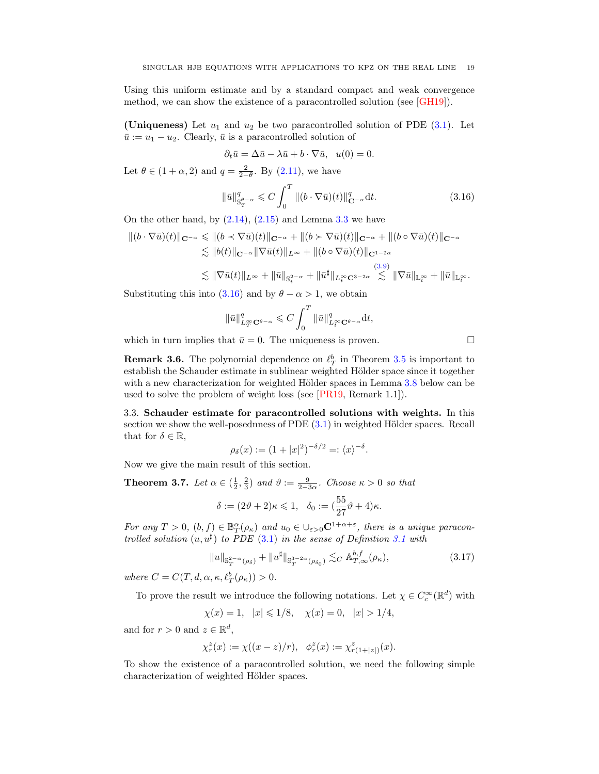Using this uniform estimate and by a standard compact and weak convergence method, we can show the existence of a paracontrolled solution (see [\[GH19\]](#page-48-16)).

(Uniqueness) Let  $u_1$  and  $u_2$  be two paracontrolled solution of PDE [\(3.1\)](#page-14-2). Let  $\bar{u} := u_1 - u_2$ . Clearly,  $\bar{u}$  is a paracontrolled solution of

$$
\partial_t \bar{u} = \Delta \bar{u} - \lambda \bar{u} + b \cdot \nabla \bar{u}, \ \ u(0) = 0.
$$

Let  $\theta \in (1 + \alpha, 2)$  and  $q = \frac{2}{2 - \theta}$ . By  $(2.11)$ , we have

$$
\|\bar{u}\|_{\mathbb{S}^{\theta-\alpha}_{T}}^{q} \leqslant C \int_{0}^{T} \|(b \cdot \nabla \bar{u})(t)\|_{\mathbf{C}^{-\alpha}}^{q} dt. \tag{3.16}
$$

On the other hand, by  $(2.14)$ ,  $(2.15)$  and Lemma [3.3](#page-15-1) we have

$$
\begin{split} \|(b\cdot\nabla\bar{u})(t)\|_{\mathbf{C}^{-\alpha}} &\leqslant \|(b\prec\nabla\bar{u})(t)\|_{\mathbf{C}^{-\alpha}} + \|(b\succ\nabla\bar{u})(t)\|_{\mathbf{C}^{-\alpha}} + \|(b\circ\nabla\bar{u})(t)\|_{\mathbf{C}^{-\alpha}} \\ &\lesssim \|b(t)\|_{\mathbf{C}^{-\alpha}} \|\nabla\bar{u}(t)\|_{L^\infty} + \|(b\circ\nabla\bar{u})(t)\|_{\mathbf{C}^{1-2\alpha}} \\ &\lesssim \|\nabla\bar{u}(t)\|_{L^\infty} + \|\bar{u}\|_{\mathbf{S}^{2-\alpha}_t} + \|\bar{u}^{\sharp}\|_{L^\infty_t\mathbf{C}^{3-2\alpha}} \lesssim \|\nabla\bar{u}\|_{\mathbb{L}^\infty_t} + \|\bar{u}\|_{\mathbb{L}^\infty_t}. \end{split}
$$

Substituting this into [\(3.16\)](#page-18-2) and by  $\theta - \alpha > 1$ , we obtain

$$
\|\bar{u}\|_{L^{\infty}_T\mathbf{C}^{\theta-\alpha}}^q \leqslant C \int_0^T \|\bar{u}\|_{L^{\infty}_t\mathbf{C}^{\theta-\alpha}}^q \mathrm{d}t,
$$

which in turn implies that  $\bar{u} = 0$ . The uniqueness is proven.

**Remark 3.6.** The polynomial dependence on  $\ell_T^b$  in Theorem [3.5](#page-17-1) is important to establish the Schauder estimate in sublinear weighted Hölder space since it together with a new characterization for weighted Hölder spaces in Lemma [3.8](#page-19-0) below can be used to solve the problem of weight loss (see [\[PR19,](#page-48-17) Remark 1.1]).

<span id="page-18-0"></span>3.3. Schauder estimate for paracontrolled solutions with weights. In this section we show the well-posednness of PDE  $(3.1)$  in weighted Hölder spaces. Recall that for  $\delta \in \mathbb{R}$ ,

$$
\rho_{\delta}(x) := (1+|x|^2)^{-\delta/2} =: \langle x \rangle^{-\delta}.
$$

Now we give the main result of this section.

<span id="page-18-1"></span>**Theorem 3.7.** Let  $\alpha \in (\frac{1}{2}, \frac{2}{3})$  and  $\vartheta := \frac{9}{2-3\alpha}$ . Choose  $\kappa > 0$  so that

$$
\delta := (2\vartheta + 2)\kappa \leq 1, \quad \delta_0 := (\frac{55}{27}\vartheta + 4)\kappa.
$$

For any  $T > 0$ ,  $(b, f) \in \mathbb{B}^{\alpha}_{T}(\rho_{\kappa})$  and  $u_0 \in \bigcup_{\varepsilon > 0} \mathbb{C}^{1 + \alpha + \varepsilon}$ , there is a unique paracontrolled solution  $(u, u^{\sharp})$  to PDE [\(3.1\)](#page-14-2) in the sense of Definition [3.1](#page-15-2) with

$$
||u||_{\mathbb{S}_T^{2-\alpha}(\rho_\delta)} + ||u^{\sharp}||_{\mathbb{S}_T^{3-2\alpha}(\rho_{\delta_0})} \lesssim_C \mathbb{A}_{T,\infty}^{b,f}(\rho_\kappa),\tag{3.17}
$$

where  $C = C(T, d, \alpha, \kappa, \ell_T^b(\rho_\kappa)) > 0.$ 

To prove the result we introduce the following notations. Let  $\chi \in C_c^{\infty}(\mathbb{R}^d)$  with

$$
\chi(x) = 1, \quad |x| \leq 1/8, \quad \chi(x) = 0, \quad |x| > 1/4,
$$

and for  $r > 0$  and  $z \in \mathbb{R}^d$ ,

$$
\chi_r^z(x) := \chi((x-z)/r), \quad \phi_r^z(x) := \chi_{r(1+|z|)}^z(x).
$$

To show the existence of a paracontrolled solution, we need the following simple characterization of weighted Hölder spaces.

<span id="page-18-2"></span>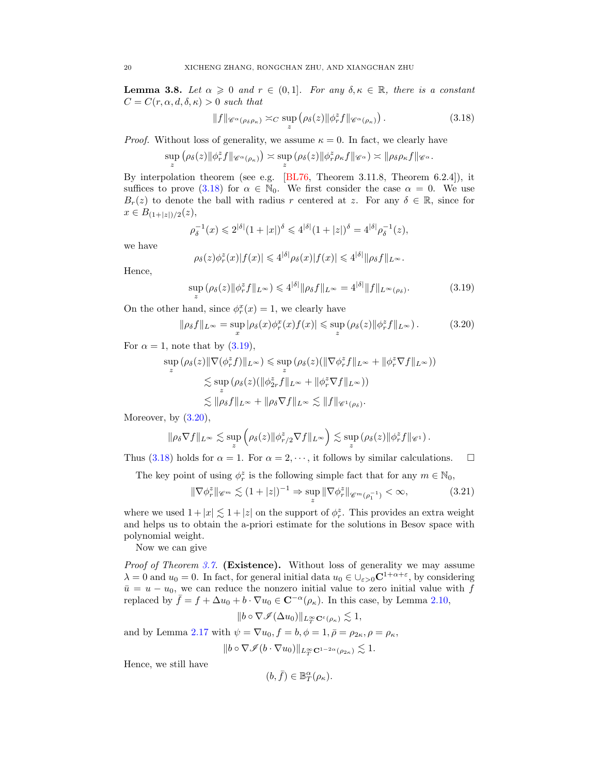<span id="page-19-0"></span>**Lemma 3.8.** Let  $\alpha \geq 0$  and  $r \in (0,1]$ . For any  $\delta, \kappa \in \mathbb{R}$ , there is a constant  $C = C(r, \alpha, d, \delta, \kappa) > 0$  such that

<span id="page-19-1"></span>
$$
||f||_{\mathscr{C}^{\alpha}(\rho_{\delta}\rho_{\kappa})} \asymp_C \sup_{z} (\rho_{\delta}(z)||\phi_r^z f||_{\mathscr{C}^{\alpha}(\rho_{\kappa})}). \tag{3.18}
$$

*Proof.* Without loss of generality, we assume  $\kappa = 0$ . In fact, we clearly have

$$
\sup_{z} (\rho_{\delta}(z) || \phi_{r}^{z} f ||_{\mathscr{C}^{\alpha}(\rho_{\kappa})}) \asymp \sup_{z} (\rho_{\delta}(z) || \phi_{r}^{z} \rho_{\kappa} f ||_{\mathscr{C}^{\alpha}}) \asymp || \rho_{\delta} \rho_{\kappa} f ||_{\mathscr{C}^{\alpha}}.
$$

By interpolation theorem (see e.g. [\[BL76,](#page-47-11) Theorem 3.11.8, Theorem 6.2.4]), it suffices to prove [\(3.18\)](#page-19-1) for  $\alpha \in \mathbb{N}_0$ . We first consider the case  $\alpha = 0$ . We use  $B_r(z)$  to denote the ball with radius r centered at z. For any  $\delta \in \mathbb{R}$ , since for  $x \in B_{(1+|z|)/2}(z),$ 

$$
\rho_{\delta}^{-1}(x) \leq 2^{|\delta|} (1+|x|)^{\delta} \leq 4^{|\delta|} (1+|z|)^{\delta} = 4^{|\delta|} \rho_{\delta}^{-1}(z),
$$

we have

<span id="page-19-2"></span>
$$
\rho_{\delta}(z)\phi_{r}^{z}(x)|f(x)| \leq 4^{|\delta|}\rho_{\delta}(x)|f(x)| \leq 4^{|\delta|}\|\rho_{\delta}f\|_{L^{\infty}}.
$$

Hence,

<span id="page-19-3"></span>
$$
\sup_{z} \left( \rho_{\delta}(z) \| \phi_{r}^{z} f \|_{L^{\infty}} \right) \leq 4^{|\delta|} \| \rho_{\delta} f \|_{L^{\infty}} = 4^{|\delta|} \| f \|_{L^{\infty}(\rho_{\delta})}.
$$
\n(3.19)

On the other hand, since  $\phi_r^x(x) = 1$ , we clearly have

$$
\|\rho_{\delta}f\|_{L^{\infty}} = \sup_{x} |\rho_{\delta}(x)\phi_r^x(x)f(x)| \leq \sup_{z} (\rho_{\delta}(z)\|\phi_r^z f\|_{L^{\infty}}). \tag{3.20}
$$

For  $\alpha = 1$ , note that by  $(3.19)$ ,

$$
\sup_{z} (\rho_{\delta}(z) \|\nabla(\phi_{r}^{z}f)\|_{L^{\infty}}) \leq \sup_{z} (\rho_{\delta}(z) (\|\nabla\phi_{r}^{z}f\|_{L^{\infty}} + \|\phi_{r}^{z}\nabla f\|_{L^{\infty}}))
$$
  

$$
\lesssim \sup_{z} (\rho_{\delta}(z) (\|\phi_{2r}^{z}f\|_{L^{\infty}} + \|\phi_{r}^{z}\nabla f\|_{L^{\infty}}))
$$
  

$$
\lesssim \|\rho_{\delta}f\|_{L^{\infty}} + \|\rho_{\delta}\nabla f\|_{L^{\infty}} \lesssim \|f\|_{\mathscr{C}^{1}(\rho_{\delta})}.
$$

Moreover, by  $(3.20)$ ,

$$
\|\rho_{\delta} \nabla f\|_{L^{\infty}} \lesssim \sup_{z} \left(\rho_{\delta}(z) \|\phi_{r/2}^{z} \nabla f\|_{L^{\infty}}\right) \lesssim \sup_{z} \left(\rho_{\delta}(z) \|\phi_{r}^{z} f\|_{\mathscr{C}^{1}}\right).
$$

Thus [\(3.18\)](#page-19-1) holds for  $\alpha = 1$ . For  $\alpha = 2, \dots$ , it follows by similar calculations.  $\square$ 

The key point of using  $\phi_r^z$  is the following simple fact that for any  $m \in \mathbb{N}_0$ ,

$$
\|\nabla \phi_r^z\|_{\mathscr{C}^m} \lesssim (1+|z|)^{-1} \Rightarrow \sup_z \|\nabla \phi_r^z\|_{\mathscr{C}^m(\rho_1^{-1})} < \infty,\tag{3.21}
$$

where we used  $1+|x| \lesssim 1+|z|$  on the support of  $\phi_r^z$ . This provides an extra weight and helps us to obtain the a-priori estimate for the solutions in Besov space with polynomial weight.

Now we can give

Proof of Theorem [3.7.](#page-18-1) (Existence). Without loss of generality we may assume  $\lambda = 0$  and  $u_0 = 0$ . In fact, for general initial data  $u_0 \in \bigcup_{\varepsilon > 0} C^{1 + \alpha + \varepsilon}$ , by considering  $\bar{u} = u - u_0$ , we can reduce the nonzero initial value to zero initial value with f replaced by  $\bar{f} = f + \Delta u_0 + b \cdot \nabla u_0 \in \mathbb{C}^{-\alpha}(\rho_\kappa)$ . In this case, by Lemma [2.10,](#page-10-6)

<span id="page-19-4"></span>
$$
||b \circ \nabla \mathscr{I}(\Delta u_0)||_{L^\infty_T \mathbf{C}^{\varepsilon}(\rho_\kappa)} \lesssim 1,
$$

and by Lemma [2.17](#page-13-1) with  $\psi = \nabla u_0, f = b, \phi = 1, \bar{\rho} = \rho_{2\kappa}, \rho = \rho_{\kappa},$ 

$$
||b \circ \nabla \mathcal{I}(b \cdot \nabla u_0)||_{L^{\infty}_T \mathbf{C}^{1-2\alpha}(\rho_{2\kappa})} \lesssim 1.
$$

Hence, we still have

$$
(b,\bar{f})\in \mathbb{B}^\alpha_T(\rho_\kappa).
$$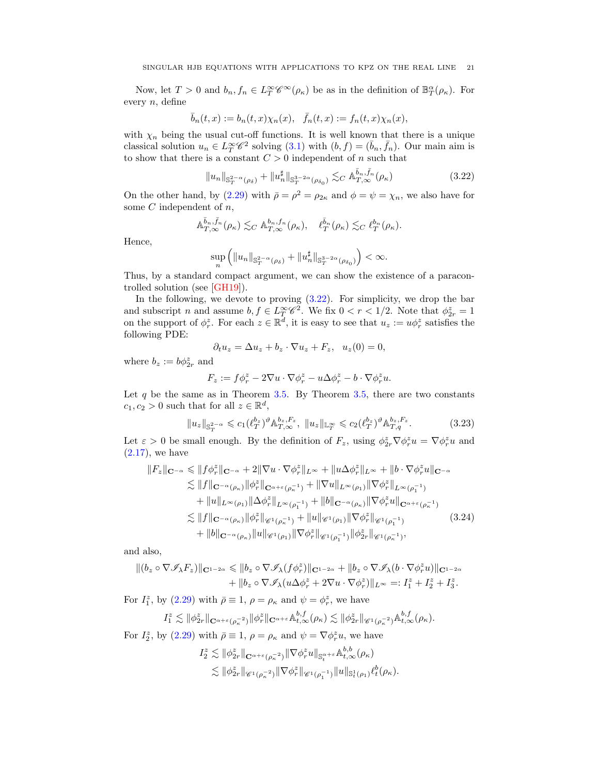Now, let  $T > 0$  and  $b_n, f_n \in L_T^{\infty} \mathscr{C}^{\infty}(\rho_{\kappa})$  be as in the definition of  $\mathbb{B}_T^{\alpha}(\rho_{\kappa})$ . For every n, define

$$
\bar{b}_n(t,x) := b_n(t,x)\chi_n(x), \quad \bar{f}_n(t,x) := f_n(t,x)\chi_n(x),
$$

with  $\chi_n$  being the usual cut-off functions. It is well known that there is a unique classical solution  $u_n \in L^\infty_T \mathscr{C}^2$  solving  $(3.1)$  with  $(b, f) = (\bar{b}_n, \bar{f}_n)$ . Our main aim is to show that there is a constant  $C > 0$  independent of n such that

<span id="page-20-0"></span>
$$
||u_n||_{\mathbb{S}_T^{2-\alpha}(\rho_\delta)} + ||u_n^{\sharp}||_{\mathbb{S}_T^{3-2\alpha}(\rho_{\delta_0})} \lesssim_C \mathbb{A}_{T,\infty}^{\bar{b}_n, \bar{f}_n}(\rho_\kappa)
$$
(3.22)

On the other hand, by [\(2.29\)](#page-13-0) with  $\bar{\rho} = \rho^2 = \rho_{2\kappa}$  and  $\phi = \psi = \chi_n$ , we also have for some  $C$  independent of  $n$ ,

$$
\mathbb{A}_{T,\infty}^{\bar{b}_n,\bar{f}_n}(\rho_\kappa)\lesssim_C \mathbb{A}_{T,\infty}^{b_n,f_n}(\rho_\kappa),\quad \ell_T^{\bar{b}_n}(\rho_\kappa)\lesssim_C \ell_T^{b_n}(\rho_\kappa).
$$

Hence,

$$
\sup_{n}\left(\|u_{n}\|_{\mathbb{S}_{T}^{2-\alpha}(\rho_{\delta})}+\|u_{n}^{\sharp}\|_{\mathbb{S}_{T}^{3-2\alpha}(\rho_{\delta_{0}})}\right)<\infty.
$$

Thus, by a standard compact argument, we can show the existence of a paracontrolled solution (see [\[GH19\]](#page-48-16)).

In the following, we devote to proving  $(3.22)$ . For simplicity, we drop the bar and subscript n and assume  $b, f \in L^\infty_T \mathscr{C}^2$ . We fix  $0 < r < 1/2$ . Note that  $\phi^z_{2r} = 1$ on the support of  $\phi_r^z$ . For each  $z \in \mathbb{R}^d$ , it is easy to see that  $u_z := u\phi_r^z$  satisfies the following PDE:

$$
\partial_t u_z = \Delta u_z + b_z \cdot \nabla u_z + F_z, \quad u_z(0) = 0,
$$

where  $b_z := b\phi_{2r}^z$  and

<span id="page-20-2"></span><span id="page-20-1"></span>
$$
F_z := f\phi_r^z - 2\nabla u \cdot \nabla \phi_r^z - u\Delta \phi_r^z - b \cdot \nabla \phi_r^z u.
$$

Let q be the same as in Theorem [3.5.](#page-17-1) By Theorem [3.5,](#page-17-1) there are two constants  $c_1, c_2 > 0$  such that for all  $z \in \mathbb{R}^d$ ,

$$
||u_z||_{\mathbb{S}_T^{2-\alpha}} \leq c_1 (\ell_T^{b_z})^{\vartheta} \mathbb{A}_{T,\infty}^{b_z, F_z}, \ ||u_z||_{\mathbb{L}_T^{\infty}} \leq c_2 (\ell_T^{b_z})^{\vartheta} \mathbb{A}_{T,q}^{b_z, F_z}.
$$
 (3.23)

Let  $\varepsilon > 0$  be small enough. By the definition of  $F_z$ , using  $\phi_{2r}^z \nabla \phi_r^z u = \nabla \phi_r^z u$  and  $(2.17)$ , we have

$$
||F_z||_{\mathbf{C}^{-\alpha}} \leq ||f\phi_r^z||_{\mathbf{C}^{-\alpha}} + 2||\nabla u \cdot \nabla \phi_r^z||_{L^{\infty}} + ||u\Delta \phi_r^z||_{L^{\infty}} + ||b \cdot \nabla \phi_r^z u||_{\mathbf{C}^{-\alpha}}
$$
  
\n
$$
\lesssim ||f||_{\mathbf{C}^{-\alpha}(\rho_{\kappa})} ||\phi_r^z||_{\mathbf{C}^{\alpha+\varepsilon}(\rho_{\kappa}^{-1})} + ||\nabla u||_{L^{\infty}(\rho_1)} ||\nabla \phi_r^z||_{L^{\infty}(\rho_1^{-1})}
$$
  
\n
$$
+ ||u||_{L^{\infty}(\rho_1)} ||\Delta \phi_r^z||_{L^{\infty}(\rho_1^{-1})} + ||b||_{\mathbf{C}^{-\alpha}(\rho_{\kappa})} ||\nabla \phi_r^z u||_{\mathbf{C}^{\alpha+\varepsilon}(\rho_{\kappa}^{-1})}
$$
  
\n
$$
\lesssim ||f||_{\mathbf{C}^{-\alpha}(\rho_{\kappa})} ||\phi_r^z||_{\mathscr{C}^1(\rho_{\kappa}^{-1})} + ||u||_{\mathscr{C}^1(\rho_1)} ||\nabla \phi_r^z||_{\mathscr{C}^1(\rho_1^{-1})}
$$
  
\n
$$
+ ||b||_{\mathbf{C}^{-\alpha}(\rho_{\kappa})} ||u||_{\mathscr{C}^1(\rho_1)} ||\nabla \phi_r^z||_{\mathscr{C}^1(\rho_1^{-1})} ||\phi_{2r}^z||_{\mathscr{C}^1(\rho_{\kappa}^{-1})},
$$
\n(3.24)

and also,

$$
\begin{aligned} \| (b_z \circ \nabla \mathscr{I}_{\lambda} F_z) \|_{\mathbf{C}^{1-2\alpha}} &\leqslant \| b_z \circ \nabla \mathscr{I}_{\lambda} (f \phi_r^z) \|_{\mathbf{C}^{1-2\alpha}} + \| b_z \circ \nabla \mathscr{I}_{\lambda} (b \cdot \nabla \phi_r^z u) \|_{\mathbf{C}^{1-2\alpha}} \\ &+ \| b_z \circ \nabla \mathscr{I}_{\lambda} (u \Delta \phi_r^z + 2 \nabla u \cdot \nabla \phi_r^z) \|_{L^\infty} =: I_1^z + I_2^z + I_3^z. \end{aligned}
$$

For  $I_1^z$ , by [\(2.29\)](#page-13-0) with  $\bar{\rho} \equiv 1$ ,  $\rho = \rho_{\kappa}$  and  $\psi = \phi_r^z$ , we have

$$
I_1^z \lesssim \|\phi^z_{2r}\|_{\mathbf{C}^{\alpha+\varepsilon}(\rho_\kappa^{-2})} \|\phi^z_r\|_{\mathbf{C}^{\alpha+\varepsilon}} \mathbb{A}^{b,f}_{t,\infty}(\rho_\kappa) \lesssim \|\phi^z_{2r}\|_{\mathscr{C}^1(\rho_\kappa^{-2})} \mathbb{A}^{b,f}_{t,\infty}(\rho_\kappa).
$$

For  $I_2^z$ , by [\(2.29\)](#page-13-0) with  $\bar{\rho} \equiv 1$ ,  $\rho = \rho_{\kappa}$  and  $\psi = \nabla \phi_r^z u$ , we have

$$
I_2^z \lesssim \|\phi_{2r}^z\|_{\mathbf{C}^{\alpha+\varepsilon}(\rho_\kappa^{-2})} \|\nabla \phi_r^z u\|_{\mathbf{S}_t^{\alpha+\varepsilon}} \mathbb{A}^{b,b}_{t,\infty}(\rho_\kappa) \lesssim \|\phi_{2r}^z\|_{\mathscr{C}^1(\rho_\kappa^{-2})} \|\nabla \phi_r^z\|_{\mathscr{C}^1(\rho_1^{-1})} \|u\|_{\mathbf{S}_t^1(\rho_1)} \ell_t^b(\rho_\kappa).
$$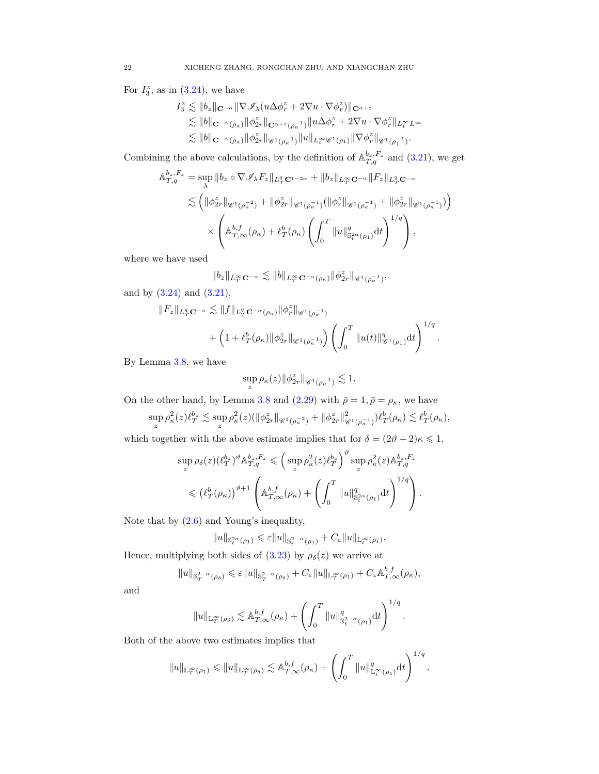For  $I_3^z$ , as in  $(3.24)$ , we have

$$
I_3^z \lesssim \|b_z\|_{\mathbf{C}^{-\alpha}} \|\nabla \mathscr{I}_\lambda (u \Delta \phi_r^z + 2\nabla u \cdot \nabla \phi_r^z)\|_{\mathbf{C}^{\alpha+\varepsilon}}
$$
  
\n
$$
\lesssim \|b\|_{\mathbf{C}^{-\alpha}(\rho_\kappa)} \|\phi_{2r}^z\|_{\mathbf{C}^{\alpha+\varepsilon}(\rho_\kappa^{-1})} \|u \Delta \phi_r^z + 2\nabla u \cdot \nabla \phi_r^z\|_{L^\infty_t L^\infty}
$$
  
\n
$$
\lesssim \|b\|_{\mathbf{C}^{-\alpha}(\rho_\kappa)} \|\phi_{2r}^z\|_{\mathscr{C}^1(\rho_\kappa^{-1})} \|u\|_{L^\infty_t \mathscr{C}^1(\rho_1)} \|\nabla \phi_r^z\|_{\mathscr{C}^1(\rho_1^{-1})}.
$$

Combining the above calculations, by the definition of  $\mathbb{A}_{T,q}^{b_z,F_z}$  and [\(3.21\)](#page-19-4), we get

$$
\mathbb{A}_{T,q}^{b_z, F_z} = \sup_{\lambda} \|b_z \circ \nabla \mathcal{I}_{\lambda} F_z\|_{L_T^q \mathbf{C}^{1-2\alpha}} + \|b_z\|_{L_T^\infty \mathbf{C}^{-\alpha}} \|F_z\|_{L_T^q \mathbf{C}^{-\alpha}}
$$
  

$$
\lesssim \left( \|\phi_{2r}^z\|_{\mathscr{C}^1(\rho_\kappa^{-2})} + \|\phi_{2r}^z\|_{\mathscr{C}^1(\rho_\kappa^{-1})} (\|\phi_r^z\|_{\mathscr{C}^1(\rho_\kappa^{-1})} + \|\phi_{2r}^z\|_{\mathscr{C}^1(\rho_\kappa^{-1})}) \right)
$$
  

$$
\times \left( \mathbb{A}_{T,\infty}^{b,f}(\rho_\kappa) + \ell_T^b(\rho_\kappa) \left( \int_0^T \|u\|_{\mathbb{S}_t^{2\alpha}(\rho_1)}^q dt \right)^{1/q} \right),
$$

where we have used

$$
\|b_z\|_{L^\infty_T{\mathbf C}^{-\alpha}}\lesssim\|b\|_{L^\infty_T{\mathbf C}^{-\alpha}(\rho_\kappa)}\|\phi^z_{2r}\|_{{\mathscr C}^1(\rho_\kappa^{-1})},
$$

and by  $(3.24)$  and  $(3.21)$ ,

$$
||F_z||_{L^q_T \mathbf{C}^{-\alpha}} \lesssim ||f||_{L^q_T \mathbf{C}^{-\alpha}(\rho_{\kappa})} ||\phi^z_r||_{\mathscr{C}^1(\rho_{\kappa}^{-1})} + \left(1 + \ell^b_T(\rho_{\kappa}) ||\phi^z_{2r}||_{\mathscr{C}^1(\rho_{\kappa}^{-1})}\right) \left(\int_0^T ||u(t)||^q_{\mathscr{C}^1(\rho_1)} \mathrm{d}t\right)^{1/q}.
$$

By Lemma [3.8,](#page-19-0) we have

$$
\sup_z \rho_{\kappa}(z) \|\phi^z_{2r}\|_{\mathscr{C}^1(\rho_{\kappa}^{-1})} \lesssim 1.
$$

On the other hand, by Lemma [3.8](#page-19-0) and [\(2.29\)](#page-13-0) with  $\bar{\rho} = 1, \bar{\rho} = \rho_{\kappa}$ , we have

$$
\sup_z\rho^2_\kappa(z)\ell_T^{b_z}\lesssim \sup_z\rho^2_\kappa(z)(\|\phi^z_{2r}\|_{\mathscr{C}^1(\rho_\kappa^{-2})}+\|\phi^z_{2r}\|_{\mathscr{C}^1(\rho_\kappa^{-1})}^2)\ell_T^{b}(\rho_\kappa)\lesssim \ell_T^{b}(\rho_\kappa),
$$

which together with the above estimate implies that for  $\delta = (2\vartheta + 2)\kappa \leq 1$ ,

$$
\sup_{z} \rho_{\delta}(z) (\ell_T^{b_z})^{\vartheta} \mathbb{A}_{T,q}^{b_z, F_z} \leqslant \left( \sup_{z} \rho_{\kappa}^2 (z) \ell_T^{b_z} \right)^{\vartheta} \sup_{z} \rho_{\kappa}^2(z) \mathbb{A}_{T,q}^{b_z, F_z}
$$
  

$$
\leqslant (\ell_T^{b}(\rho_{\kappa}))^{\vartheta+1} \left( \mathbb{A}_{T,\infty}^{b,f}(\rho_{\kappa}) + \left( \int_0^T \|u\|_{\mathbb{S}_t^{2\alpha}(\rho_1)}^q dt \right)^{1/q} \right).
$$

Note that by [\(2.6\)](#page-8-5) and Young's inequality,

$$
\|u\|_{{\mathbb S}^{2{\alpha}}_t(\rho_1)}\leqslant {\varepsilon} \|u\|_{{\mathbb S}^{2-{\alpha}}_t(\rho_1)}+C_{\varepsilon} \|u\|_{{\mathbb L}^\infty_t(\rho_1)}.
$$

Hence, multiplying both sides of [\(3.23\)](#page-20-2) by  $\rho_{\delta}(z)$  we arrive at

$$
||u||_{\mathbb{S}_T^{2-\alpha}(\rho_\delta)} \leqslant \varepsilon ||u||_{\mathbb{S}_T^{2-\alpha}(\rho_\delta)} + C_{\varepsilon} ||u||_{\mathbb{L}_T^{\infty}(\rho_1)} + C_{\varepsilon} \mathbb{A}_{T,\infty}^{b,f}(\rho_\kappa),
$$

and

$$
||u||_{\mathbb{L}_T^{\infty}(\rho_\delta)} \lesssim \mathbb{A}_{T,\infty}^{b,f}(\rho_\kappa) + \left(\int_0^T ||u||_{\mathbb{S}_t^{2-\alpha}(\rho_1)}^q dt\right)^{1/q}.
$$

Both of the above two estimates implies that

$$
||u||_{\mathbb{L}^{\infty}_{T}(\rho_{1})} \leq ||u||_{\mathbb{L}^{\infty}_{T}(\rho_{\delta})} \lesssim \mathbb{A}^{b,f}_{T,\infty}(\rho_{\kappa}) + \left(\int_{0}^{T} ||u||_{\mathbb{L}^{\infty}_{t}(\rho_{1})}^{q} dt\right)^{1/q}.
$$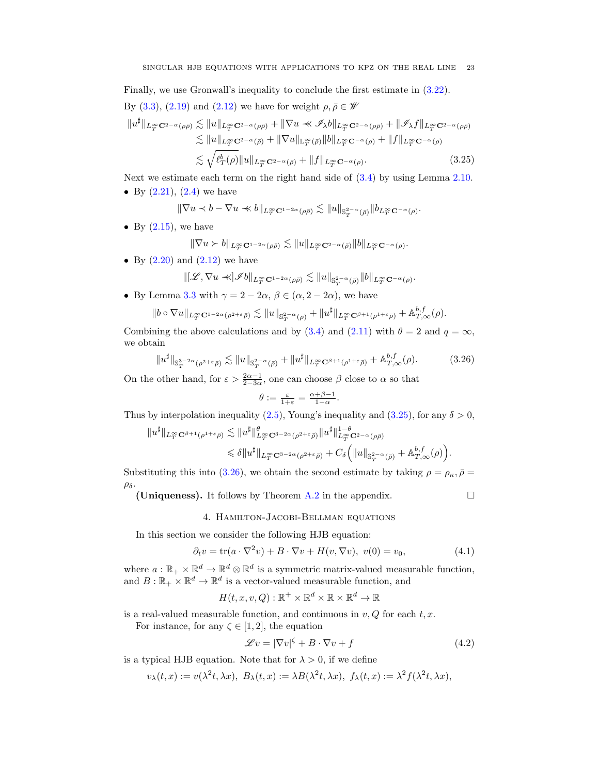Finally, we use Gronwall's inequality to conclude the first estimate in [\(3.22\)](#page-20-0). By [\(3.3\)](#page-14-4), [\(2.19\)](#page-11-4) and [\(2.12\)](#page-9-0) we have for weight  $\rho, \bar{\rho} \in \mathscr{W}$ 

$$
||u^{\sharp}||_{L^{\infty}_{T} \mathbf{C}^{2-\alpha}(\rho\bar{\rho})} \lesssim ||u||_{L^{\infty}_{T} \mathbf{C}^{2-\alpha}(\rho\bar{\rho})} + ||\nabla u \ll \mathscr{I}_{\lambda}b||_{L^{\infty}_{T} \mathbf{C}^{2-\alpha}(\rho\bar{\rho})} + ||\mathscr{I}_{\lambda}f||_{L^{\infty}_{T} \mathbf{C}^{2-\alpha}(\rho\bar{\rho})}
$$
  
\n
$$
\lesssim ||u||_{L^{\infty}_{T} \mathbf{C}^{2-\alpha}(\bar{\rho})} + ||\nabla u||_{L^{\infty}_{T} (\bar{\rho})} ||b||_{L^{\infty}_{T} \mathbf{C}^{-\alpha}(\rho)} + ||f||_{L^{\infty}_{T} \mathbf{C}^{-\alpha}(\rho)}
$$
  
\n
$$
\lesssim \sqrt{\ell^{b}_{T}(\rho)} ||u||_{L^{\infty}_{T} \mathbf{C}^{2-\alpha}(\bar{\rho})} + ||f||_{L^{\infty}_{T} \mathbf{C}^{-\alpha}(\rho)}.
$$
\n(3.25)

Next we estimate each term on the right hand side of [\(3.4\)](#page-14-5) by using Lemma [2.10.](#page-10-6) • By  $(2.21)$ ,  $(2.4)$  we have

$$
\|\nabla u\prec b-\nabla u\prec\!\!\prec b\|_{L^\infty_T{\mathbf C}^{1-2\alpha}(\rho\bar\rho)}\lesssim \|u\|_{{\mathbb S}^{2-\alpha}_T(\bar\rho)}\|b_{L^\infty_T{\mathbf C}^{-\alpha}(\rho)}.
$$

• By  $(2.15)$ , we have

<span id="page-22-1"></span>
$$
\|\nabla u \succ b\|_{L^\infty_T {\mathbf C}^{1-2\alpha}(\rho \bar \rho)} \lesssim \|u\|_{L^\infty_T {\mathbf C}^{2-\alpha}(\bar \rho)} \|b\|_{L^\infty_T {\mathbf C}^{-\alpha}(\rho)}.
$$

• By  $(2.20)$  and  $(2.12)$  we have

$$
\| [{\mathscr L}, \nabla u \prec\!\!\prec] {\mathscr I} b \|_{L^\infty_T {\mathbf C}^{1-2\alpha}(\rho \bar{\rho})} \lesssim \| u \|_{{\mathbf S}^{2- \alpha}_T(\bar{\rho})} \| b \|_{L^\infty_T {\mathbf C}^{-\alpha}(\rho)}.
$$

• By Lemma [3.3](#page-15-1) with  $\gamma = 2 - 2\alpha$ ,  $\beta \in (\alpha, 2 - 2\alpha)$ , we have

$$
||b \circ \nabla u||_{L_T^{\infty} \mathbf{C}^{1-2\alpha}(\rho^{2+\varepsilon}\bar{\rho})} \lesssim ||u||_{\mathbb{S}_T^{2-\alpha}(\bar{\rho})} + ||u^{\sharp}||_{L_T^{\infty} \mathbf{C}^{\beta+1}(\rho^{1+\varepsilon}\bar{\rho})} + \mathbb{A}_{T,\infty}^{b,f}(\rho).
$$

Combining the above calculations and by [\(3.4\)](#page-14-5) and [\(2.11\)](#page-9-1) with  $\theta = 2$  and  $q = \infty$ , we obtain

$$
||u^{\sharp}||_{\mathbb{S}^{3-2\alpha}_{T}(\rho^{2+\varepsilon}\bar{\rho})} \lesssim ||u||_{\mathbb{S}^{2-\alpha}_{T}(\bar{\rho})} + ||u^{\sharp}||_{L^{\infty}_{T}C^{\beta+1}(\rho^{1+\varepsilon}\bar{\rho})} + \mathbb{A}^{b,f}_{T,\infty}(\rho).
$$
 (3.26)

On the other hand, for  $\varepsilon > \frac{2\alpha - 1}{2 - 3\alpha}$ , one can choose  $\beta$  close to  $\alpha$  so that

$$
\theta := \frac{\varepsilon}{1+\varepsilon} = \frac{\alpha+\beta-1}{1-\alpha}.
$$

Thus by interpolation inequality [\(2.5\)](#page-8-6), Young's inequality and [\(3.25\)](#page-22-1), for any  $\delta > 0$ ,

$$
||u^{\sharp}||_{L^{\infty}_{T} \mathbf{C}^{\beta+1}(\rho^{1+\varepsilon}\bar{\rho})} \lesssim ||u^{\sharp}||_{L^{\infty}_{T} \mathbf{C}^{3-2\alpha}(\rho^{2+\varepsilon}\bar{\rho})}^{\theta} ||u^{\sharp}||_{L^{\infty}_{T} \mathbf{C}^{2-\alpha}(\rho\bar{\rho})}^{1-\theta} \leq \delta ||u^{\sharp}||_{L^{\infty}_{T} \mathbf{C}^{3-2\alpha}(\rho^{2+\varepsilon}\bar{\rho})} + C_{\delta} (||u||_{\mathbf{S}_{T}^{2-\alpha}(\bar{\rho})} + \mathbb{A}_{T,\infty}^{b,f}(\rho)).
$$

Substituting this into [\(3.26\)](#page-22-2), we obtain the second estimate by taking  $\rho = \rho_{\kappa}, \bar{\rho} =$  $\rho_{\delta}$ .

(Uniqueness). It follows by Theorem [A.2](#page-46-1) in the appendix.  $\Box$ 

<span id="page-22-4"></span><span id="page-22-3"></span><span id="page-22-2"></span>

## 4. Hamilton-Jacobi-Bellman equations

<span id="page-22-0"></span>In this section we consider the following HJB equation:

$$
\partial_t v = \text{tr}(a \cdot \nabla^2 v) + B \cdot \nabla v + H(v, \nabla v), \ v(0) = v_0,
$$
\n(4.1)

where  $a: \mathbb{R}_+ \times \mathbb{R}^d \to \mathbb{R}^d \otimes \mathbb{R}^d$  is a symmetric matrix-valued measurable function, and  $B: \mathbb{R}_+ \times \mathbb{R}^d \to \mathbb{R}^d$  is a vector-valued measurable function, and

 $H(t,x,v,Q): \mathbb{R}^+ \times \mathbb{R}^d \times \mathbb{R} \times \mathbb{R}^d \to \mathbb{R}$ 

is a real-valued measurable function, and continuous in  $v, Q$  for each  $t, x$ .

For instance, for any  $\zeta \in [1, 2]$ , the equation

$$
\mathcal{L}v = |\nabla v|^{\zeta} + B \cdot \nabla v + f \tag{4.2}
$$

is a typical HJB equation. Note that for  $\lambda > 0$ , if we define

$$
v_{\lambda}(t,x) := v(\lambda^{2}t, \lambda x), \ B_{\lambda}(t,x) := \lambda B(\lambda^{2}t, \lambda x), \ f_{\lambda}(t,x) := \lambda^{2}f(\lambda^{2}t, \lambda x),
$$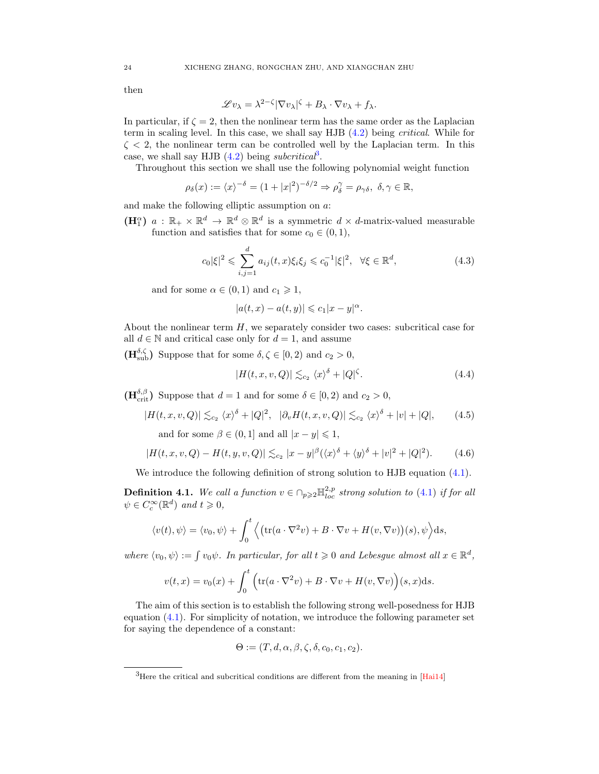then

$$
\mathscr{L}v_{\lambda} = \lambda^{2-\zeta} |\nabla v_{\lambda}|^{\zeta} + B_{\lambda} \cdot \nabla v_{\lambda} + f_{\lambda}.
$$

In particular, if  $\zeta = 2$ , then the nonlinear term has the same order as the Laplacian term in scaling level. In this case, we shall say HJB [\(4.2\)](#page-22-3) being critical. While for  $\zeta$  < 2, the nonlinear term can be controlled well by the Laplacian term. In this case, we shall say HJB  $(4.2)$  being *subcritical*<sup>[3](#page-23-0)</sup>.

Throughout this section we shall use the following polynomial weight function

$$
\rho_{\delta}(x) := \langle x \rangle^{-\delta} = (1+|x|^2)^{-\delta/2} \Rightarrow \rho_{\delta}^{\gamma} = \rho_{\gamma\delta}, \ \delta, \gamma \in \mathbb{R},
$$

and make the following elliptic assumption on a:

 $(\mathbf{H}_{1}^{\alpha})$  a :  $\mathbb{R}_{+}\times\mathbb{R}^{d}\to\mathbb{R}^{d}\otimes\mathbb{R}^{d}$  is a symmetric  $d\times d$ -matrix-valued measurable function and satisfies that for some  $c_0 \in (0, 1)$ ,

$$
c_0|\xi|^2 \leq \sum_{i,j=1}^d a_{ij}(t,x)\xi_i\xi_j \leq c_0^{-1}|\xi|^2, \quad \forall \xi \in \mathbb{R}^d,
$$
\n(4.3)

and for some  $\alpha \in (0,1)$  and  $c_1 \geq 1$ ,

<span id="page-23-1"></span>
$$
|a(t,x) - a(t,y)| \leqslant c_1 |x - y|^{\alpha}.
$$

About the nonlinear term  $H$ , we separately consider two cases: subcritical case for all  $d \in \mathbb{N}$  and critical case only for  $d = 1$ , and assume

 $(\mathbf{H}_{sub}^{\delta,\zeta})$  Suppose that for some  $\delta,\zeta \in [0,2)$  and  $c_2 > 0$ ,

<span id="page-23-4"></span><span id="page-23-3"></span><span id="page-23-2"></span>
$$
|H(t, x, v, Q)| \lesssim_{c_2} \langle x \rangle^{\delta} + |Q|^{\zeta}.
$$
 (4.4)

 $(\mathbf{H}_{\text{crit}}^{\delta,\beta})$  Suppose that  $d=1$  and for some  $\delta \in [0,2)$  and  $c_2 > 0$ ,

$$
|H(t, x, v, Q)| \lesssim_{c_2} \langle x \rangle^{\delta} + |Q|^2, \quad |\partial_v H(t, x, v, Q)| \lesssim_{c_2} \langle x \rangle^{\delta} + |v| + |Q|, \tag{4.5}
$$

and for some  $\beta \in (0, 1]$  and all  $|x - y| \leq 1$ ,

$$
|H(t, x, v, Q) - H(t, y, v, Q)| \lesssim_{c_2} |x - y|^{\beta} (\langle x \rangle^{\delta} + \langle y \rangle^{\delta} + |v|^2 + |Q|^2).
$$
 (4.6)

We introduce the following definition of strong solution to HJB equation  $(4.1)$ .

<span id="page-23-5"></span>**Definition 4.1.** We call a function  $v \in \bigcap_{p \geq 2} \mathbb{H}^{2,p}_{loc}$  strong solution to [\(4.1\)](#page-22-4) if for all  $\psi \in C_c^{\infty}(\mathbb{R}^d)$  and  $t \geqslant 0$ ,

$$
\langle v(t), \psi \rangle = \langle v_0, \psi \rangle + \int_0^t \left\langle \left( \text{tr}(a \cdot \nabla^2 v) + B \cdot \nabla v + H(v, \nabla v) \right) (s), \psi \right\rangle ds,
$$

where  $\langle v_0, \psi \rangle := \int v_0 \psi$ . In particular, for all  $t \geq 0$  and Lebesgue almost all  $x \in \mathbb{R}^d$ ,

$$
v(t,x) = v_0(x) + \int_0^t \left( \text{tr}(a \cdot \nabla^2 v) + B \cdot \nabla v + H(v, \nabla v) \right)(s, x) ds.
$$

The aim of this section is to establish the following strong well-posedness for HJB equation [\(4.1\)](#page-22-4). For simplicity of notation, we introduce the following parameter set for saying the dependence of a constant:

$$
\Theta := (T, d, \alpha, \beta, \zeta, \delta, c_0, c_1, c_2).
$$

<span id="page-23-0"></span> ${}^{3}$ Here the critical and subcritical conditions are different from the meaning in [\[Hai14\]](#page-48-10)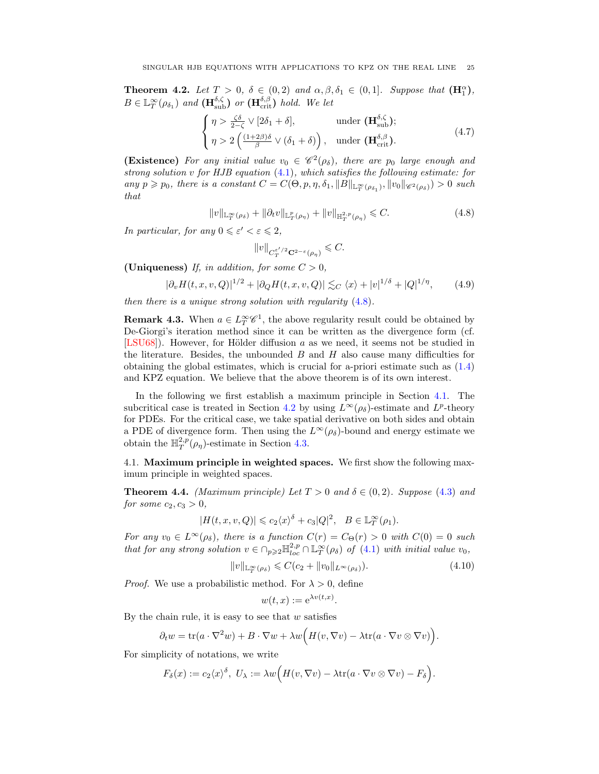<span id="page-24-1"></span>**Theorem 4.2.** Let  $T > 0$ ,  $\delta \in (0, 2)$  and  $\alpha, \beta, \delta_1 \in (0, 1]$ . Suppose that  $(\mathbf{H}_1^{\alpha})$ ,  $B \in \mathbb{L}_T^{\infty}(\rho_{\delta_1})$  and  $(\mathbf{H}_{sub}^{\delta,\zeta})$  or  $(\mathbf{H}_{\text{crit}}^{\delta,\beta})$  hold. We let

$$
\begin{cases}\n\eta > \frac{\zeta \delta}{2 - \zeta} \vee [2\delta_1 + \delta], & \text{under } (\mathbf{H}_{\text{sub}}^{\delta, \zeta}); \\
\eta > 2 \left( \frac{(1 + 2\beta)\delta}{\beta} \vee (\delta_1 + \delta) \right), & \text{under } (\mathbf{H}_{\text{crit}}^{\delta, \beta}).\n\end{cases} (4.7)
$$

**(Existence)** For any initial value  $v_0 \in \mathcal{C}^2(\rho_\delta)$ , there are  $p_0$  large enough and strong solution v for HJB equation [\(4.1\)](#page-22-4), which satisfies the following estimate: for any  $p \geq p_0$ , there is a constant  $C = C(\Theta, p, \eta, \delta_1, ||B||_{\mathbb{L}^{\infty}_{T}(\rho_{\delta_1})}, ||v_0||_{\mathscr{C}^2(\rho_{\delta})}) > 0$  such that

$$
||v||_{\mathbb{L}_T^{\infty}(\rho_\delta)} + ||\partial_t v||_{\mathbb{L}_T^p(\rho_\eta)} + ||v||_{\mathbb{H}_T^{2,p}(\rho_\eta)} \leqslant C. \tag{4.8}
$$

In particular, for any  $0 \leq \varepsilon' < \varepsilon \leq 2$ ,

<span id="page-24-6"></span><span id="page-24-5"></span><span id="page-24-2"></span>
$$
\|v\|_{C_T^{\varepsilon'/2}\mathbf{C}^{2-\varepsilon}(\rho_\eta)}\leqslant C.
$$

(Uniqueness) If, in addition, for some  $C > 0$ ,

$$
|\partial_v H(t, x, v, Q)|^{1/2} + |\partial_Q H(t, x, v, Q)| \lesssim_C \langle x \rangle + |v|^{1/\delta} + |Q|^{1/\eta}, \qquad (4.9)
$$

then there is a unique strong solution with regularity [\(4.8\)](#page-24-2).

**Remark 4.3.** When  $a \in L^\infty_T \mathscr{C}^1$ , the above regularity result could be obtained by De-Giorgi's iteration method since it can be written as the divergence form (cf. [\[LSU68\]](#page-48-22)). However, for Hölder diffusion  $a$  as we need, it seems not be studied in the literature. Besides, the unbounded  $B$  and  $H$  also cause many difficulties for obtaining the global estimates, which is crucial for a-priori estimate such as [\(1.4\)](#page-3-3) and KPZ equation. We believe that the above theorem is of its own interest.

In the following we first establish a maximum principle in Section [4.1.](#page-24-0) The subcritical case is treated in Section [4.2](#page-26-0) by using  $L^{\infty}(\rho_{\delta})$ -estimate and  $L^{p}$ -theory for PDEs. For the critical case, we take spatial derivative on both sides and obtain a PDE of divergence form. Then using the  $L^{\infty}(\rho_{\delta})$ -bound and energy estimate we obtain the  $\mathbb{H}^{2,p}_{T}(\rho_{\eta})$ -estimate in Section [4.3.](#page-28-0)

<span id="page-24-0"></span>4.1. Maximum principle in weighted spaces. We first show the following maximum principle in weighted spaces.

<span id="page-24-4"></span>**Theorem 4.4.** (Maximum principle) Let  $T > 0$  and  $\delta \in (0, 2)$ . Suppose [\(4.3\)](#page-23-1) and for some  $c_2, c_3 > 0$ ,

$$
|H(t, x, v, Q)| \leqslant c_2 \langle x \rangle^{\delta} + c_3 |Q|^2, \quad B \in \mathbb{L}^{\infty}_T(\rho_1).
$$

For any  $v_0 \in L^{\infty}(\rho_{\delta})$ , there is a function  $C(r) = C_{\Theta}(r) > 0$  with  $C(0) = 0$  such that for any strong solution  $v \in \bigcap_{p\geq 2} \mathbb{H}^{2,p}_{loc} \cap \mathbb{L}^{\infty}_T(\rho_\delta)$  of [\(4.1\)](#page-22-4) with initial value  $v_0$ ,

$$
||v||_{\mathbb{L}_T^{\infty}(\rho_\delta)} \leqslant C(c_2 + ||v_0||_{L^{\infty}(\rho_\delta)}).
$$
\n(4.10)

*Proof.* We use a probabilistic method. For  $\lambda > 0$ , define

<span id="page-24-3"></span>
$$
w(t,x) := e^{\lambda v(t,x)}.
$$

By the chain rule, it is easy to see that  $w$  satisfies

$$
\partial_t w = \text{tr}(a \cdot \nabla^2 w) + B \cdot \nabla w + \lambda w \Big( H(v, \nabla v) - \lambda \text{tr}(a \cdot \nabla v \otimes \nabla v) \Big).
$$

For simplicity of notations, we write

$$
F_{\delta}(x) := c_2 \langle x \rangle^{\delta}, \ U_{\lambda} := \lambda w \Big( H(v, \nabla v) - \lambda \text{tr}(a \cdot \nabla v \otimes \nabla v) - F_{\delta} \Big).
$$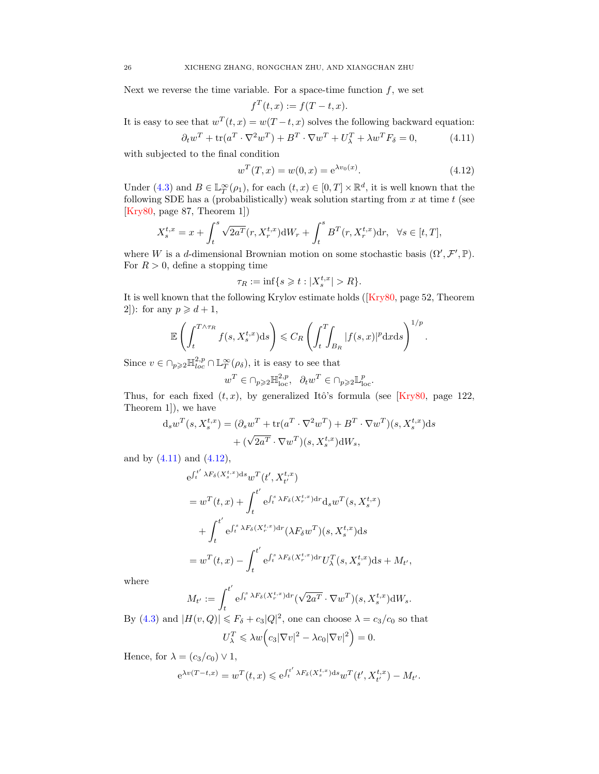Next we reverse the time variable. For a space-time function  $f$ , we set

<span id="page-25-0"></span>
$$
f^T(t,x) := f(T - t, x).
$$

It is easy to see that  $w^T(t,x) = w(T-t,x)$  solves the following backward equation:  $\partial_t w^T + \text{tr}(a^T \cdot \nabla^2 w^T) + B^T \cdot \nabla w^T + U_\lambda^T + \lambda w^T F_\delta = 0,$  (4.11)

with subjected to the final condition

$$
w^{T}(T, x) = w(0, x) = e^{\lambda v_0(x)}.
$$
\n(4.12)

<span id="page-25-1"></span>.

Under [\(4.3\)](#page-23-1) and  $B \in \mathbb{L}^{\infty}_T(\rho_1)$ , for each  $(t, x) \in [0, T] \times \mathbb{R}^d$ , it is well known that the following SDE has a (probabilistically) weak solution starting from  $x$  at time  $t$  (see [\[Kry80,](#page-48-1) page 87, Theorem 1])

$$
X_s^{t,x} = x + \int_t^s \sqrt{2a^T} (r, X_r^{t,x}) dW_r + \int_t^s B^T(r, X_r^{t,x}) dr, \ \ \forall s \in [t, T],
$$

where W is a d-dimensional Brownian motion on some stochastic basis  $(\Omega', \mathcal{F}', \mathbb{P})$ . For  $R > 0$ , define a stopping time

$$
\tau_R := \inf\{s \geqslant t : |X_s^{t,x}| > R\}.
$$

It is well known that the following Krylov estimate holds ([\[Kry80,](#page-48-1) page 52, Theorem 2]): for any  $p \geq d+1$ ,

$$
\mathbb{E}\left(\int_{t}^{T\wedge\tau_{R}}f(s,X_{s}^{t,x})\mathrm{d}s\right) \leqslant C_{R}\left(\int_{t}^{T}\!\!\int_{B_{R}}|f(s,x)|^{p}\mathrm{d}x\mathrm{d}s\right)^{1/p}
$$

Since  $v \in \bigcap_{p\geqslant 2} \mathbb{H}_{loc}^{2,p} \cap \mathbb{L}_T^{\infty}(\rho_{\delta}),$  it is easy to see that

$$
w^T \in \cap_{p \geqslant 2} \mathbb{H}^{2,p}_{\mathrm{loc}}, \quad \partial_t w^T \in \cap_{p \geqslant 2} \mathbb{L}^p_{\mathrm{loc}}.
$$

Thus, for each fixed  $(t, x)$ , by generalized Itô's formula (see [\[Kry80,](#page-48-1) page 122, Theorem 1]), we have

$$
d_s w^T(s, X_s^{t,x}) = (\partial_s w^T + \text{tr}(a^T \cdot \nabla^2 w^T) + B^T \cdot \nabla w^T)(s, X_s^{t,x}) ds
$$
  
+ 
$$
(\sqrt{2a^T} \cdot \nabla w^T)(s, X_s^{t,x}) dW_s,
$$

and by  $(4.11)$  and  $(4.12)$ ,

$$
e^{\int_t^{t'} \lambda F_\delta(X_s^{t,x}) ds} w^T(t', X_{t'}^{t,x})
$$
  
= 
$$
w^T(t,x) + \int_t^{t'} e^{\int_t^s \lambda F_\delta(X_r^{t,x}) dr} d_s w^T(s, X_s^{t,x})
$$
  
+ 
$$
\int_t^{t'} e^{\int_t^s \lambda F_\delta(X_r^{t,x}) dr} (\lambda F_\delta w^T)(s, X_s^{t,x}) ds
$$
  
= 
$$
w^T(t,x) - \int_t^{t'} e^{\int_t^s \lambda F_\delta(X_r^{t,x}) dr} U_\lambda^T(s, X_s^{t,x}) ds + M_{t'},
$$

where

$$
M_{t'} := \int_{t}^{t'} e^{\int_{t}^{s} \lambda F_{\delta}(X_{r}^{t,x}) dr} (\sqrt{2a^{T}} \cdot \nabla w^{T})(s, X_{s}^{t,x}) dW_{s}.
$$

By [\(4.3\)](#page-23-1) and  $|H(v, Q)| \le F_{\delta} + c_3 |Q|^2$ , one can choose  $\lambda = c_3/c_0$  so that  $U_{\lambda}^{T} \leqslant \lambda w \Big( c_{3} |\nabla v|^{2} - \lambda c_{0} |\nabla v|^{2} \Big) = 0.$ 

Hence, for  $\lambda = (c_3/c_0) \vee 1$ ,

$$
e^{\lambda v(T-t,x)} = w^T(t,x) \leq e^{\int_t^{t'} \lambda F_\delta(X_s^{t,x}) ds} w^T(t', X_{t'}^{t,x}) - M_{t'}.
$$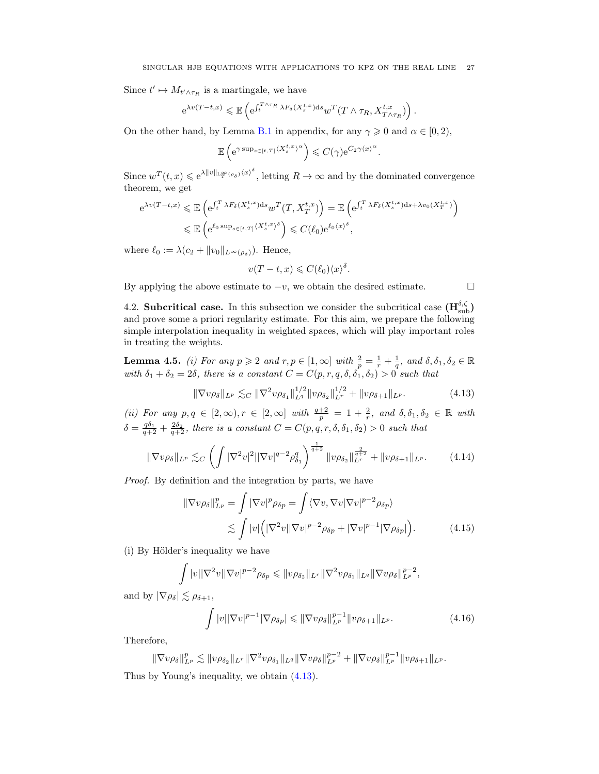Since  $t' \mapsto M_{t' \wedge \tau_R}$  is a martingale, we have

$$
e^{\lambda v(T-t,x)} \leq \mathbb{E}\left(e^{\int_t^{T\wedge\tau_R}\lambda F_\delta(X_s^{t,x})\mathrm{d}s}w^T(T\wedge\tau_R,X_{T\wedge\tau_R}^{t,x})\right).
$$

On the other hand, by Lemma [B.1](#page-46-2) in appendix, for any  $\gamma \geq 0$  and  $\alpha \in [0, 2)$ ,

$$
\mathbb{E}\left(e^{\gamma \sup_{s\in[t,T]} \langle X_s^{t,x}\rangle^{\alpha}}\right) \leqslant C(\gamma) e^{C_2 \gamma \langle x \rangle^{\alpha}}
$$

.

Since  $w^T(t,x) \leqslant e^{\lambda \|v\|_{\mathbb{L}^\infty_T(\rho_\delta)} \langle x \rangle^\delta}$ , letting  $R \to \infty$  and by the dominated convergence theorem, we get

$$
e^{\lambda v(T-t,x)} \leq \mathbb{E}\left(e^{\int_t^T \lambda F_\delta(X_s^{t,x})ds} w^T(T, X_T^{t,x})\right) = \mathbb{E}\left(e^{\int_t^T \lambda F_\delta(X_s^{t,x})ds + \lambda v_0(X_T^{t,x})}\right)
$$
  

$$
\leq \mathbb{E}\left(e^{\ell_0 \sup_{s \in [t,T]} \langle X_s^{t,x} \rangle^\delta}\right) \leq C(\ell_0)e^{\ell_0 \langle x \rangle^\delta},
$$

where  $\ell_0 := \lambda(c_2 + ||v_0||_{L^\infty(\rho_\delta)})$ . Hence,

$$
v(T-t, x) \leqslant C(\ell_0) \langle x \rangle^{\delta}.
$$

By applying the above estimate to  $-v$ , we obtain the desired estimate.  $\Box$ 

<span id="page-26-4"></span><span id="page-26-2"></span><span id="page-26-1"></span>

<span id="page-26-0"></span>4.2. **Subcritical case.** In this subsection we consider the subcritical case  $(\mathbf{H}_{sub}^{\delta,\zeta})$ and prove some a priori regularity estimate. For this aim, we prepare the following simple interpolation inequality in weighted spaces, which will play important roles in treating the weights.

**Lemma 4.5.** (i) For any  $p \ge 2$  and  $r, p \in [1, \infty]$  with  $\frac{2}{p} = \frac{1}{r} + \frac{1}{q}$ , and  $\delta, \delta_1, \delta_2 \in \mathbb{R}$ with  $\delta_1 + \delta_2 = 2\delta$ , there is a constant  $C = C(p, r, q, \delta, \delta_1, \delta_2) > 0$  such that

$$
\|\nabla v\rho_{\delta}\|_{L^{p}} \lesssim_C \|\nabla^2 v\rho_{\delta_1}\|_{L^{q}}^{1/2} \|v\rho_{\delta_2}\|_{L^{r}}^{1/2} + \|v\rho_{\delta+1}\|_{L^{p}}.
$$
 (4.13)

(ii) For any  $p, q \in [2, \infty), r \in [2, \infty]$  with  $\frac{q+2}{p} = 1 + \frac{2}{r}$ , and  $\delta, \delta_1, \delta_2 \in \mathbb{R}$  with  $\delta = \frac{q\delta_1}{q+2} + \frac{2\delta_2}{q+2}$ , there is a constant  $C = C(p, q, r, \delta, \delta_1, \delta_2) > 0$  such that

$$
\|\nabla v\rho_{\delta}\|_{L^{p}} \lesssim_C \left(\int |\nabla^2 v|^2 ||\nabla v|^{q-2} \rho_{\delta_1}^q\right)^{\frac{1}{q+2}} \|v\rho_{\delta_2}\|_{L^r}^{\frac{2}{q+2}} + \|v\rho_{\delta+1}\|_{L^p}.
$$
 (4.14)

Proof. By definition and the integration by parts, we have

$$
\|\nabla v\rho_{\delta}\|_{L^{p}}^{p} = \int |\nabla v|^{p} \rho_{\delta p} = \int \langle \nabla v, \nabla v | \nabla v |^{p-2} \rho_{\delta p} \rangle
$$
  

$$
\lesssim \int |v| \left( |\nabla^{2} v| |\nabla v|^{p-2} \rho_{\delta p} + |\nabla v|^{p-1} |\nabla \rho_{\delta p}| \right). \tag{4.15}
$$

(i) By Hölder's inequality we have

$$
\int |v||\nabla^2 v||\nabla v|^{p-2}\rho_{\delta p} \leq ||v\rho_{\delta_2}||_{L^r} ||\nabla^2 v\rho_{\delta_1}||_{L^q} ||\nabla v\rho_{\delta}||_{L^p}^{p-2},
$$

and by  $|\nabla \rho_{\delta}| \leq \rho_{\delta+1}$ ,

<span id="page-26-3"></span>
$$
\int |v| |\nabla v|^{p-1} |\nabla \rho_{\delta p}| \leqslant \|\nabla v \rho_{\delta}\|_{L^p}^{p-1} \|v \rho_{\delta+1}\|_{L^p}.
$$
\n(4.16)

Therefore,

 $\|\nabla v \rho_\delta\|_{L^p}^p \lesssim \|v\rho_{\delta_2}\|_{L^r} \|\nabla^2 v \rho_{\delta_1}\|_{L^q} \|\nabla v \rho_\delta\|_{L^p}^{p-2} + \|\nabla v \rho_\delta\|_{L^p}^{p-1} \|v \rho_{\delta+1}\|_{L^p}.$ Thus by Young's inequality, we obtain [\(4.13\)](#page-26-1).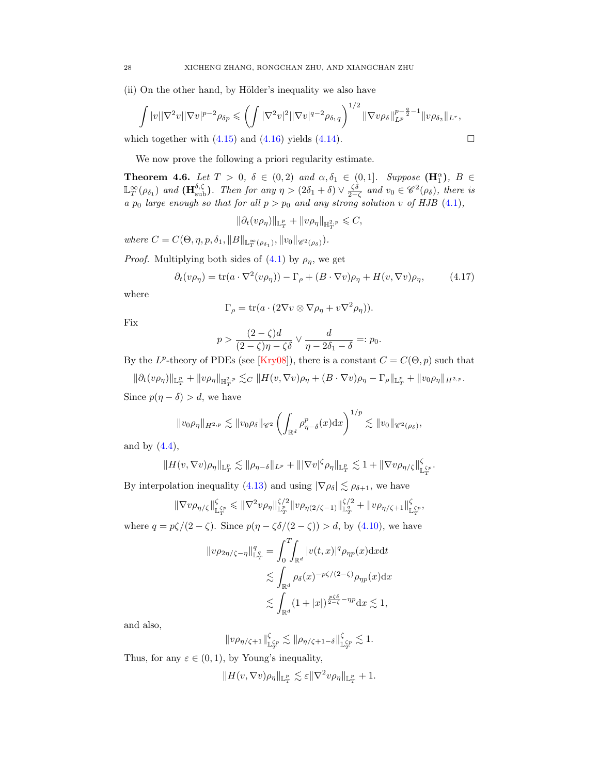(ii) On the other hand, by Hölder's inequality we also have

$$
\int |v||\nabla^2 v||\nabla v|^{p-2} \rho_{\delta p} \leqslant \left(\int |\nabla^2 v|^2 ||\nabla v|^{q-2} \rho_{\delta_1 q}\right)^{1/2} ||\nabla v \rho_{\delta}||_{L^p}^{p-\frac{q}{2}-1} ||v \rho_{\delta_2}||_{L^r},
$$

which together with  $(4.15)$  and  $(4.16)$  yields  $(4.14)$ .

We now prove the following a priori regularity estimate.

<span id="page-27-0"></span>**Theorem 4.6.** Let  $T > 0$ ,  $\delta \in (0, 2)$  and  $\alpha, \delta_1 \in (0, 1]$ . Suppose  $(\mathbf{H}_1^{\alpha})$ ,  $B \in$  $\mathbb{L}_T^{\infty}(\rho_{\delta_1})$  and  $(\mathbf{H}_{sub}^{\delta,\zeta})$ . Then for any  $\eta > (2\delta_1 + \delta) \vee \frac{\zeta \delta}{2-\zeta}$  and  $v_0 \in \mathscr{C}^2(\rho_{\delta})$ , there is a p<sub>0</sub> large enough so that for all  $p > p_0$  and any strong solution v of HJB [\(4.1\)](#page-22-4),

$$
\|\partial_t (v\rho_\eta)\|_{{\mathbb L}^p_T}+\|v\rho_\eta\|_{{\mathbb H}^{2,p}_T}\leqslant C,
$$

where  $C = C(\Theta, \eta, p, \delta_1, \|B\|_{\mathbb{L}^{\infty}_{T}(\rho_{\delta_1})}, \|v_0\|_{\mathscr{C}^2(\rho_{\delta})}).$ 

*Proof.* Multiplying both sides of [\(4.1\)](#page-22-4) by  $\rho_{\eta}$ , we get

$$
\partial_t (v\rho_\eta) = \text{tr}(a \cdot \nabla^2 (v\rho_\eta)) - \Gamma_\rho + (B \cdot \nabla v)\rho_\eta + H(v, \nabla v)\rho_\eta, \tag{4.17}
$$

where

$$
\Gamma_{\rho} = \text{tr}(a \cdot (2\nabla v \otimes \nabla \rho_{\eta} + v \nabla^2 \rho_{\eta})).
$$

Fix

$$
p > \frac{(2-\zeta)d}{(2-\zeta)\eta - \zeta\delta} \vee \frac{d}{\eta - 2\delta_1 - \delta} =: p_0.
$$

By the  $L^p$ -theory of PDEs (see [\[Kry08\]](#page-48-25)), there is a constant  $C = C(\Theta, p)$  such that

 $\|\partial_t(v\rho_\eta)\|_{\mathbb{L}^p_T}+\|v\rho_\eta\|_{\mathbb{H}^{2,p}_T}\lesssim_C \|H(v,\nabla v)\rho_\eta+(B\cdot\nabla v)\rho_\eta-\Gamma_\rho\|_{\mathbb{L}^p_T}+\|v_0\rho_\eta\|_{H^{2,p}}.$ Since  $p(\eta - \delta) > d$ , we have

$$
||v_0\rho_\eta||_{H^{2,p}} \lesssim ||v_0\rho_\delta||_{\mathscr{C}^2} \left(\int_{\mathbb{R}^d} \rho_{\eta-\delta}^p(x) dx\right)^{1/p} \lesssim ||v_0||_{\mathscr{C}^2(\rho_\delta)},
$$

and by  $(4.4)$ ,

$$
||H(v,\nabla v)\rho_{\eta}||_{\mathbb{L}^p_T} \lesssim ||\rho_{\eta-\delta}||_{L^p} + |||\nabla v|^{\zeta}\rho_{\eta}||_{\mathbb{L}^p_T} \lesssim 1 + ||\nabla v\rho_{\eta/\zeta}||_{\mathbb{L}^{\zeta p}_{T}}^{\zeta}.
$$

By interpolation inequality [\(4.13\)](#page-26-1) and using  $|\nabla \rho_{\delta}| \lesssim \rho_{\delta+1}$ , we have

$$
\|\nabla v\rho_{\eta/\zeta}\|_{\mathbb{L}^{\zeta_p}_{T}}^{\zeta} \leq \|\nabla^2 v\rho_{\eta}\|_{\mathbb{L}^p_{T}}^{\zeta/2} \|v\rho_{\eta(2/\zeta-1)}\|_{\mathbb{L}^q_{T}}^{\zeta/2} + \|v\rho_{\eta/\zeta+1}\|_{\mathbb{L}^{\zeta_p}_{T}}^{\zeta},
$$

where  $q = p\zeta/(2-\zeta)$ . Since  $p(\eta - \zeta\delta/(2-\zeta)) > d$ , by [\(4.10\)](#page-24-3), we have

$$
\|v\rho_{2\eta/\zeta-\eta}\|_{\mathbb{L}^q_T}^q = \int_0^T \int_{\mathbb{R}^d} |v(t,x)|^q \rho_{\eta p}(x) \mathrm{d}x \mathrm{d}t
$$
  

$$
\lesssim \int_{\mathbb{R}^d} \rho_\delta(x)^{-p\zeta/(2-\zeta)} \rho_{\eta p}(x) \mathrm{d}x
$$
  

$$
\lesssim \int_{\mathbb{R}^d} (1+|x|)^{\frac{p\zeta\delta}{2-\zeta}-\eta p} \mathrm{d}x \lesssim 1,
$$

and also,

$$
||v\rho_{\eta/\zeta+1}||_{\mathbb{L}_T^{\zeta_p}}^{\zeta} \lesssim ||\rho_{\eta/\zeta+1-\delta}||_{\mathbb{L}_T^{\zeta_p}}^{\zeta} \lesssim 1.
$$

Thus, for any  $\varepsilon \in (0,1)$ , by Young's inequality,

$$
||H(v,\nabla v)\rho_{\eta}||_{\mathbb{L}^p_T}\lesssim \varepsilon||\nabla^2v\rho_{\eta}||_{\mathbb{L}^p_T}+1.
$$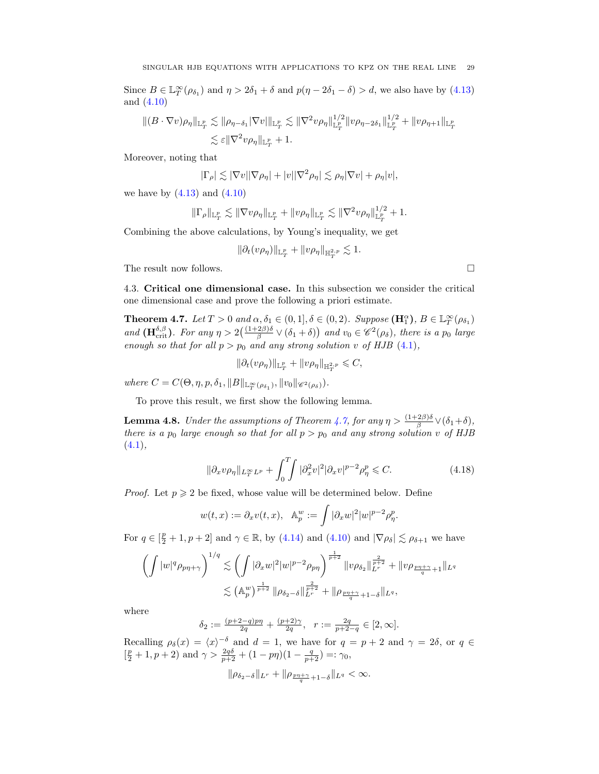Since  $B \in \mathbb{L}_T^{\infty}(\rho_{\delta_1})$  and  $\eta > 2\delta_1 + \delta$  and  $p(\eta - 2\delta_1 - \delta) > d$ , we also have by [\(4.13\)](#page-26-1) and [\(4.10\)](#page-24-3)

$$
\begin{aligned} \| (B \cdot \nabla v)\rho_{\eta} \|_{\mathbb{L}^p_T} &\lesssim \| \rho_{\eta-\delta_1} |\nabla v| \|_{\mathbb{L}^p_T} \lesssim \| \nabla^2 v \rho_{\eta} \|_{\mathbb{L}^p_T}^{1/2} \| v \rho_{\eta-2\delta_1} \|_{\mathbb{L}^p_T}^{1/2} + \| v \rho_{\eta+1} \|_{\mathbb{L}^p_T} \\ &\lesssim \varepsilon \| \nabla^2 v \rho_{\eta} \|_{\mathbb{L}^p_T} + 1. \end{aligned}
$$

Moreover, noting that

$$
|\Gamma_{\rho}| \lesssim |\nabla v| |\nabla \rho_{\eta}| + |v| |\nabla^2 \rho_{\eta}| \lesssim \rho_{\eta} |\nabla v| + \rho_{\eta} |v|,
$$

we have by  $(4.13)$  and  $(4.10)$ 

$$
\|\Gamma_{\rho}\|_{\mathbb{L}^p_T} \lesssim \|\nabla v\rho_{\eta}\|_{\mathbb{L}^p_T} + \|v\rho_{\eta}\|_{\mathbb{L}^p_T} \lesssim \|\nabla^2 v\rho_{\eta}\|_{\mathbb{L}^p_T}^{1/2} + 1.
$$

Combining the above calculations, by Young's inequality, we get

$$
\|\partial_t (v\rho_\eta)\|_{{\mathbb L}^p_T}+\|v\rho_\eta\|_{{\mathbb H}^{2,p}_T}\lesssim 1.
$$

The result now follows.  $\Box$ 

<span id="page-28-0"></span>4.3. Critical one dimensional case. In this subsection we consider the critical one dimensional case and prove the following a priori estimate.

<span id="page-28-1"></span>**Theorem 4.7.** Let  $T > 0$  and  $\alpha, \delta_1 \in (0, 1], \delta \in (0, 2)$ . Suppose  $(\mathbf{H}_1^{\alpha})$ ,  $B \in \mathbb{L}_T^{\infty}(\rho_{\delta_1})$ and  $(\mathbf{H}_{\text{crit}}^{\delta,\beta})$ . For any  $\eta > 2\left(\frac{(1+2\beta)\delta}{\beta} \vee (\delta_1 + \delta)\right)$  and  $v_0 \in \mathscr{C}^2(\rho_\delta)$ , there is a  $p_0$  large enough so that for all  $p > p_0$  and any strong solution v of HJB [\(4.1\)](#page-22-4),

$$
\|\partial_t (v\rho_\eta)\|_{{\mathbb L}^p_T}+\|v\rho_\eta\|_{{\mathbb H}^{2,p}_T}\leqslant C,
$$

where  $C = C(\Theta, \eta, p, \delta_1, \|B\|_{\mathbb{L}^{\infty}_{T}(\rho_{\delta_1})}, \|v_0\|_{\mathscr{C}^2(\rho_{\delta})}).$ 

To prove this result, we first show the following lemma.

<span id="page-28-2"></span>**Lemma 4.8.** Under the assumptions of Theorem [4.7,](#page-28-1) for any  $\eta > \frac{(1+2\beta)\delta}{\beta} \vee (\delta_1 + \delta)$ , there is a  $p_0$  large enough so that for all  $p > p_0$  and any strong solution v of HJB  $(4.1),$  $(4.1),$ 

$$
\|\partial_x v\rho_\eta\|_{L^\infty_T L^p} + \int_0^T \int |\partial_x^2 v|^2 |\partial_x v|^{p-2} \rho_\eta^p \leq C. \tag{4.18}
$$

*Proof.* Let  $p \geq 2$  be fixed, whose value will be determined below. Define

$$
w(t,x) := \partial_x v(t,x), \quad \mathbb{A}_p^w := \int |\partial_x w|^2 |w|^{p-2} \rho_\eta^p.
$$

For  $q \in [\frac{p}{2} + 1, p + 2]$  and  $\gamma \in \mathbb{R}$ , by [\(4.14\)](#page-26-4) and [\(4.10\)](#page-24-3) and  $|\nabla \rho_{\delta}| \lesssim \rho_{\delta+1}$  we have

$$
\left(\int |w|^q \rho_{p\eta+\gamma}\right)^{1/q} \lesssim \left(\int |\partial_x w|^2 |w|^{p-2} \rho_{p\eta}\right)^{\frac{1}{p+2}} \|v\rho_{\delta_2}\|_{L^r}^{\frac{2}{p+2}} + \|v\rho_{\frac{p\eta+\gamma}{q}+1}\|_{L^q}
$$

$$
\lesssim (\mathbb{A}_p^w)^{\frac{1}{p+2}} \|\rho_{\delta_2-\delta}\|_{L^r}^{\frac{2}{p+2}} + \|\rho_{\frac{p\eta+\gamma}{q}+1-\delta}\|_{L^q},
$$

where

$$
\delta_2:=\tfrac{(p+2-q)p\eta}{2q}+\tfrac{(p+2)\gamma}{2q},\;\;r:=\tfrac{2q}{p+2-q}\in[2,\infty].
$$

Recalling  $\rho_{\delta}(x) = \langle x \rangle^{-\delta}$  and  $d = 1$ , we have for  $q = p + 2$  and  $\gamma = 2\delta$ , or  $q \in$  $\left[\frac{p}{2}+1, p+2\right)$  and  $\gamma > \frac{2q\delta}{p+2} + (1-p\eta)(1-\frac{q}{p+2}) =: \gamma_0$ ,

$$
\|\rho_{\delta_2-\delta}\|_{L^r}+\|\rho_{\frac{p\eta+\gamma}{q}+1-\delta}\|_{L^q}<\infty.
$$

<span id="page-28-3"></span>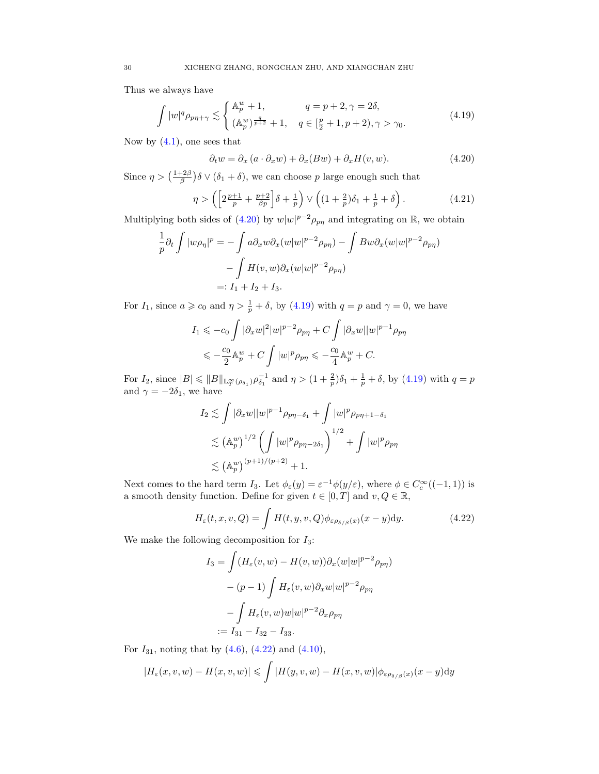Thus we always have

$$
\int |w|^q \rho_{p\eta + \gamma} \lesssim \begin{cases} \mathbb{A}_p^w + 1, & q = p + 2, \gamma = 2\delta, \\ (\mathbb{A}_p^w)^{\frac{q}{p+2}} + 1, & q \in [\frac{p}{2} + 1, p + 2), \gamma > \gamma_0. \end{cases}
$$
(4.19)

Now by  $(4.1)$ , one sees that

<span id="page-29-1"></span><span id="page-29-0"></span>
$$
\partial_t w = \partial_x (a \cdot \partial_x w) + \partial_x (Bw) + \partial_x H(v, w). \tag{4.20}
$$

Since  $\eta > (\frac{1+2\beta}{\beta})\delta \vee (\delta_1 + \delta)$ , we can choose p large enough such that

$$
\eta > \left( \left[ 2\frac{p+1}{p} + \frac{p+2}{\beta p} \right] \delta + \frac{1}{p} \right) \vee \left( \left( 1 + \frac{2}{p} \right) \delta_1 + \frac{1}{p} + \delta \right). \tag{4.21}
$$

Multiplying both sides of [\(4.20\)](#page-29-0) by  $w|w|^{p-2}\rho_{p\eta}$  and integrating on  $\mathbb{R}$ , we obtain

$$
\frac{1}{p}\partial_t \int |w\rho_\eta|^p = -\int a\partial_x w \partial_x (w|w|^{p-2}\rho_{\text{pn}}) - \int Bw \partial_x (w|w|^{p-2}\rho_{\text{pn}})
$$

$$
- \int H(v,w) \partial_x (w|w|^{p-2}\rho_{\text{pn}})
$$

$$
=: I_1 + I_2 + I_3.
$$

For  $I_1$ , since  $a \geqslant c_0$  and  $\eta > \frac{1}{p} + \delta$ , by [\(4.19\)](#page-29-1) with  $q = p$  and  $\gamma = 0$ , we have

$$
I_1 \leqslant -c_0 \int |\partial_x w|^2 |w|^{p-2} \rho_{p\eta} + C \int |\partial_x w| |w|^{p-1} \rho_{p\eta}
$$
  

$$
\leqslant -\frac{c_0}{2} \mathbb{A}_p^w + C \int |w|^p \rho_{p\eta} \leqslant -\frac{c_0}{4} \mathbb{A}_p^w + C.
$$

For  $I_2$ , since  $|B| \leq \|B\|_{\mathbb{L}_T^\infty(\rho_{\delta_1})} \rho_{\delta_1}^{-1}$  and  $\eta > (1 + \frac{2}{p})\delta_1 + \frac{1}{p} + \delta$ , by [\(4.19\)](#page-29-1) with  $q = p$ and  $\gamma = -2\delta_1$ , we have

$$
I_2 \lesssim \int |\partial_x w| |w|^{p-1} \rho_{p\eta - \delta_1} + \int |w|^p \rho_{p\eta + 1 - \delta_1}
$$
  

$$
\lesssim (\mathbb{A}_p^w)^{1/2} \left( \int |w|^p \rho_{p\eta - 2\delta_1} \right)^{1/2} + \int |w|^p \rho_{p\eta}
$$
  

$$
\lesssim (\mathbb{A}_p^w)^{(p+1)/(p+2)} + 1.
$$

Next comes to the hard term  $I_3$ . Let  $\phi_{\varepsilon}(y) = \varepsilon^{-1} \phi(y/\varepsilon)$ , where  $\phi \in C_c^{\infty}((-1,1))$  is a smooth density function. Define for given  $t \in [0, T]$  and  $v, Q \in \mathbb{R}$ ,

$$
H_{\varepsilon}(t, x, v, Q) = \int H(t, y, v, Q) \phi_{\varepsilon \rho_{\delta/\beta}(x)}(x - y) dy.
$$
 (4.22)

We make the following decomposition for  $I_3$ :

<span id="page-29-2"></span>
$$
I_3 = \int (H_{\varepsilon}(v, w) - H(v, w)) \partial_x (w|w|^{p-2} \rho_{p\eta})
$$

$$
- (p-1) \int H_{\varepsilon}(v, w) \partial_x w |w|^{p-2} \rho_{p\eta}
$$

$$
- \int H_{\varepsilon}(v, w) w |w|^{p-2} \partial_x \rho_{p\eta}
$$

$$
:= I_{31} - I_{32} - I_{33}.
$$

For  $I_{31}$ , noting that by  $(4.6)$ ,  $(4.22)$  and  $(4.10)$ ,

$$
|H_{\varepsilon}(x,v,w)-H(x,v,w)| \leqslant \int |H(y,v,w)-H(x,v,w)|\phi_{\varepsilon\rho_{\delta/\beta}(x)}(x-y)dy
$$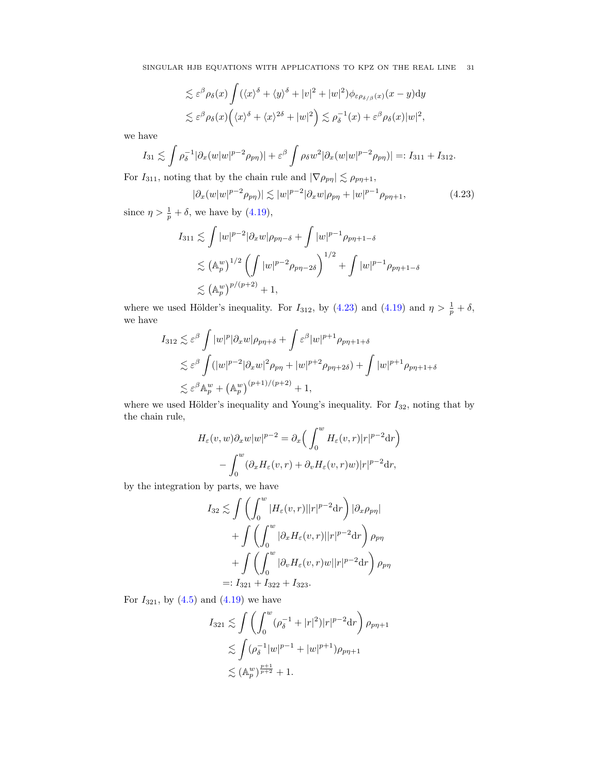$$
\lesssim \varepsilon^{\beta} \rho_{\delta}(x) \int (\langle x \rangle^{\delta} + \langle y \rangle^{\delta} + |v|^{2} + |w|^{2}) \phi_{\varepsilon \rho_{\delta/\beta}(x)}(x - y) dy
$$
  

$$
\lesssim \varepsilon^{\beta} \rho_{\delta}(x) \Big( \langle x \rangle^{\delta} + \langle x \rangle^{2\delta} + |w|^{2} \Big) \lesssim \rho_{\delta}^{-1}(x) + \varepsilon^{\beta} \rho_{\delta}(x) |w|^{2},
$$

we have

$$
I_{31} \lesssim \int \rho_\delta^{-1} |\partial_x(w|w|^{p-2} \rho_{p\eta})| + \varepsilon^{\beta} \int \rho_\delta w^2 |\partial_x(w|w|^{p-2} \rho_{p\eta})| =: I_{311} + I_{312}.
$$

For  $I_{311}$ , noting that by the chain rule and  $|\nabla \rho_{p\eta}| \lesssim \rho_{p\eta+1}$ ,

<span id="page-30-0"></span>
$$
|\partial_x(w|w|^{p-2}\rho_{p\eta})| \lesssim |w|^{p-2}|\partial_xw|\rho_{p\eta} + |w|^{p-1}\rho_{p\eta+1},
$$
\n(4.23)

since  $\eta > \frac{1}{p} + \delta$ , we have by [\(4.19\)](#page-29-1),

$$
I_{311} \lesssim \int |w|^{p-2} |\partial_x w| \rho_{p\eta-\delta} + \int |w|^{p-1} \rho_{p\eta+1-\delta}
$$
  

$$
\lesssim (\mathbb{A}_p^w)^{1/2} \left( \int |w|^{p-2} \rho_{p\eta-2\delta} \right)^{1/2} + \int |w|^{p-1} \rho_{p\eta+1-\delta}
$$
  

$$
\lesssim (\mathbb{A}_p^w)^{p/(p+2)} + 1,
$$

where we used Hölder's inequality. For  $I_{312}$ , by  $(4.23)$  and  $(4.19)$  and  $\eta > \frac{1}{p} + \delta$ , we have

$$
I_{312} \lesssim \varepsilon^{\beta} \int |w|^p |\partial_x w| \rho_{p\eta+\delta} + \int \varepsilon^{\beta} |w|^{p+1} \rho_{p\eta+1+\delta}
$$
  

$$
\lesssim \varepsilon^{\beta} \int (|w|^{p-2} |\partial_x w|^2 \rho_{p\eta} + |w|^{p+2} \rho_{p\eta+2\delta}) + \int |w|^{p+1} \rho_{p\eta+1+\delta}
$$
  

$$
\lesssim \varepsilon^{\beta} \mathbb{A}_p^w + (\mathbb{A}_p^w)^{(p+1)/(p+2)} + 1,
$$

where we used Hölder's inequality and Young's inequality. For  $I_{32}$ , noting that by the chain rule,

$$
H_{\varepsilon}(v, w)\partial_x w|w|^{p-2} = \partial_x \left(\int_0^w H_{\varepsilon}(v, r)|r|^{p-2}dr\right)
$$

$$
-\int_0^w (\partial_x H_{\varepsilon}(v, r) + \partial_v H_{\varepsilon}(v, r)w)|r|^{p-2}dr,
$$

by the integration by parts, we have

$$
I_{32} \lesssim \int \left( \int_0^w |H_{\varepsilon}(v,r)||r|^{p-2} dr \right) |\partial_x \rho_{p\eta}|
$$
  
+ 
$$
\int \left( \int_0^w |\partial_x H_{\varepsilon}(v,r)||r|^{p-2} dr \right) \rho_{p\eta}
$$
  
+ 
$$
\int \left( \int_0^w |\partial_v H_{\varepsilon}(v,r)w||r|^{p-2} dr \right) \rho_{p\eta}
$$
  
=: 
$$
I_{321} + I_{322} + I_{323}.
$$

For  $I_{321}$ , by  $(4.5)$  and  $(4.19)$  we have

$$
I_{321} \lesssim \int \left( \int_0^w (\rho_\delta^{-1} + |r|^2) |r|^{p-2} dr \right) \rho_{p\eta+1}
$$
  
 
$$
\lesssim \int (\rho_\delta^{-1} |w|^{p-1} + |w|^{p+1}) \rho_{p\eta+1}
$$
  
 
$$
\lesssim (\mathbb{A}_p^w)^{\frac{p+1}{p+2}} + 1.
$$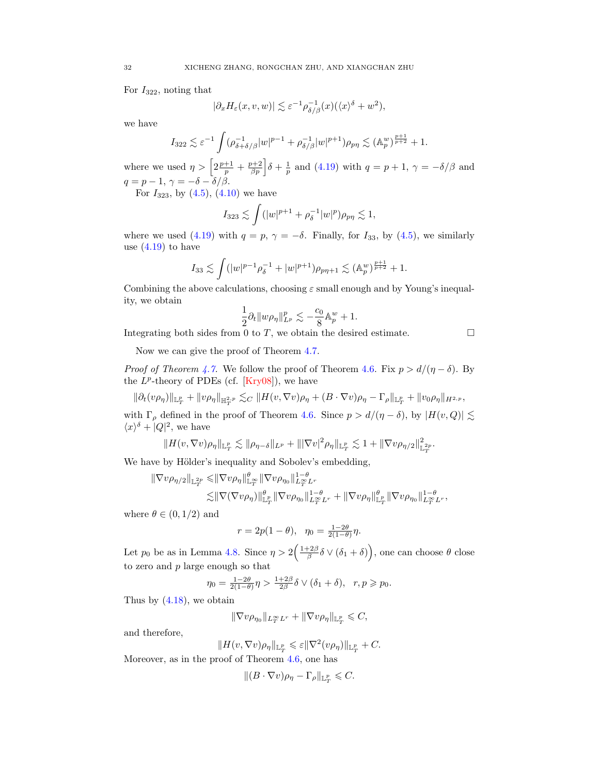For  $I_{322}$ , noting that

$$
|\partial_x H_{\varepsilon}(x, v, w)| \lesssim \varepsilon^{-1} \rho_{\delta/\beta}^{-1}(x) (\langle x \rangle^{\delta} + w^2),
$$

we have

$$
I_{322} \lesssim \varepsilon^{-1} \int (\rho_{\delta+\delta/\beta}^{-1} |w|^{p-1} + \rho_{\delta/\beta}^{-1} |w|^{p+1}) \rho_{p\eta} \lesssim (\mathbb{A}_p^w)_{p+2}^{\frac{p+1}{p+2}} + 1.
$$

where we used  $\eta > \left[2\frac{p+1}{p} + \frac{p+2}{\beta p}\right]\delta + \frac{1}{p}$  and  $(4.19)$  with  $q = p+1$ ,  $\gamma = -\delta/\beta$  and  $q = p - 1, \gamma = -\delta - \delta/\beta.$ 

For  $I_{323}$ , by  $(4.5)$ ,  $(4.10)$  we have

$$
I_{323} \lesssim \int (|w|^{p+1} + \rho_\delta^{-1}|w|^p) \rho_{p\eta} \lesssim 1,
$$

where we used [\(4.19\)](#page-29-1) with  $q = p$ ,  $\gamma = -\delta$ . Finally, for  $I_{33}$ , by [\(4.5\)](#page-23-4), we similarly use  $(4.19)$  to have

$$
I_{33} \lesssim \int (|w|^{p-1} \rho_\delta^{-1} + |w|^{p+1}) \rho_{p\eta+1} \lesssim (\mathbb{A}_p^w)^{\frac{p+1}{p+2}} + 1.
$$

Combining the above calculations, choosing  $\varepsilon$  small enough and by Young's inequality, we obtain

$$
\frac{1}{2}\partial_t||w\rho_\eta||^p_{L^p}\lesssim -\frac{c_0}{8}\mathbb{A}_p^w+1.
$$

Integrating both sides from 0 to  $T$ , we obtain the desired estimate.  $\Box$ 

Now we can give the proof of Theorem [4.7.](#page-28-1)

*Proof of Theorem [4.7.](#page-28-1)* We follow the proof of Theorem [4.6.](#page-27-0) Fix  $p > d/(\eta - \delta)$ . By the  $L^p$ -theory of PDEs (cf. [\[Kry08\]](#page-48-25)), we have

$$
\|\partial_t (v\rho_\eta)\|_{{\mathbb L}^p_T}+\|v\rho_\eta\|_{{\mathbb H}^{2, p}_T}\lesssim_C \|H(v,\nabla v)\rho_\eta+(B\cdot\nabla v)\rho_\eta-\Gamma_\rho\|_{{\mathbb L}^p_T}+\|v_0\rho_\eta\|_{H^{2, p}},
$$

with  $\Gamma_{\rho}$  defined in the proof of Theorem [4.6.](#page-27-0) Since  $p > d/(\eta - \delta)$ , by  $|H(v, Q)| \lesssim$  $\langle x \rangle^{\delta} + |Q|^2$ , we have

$$
||H(v,\nabla v)\rho_\eta||_{\mathbb{L}^p_T}\lesssim \|\rho_{\eta-\delta}\|_{L^p}+\||\nabla v|^2\rho_\eta\|_{\mathbb{L}^p_T}\lesssim 1+\|\nabla v\rho_{\eta/2}\|_{\mathbb{L}^{2p}_T}^2.
$$

We have by Hölder's inequality and Sobolev's embedding,

$$
\begin{aligned} \|\nabla v\rho_{\eta/2}\|_{\mathbb{L}^{2p}_{T}} &\leqslant & \|\nabla v\rho_{\eta}\|_{\mathbb{L}^{\infty}_{T}}^{\theta}\|\nabla v\rho_{\eta_{0}}\|_{L^{\infty}_{T}L^{r}}^{1-\theta} \\ &\lesssim & \|\nabla(\nabla v\rho_{\eta})\|_{\mathbb{L}^{p}_{T}}^{\theta}\|\nabla v\rho_{\eta_{0}}\|_{L^{\infty}_{T}L^{r}}^{1-\theta} + \|\nabla v\rho_{\eta}\|_{\mathbb{L}^{p}_{T}}^{\theta}\|\nabla v\rho_{\eta_{0}}\|_{L^{\infty}_{T}L^{r}}^{1-\theta}, \end{aligned}
$$

where  $\theta \in (0, 1/2)$  and

$$
r = 2p(1 - \theta), \quad \eta_0 = \frac{1 - 2\theta}{2(1 - \theta)}\eta.
$$

Let  $p_0$  be as in Lemma [4.8.](#page-28-2) Since  $\eta > 2\left(\frac{1+2\beta}{\beta}\delta \vee (\delta_1+\delta)\right)$ , one can choose  $\theta$  close to zero and  $p$  large enough so that

$$
\eta_0 = \frac{1-2\theta}{2(1-\theta)}\eta > \frac{1+2\beta}{2\beta}\delta \vee (\delta_1 + \delta), \quad r, p \geq p_0.
$$

Thus by  $(4.18)$ , we obtain

$$
\|\nabla v\rho_{\eta_0}\|_{L^\infty_T L^r}+\|\nabla v\rho_\eta\|_{\mathbb{L}^p_T}\leqslant C,
$$

and therefore,

$$
||H(v, \nabla v)\rho_{\eta}||_{\mathbb{L}^p_T} \leqslant \varepsilon ||\nabla^2 (v\rho_{\eta})||_{\mathbb{L}^p_T} + C.
$$

Moreover, as in the proof of Theorem [4.6,](#page-27-0) one has

$$
\|(B\cdot\nabla v)\rho_\eta-\Gamma_\rho\|_{{\mathbb L}^p_T}\leqslant C.
$$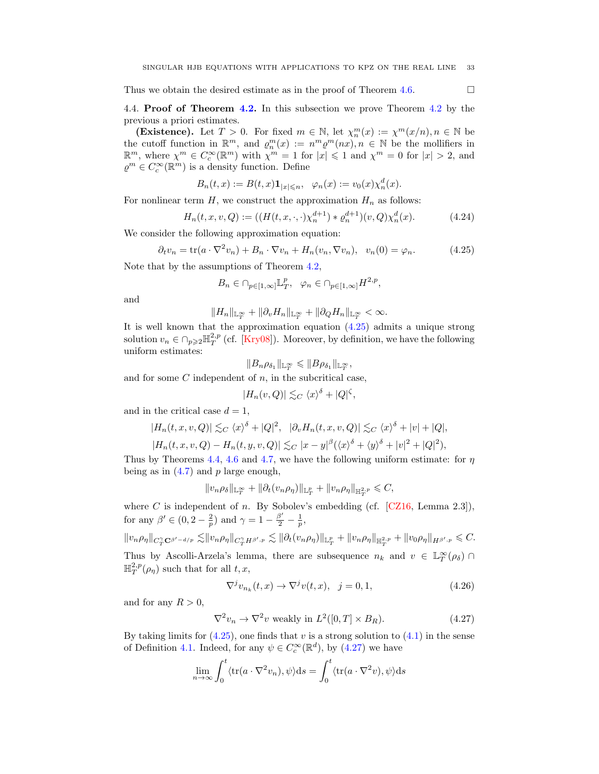Thus we obtain the desired estimate as in the proof of Theorem [4.6.](#page-27-0)  $\Box$ 

<span id="page-32-0"></span>4.4. Proof of Theorem [4.2.](#page-24-1) In this subsection we prove Theorem [4.2](#page-24-1) by the previous a priori estimates.

(Existence). Let  $T > 0$ . For fixed  $m \in \mathbb{N}$ , let  $\chi_n^m(x) := \chi^m(x/n)$ ,  $n \in \mathbb{N}$  be the cutoff function in  $\mathbb{R}^m$ , and  $\varrho_n^m(x) := n^m \varrho^m(nx)$ ,  $n \in \mathbb{N}$  be the mollifiers in  $\mathbb{R}^m$ , where  $\chi^m \in C_c^{\infty}(\mathbb{R}^m)$  with  $\chi^m = 1$  for  $|x| \leq 1$  and  $\chi^m = 0$  for  $|x| > 2$ , and  $\varrho^m\in C_c^\infty(\mathbb{R}^m)$  is a density function. Define

$$
B_n(t,x) := B(t,x) \mathbf{1}_{|x| \le n}, \quad \varphi_n(x) := v_0(x) \chi_n^d(x).
$$

For nonlinear term  $H$ , we construct the approximation  $H_n$  as follows:

$$
H_n(t, x, v, Q) := ((H(t, x, \cdot, \cdot) \chi_n^{d+1}) * \varrho_n^{d+1})(v, Q) \chi_n^d(x).
$$
 (4.24)

We consider the following approximation equation:

$$
\partial_t v_n = \text{tr}(a \cdot \nabla^2 v_n) + B_n \cdot \nabla v_n + H_n(v_n, \nabla v_n), \quad v_n(0) = \varphi_n. \tag{4.25}
$$

Note that by the assumptions of Theorem [4.2,](#page-24-1)

<span id="page-32-1"></span>
$$
B_n \in \cap_{p \in [1,\infty]} \mathbb{L}^p_T, \quad \varphi_n \in \cap_{p \in [1,\infty]} H^{2,p},
$$

and

$$
||H_n||_{\mathbb{L}_T^{\infty}} + ||\partial_v H_n||_{\mathbb{L}_T^{\infty}} + ||\partial_Q H_n||_{\mathbb{L}_T^{\infty}} < \infty.
$$

It is well known that the approximation equation [\(4.25\)](#page-32-1) admits a unique strong solution  $v_n \in \bigcap_{p\geqslant 2} \mathbb{H}_T^{2,p}$  (cf. [\[Kry08\]](#page-48-25)). Moreover, by definition, we have the following uniform estimates:

$$
||B_n\rho_{\delta_1}||_{\mathbb{L}_T^\infty}\leqslant ||B\rho_{\delta_1}||_{\mathbb{L}_T^\infty},
$$

and for some  $C$  independent of  $n$ , in the subcritical case,

$$
|H_n(v, Q)| \lesssim_C \langle x \rangle^{\delta} + |Q|^{\zeta},
$$

and in the critical case  $d = 1$ ,

$$
|H_n(t, x, v, Q)| \lesssim_C \langle x \rangle^{\delta} + |Q|^2, \quad |\partial_v H_n(t, x, v, Q)| \lesssim_C \langle x \rangle^{\delta} + |v| + |Q|,
$$

$$
|H_n(t, x, v, Q) - H_n(t, y, v, Q)| \lesssim_C |x - y|^{\beta} (\langle x \rangle^{\delta} + \langle y \rangle^{\delta} + |v|^2 + |Q|^2),
$$

Thus by Theorems [4.4,](#page-24-4) [4.6](#page-27-0) and [4.7,](#page-28-1) we have the following uniform estimate: for  $\eta$ being as in  $(4.7)$  and p large enough,

$$
||v_n\rho_\delta||_{\mathbb{L}^\infty_T}+||\partial_t(v_n\rho_\eta)||_{\mathbb{L}^p_T}+||v_n\rho_\eta||_{\mathbb{H}^{2,p}_T}\leqslant C,
$$

where C is independent of n. By Sobolev's embedding (cf.  $[CZ16, Lemma 2.3]),$ for any  $\beta' \in (0, 2 - \frac{2}{p})$  and  $\gamma = 1 - \frac{\beta'}{2} - \frac{1}{p}$ ,

$$
||v_n \rho_\eta||_{C_T^{\gamma} \mathbf{C}^{\beta'-d/p}} \lesssim ||v_n \rho_\eta||_{C_T^{\gamma} H^{\beta',p}} \lesssim ||\partial_t (v_n \rho_\eta)||_{\mathbb{L}^p_T} + ||v_n \rho_\eta||_{\mathbb{H}^{2,p}_T} + ||v_0 \rho_\eta||_{H^{\beta',p}} \leq C.
$$

Thus by Ascolli-Arzela's lemma, there are subsequence  $n_k$  and  $v \in \mathbb{L}_T^{\infty}(\rho_\delta)$  $\mathbb{H}^{2,p}_T(\rho_\eta)$  such that for all  $t,x,$ 

<span id="page-32-3"></span><span id="page-32-2"></span>
$$
\nabla^j v_{n_k}(t, x) \to \nabla^j v(t, x), \quad j = 0, 1,
$$
\n(4.26)

and for any  $R > 0$ ,

$$
\nabla^2 v_n \to \nabla^2 v \text{ weakly in } L^2([0, T] \times B_R). \tag{4.27}
$$

By taking limits for  $(4.25)$ , one finds that v is a strong solution to  $(4.1)$  in the sense of Definition [4.1.](#page-23-5) Indeed, for any  $\psi \in C_c^{\infty}(\mathbb{R}^d)$ , by  $(4.27)$  we have

$$
\lim_{n \to \infty} \int_0^t \langle tr(a \cdot \nabla^2 v_n), \psi \rangle ds = \int_0^t \langle tr(a \cdot \nabla^2 v), \psi \rangle ds
$$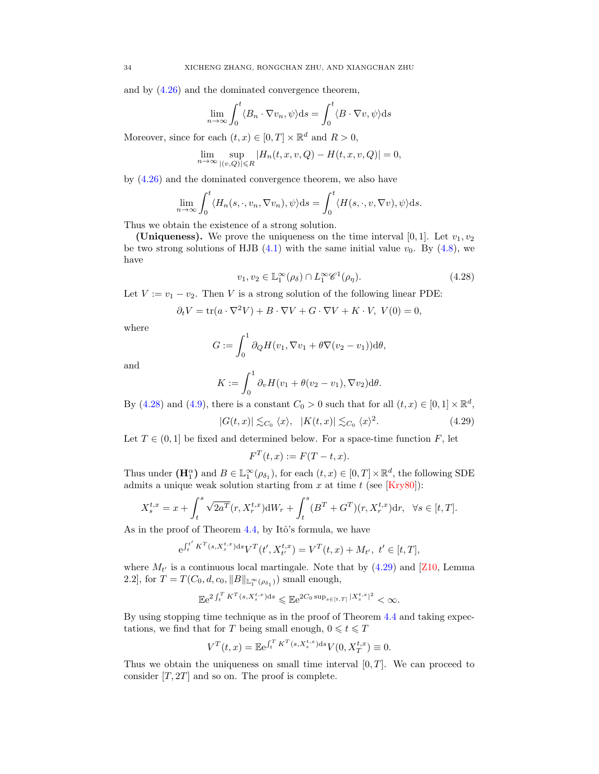and by [\(4.26\)](#page-32-3) and the dominated convergence theorem,

$$
\lim_{n \to \infty} \int_0^t \langle B_n \cdot \nabla v_n, \psi \rangle \mathrm{d}s = \int_0^t \langle B \cdot \nabla v, \psi \rangle \mathrm{d}s
$$

Moreover, since for each  $(t, x) \in [0, T] \times \mathbb{R}^d$  and  $R > 0$ ,

$$
\lim_{n\to\infty}\sup_{|(v,Q)|\leq R}|H_n(t,x,v,Q)-H(t,x,v,Q)|=0,
$$

by [\(4.26\)](#page-32-3) and the dominated convergence theorem, we also have

$$
\lim_{n \to \infty} \int_0^t \langle H_n(s, \cdot, v_n, \nabla v_n), \psi \rangle ds = \int_0^t \langle H(s, \cdot, v, \nabla v), \psi \rangle ds.
$$

Thus we obtain the existence of a strong solution.

(Uniqueness). We prove the uniqueness on the time interval [0, 1]. Let  $v_1, v_2$ be two strong solutions of HJB [\(4.1\)](#page-23-5) with the same initial value  $v_0$ . By [\(4.8\)](#page-24-2), we have

<span id="page-33-0"></span>
$$
v_1, v_2 \in \mathbb{L}_1^{\infty}(\rho_\delta) \cap L_1^{\infty} \mathscr{C}^1(\rho_\eta). \tag{4.28}
$$

Let  $V := v_1 - v_2$ . Then V is a strong solution of the following linear PDE:

$$
\partial_t V = \text{tr}(a \cdot \nabla^2 V) + B \cdot \nabla V + G \cdot \nabla V + K \cdot V, \ V(0) = 0,
$$

where

$$
G := \int_0^1 \partial_Q H(v_1, \nabla v_1 + \theta \nabla (v_2 - v_1)) \mathrm{d}\theta,
$$

and

$$
K := \int_0^1 \partial_v H(v_1 + \theta(v_2 - v_1), \nabla v_2) d\theta.
$$

By [\(4.28\)](#page-33-0) and [\(4.9\)](#page-24-6), there is a constant  $C_0 > 0$  such that for all  $(t, x) \in [0, 1] \times \mathbb{R}^d$ ,

$$
|G(t,x)| \lesssim_{C_0} \langle x \rangle, \quad |K(t,x)| \lesssim_{C_0} \langle x \rangle^2. \tag{4.29}
$$

Let  $T \in (0,1]$  be fixed and determined below. For a space-time function F, let

<span id="page-33-1"></span>
$$
F^T(t,x) := F(T-t,x).
$$

Thus under  $(\mathbf{H}_1^{\alpha})$  and  $B \in \mathbb{L}_1^{\infty}(\rho_{\delta_1})$ , for each  $(t, x) \in [0, T] \times \mathbb{R}^d$ , the following SDE admits a unique weak solution starting from x at time t (see  $[Kry80]$ ):

$$
X_s^{t,x} = x + \int_t^s \sqrt{2a^T}(r, X_r^{t,x}) dW_r + \int_t^s (B^T + G^T)(r, X_r^{t,x}) dr, \ \ \forall s \in [t, T].
$$

As in the proof of Theorem  $4.4$ , by Itô's formula, we have

$$
e^{\int_t^{t'} K^T(s, X_s^{t,x})ds} V^T(t', X_{t'}^{t,x}) = V^T(t,x) + M_{t'}, \ t' \in [t,T],
$$

where  $M_{t'}$  is a continuous local martingale. Note that by  $(4.29)$  and [\[Z10,](#page-48-26) Lemma 2.2], for  $T = T(C_0, d, c_0, ||B||_{\mathbb{L}_1^{\infty}(\rho_{\delta_1})})$  small enough,

$$
\mathbb{E} \mathrm{e}^{2\int_t^T K^T(s,X^{t,x}_s)\mathrm{d} s} \leqslant \mathbb{E} \mathrm{e}^{2C_0 \sup_{s\in[t,T]} |X^{t,x}_s|^2} < \infty.
$$

By using stopping time technique as in the proof of Theorem [4.4](#page-24-4) and taking expectations, we find that for T being small enough,  $0 \le t \le T$ 

$$
V^{T}(t,x) = \mathbb{E}e^{\int_{t}^{T} K^{T}(s, X_{s}^{t,x})ds} V(0, X_{T}^{t,x}) \equiv 0.
$$

Thus we obtain the uniqueness on small time interval  $[0, T]$ . We can proceed to consider  $[T, 2T]$  and so on. The proof is complete.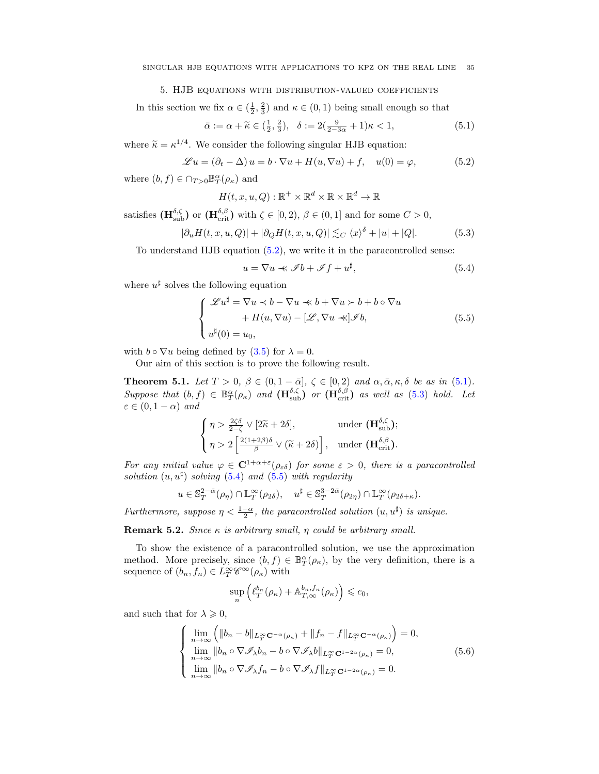### 5. HJB equations with distribution-valued coefficients

<span id="page-34-0"></span>In this section we fix  $\alpha \in (\frac{1}{2}, \frac{2}{3})$  and  $\kappa \in (0, 1)$  being small enough so that

$$
\bar{\alpha} := \alpha + \widetilde{\kappa} \in \left(\frac{1}{2}, \frac{2}{3}\right), \quad \delta := 2\left(\frac{9}{2 - 3\alpha} + 1\right)\kappa < 1,\tag{5.1}
$$

where  $\tilde{\kappa} = \kappa^{1/4}$ . We consider the following singular HJB equation:

<span id="page-34-4"></span>
$$
\mathcal{L}u = (\partial_t - \Delta)u = b \cdot \nabla u + H(u, \nabla u) + f, \quad u(0) = \varphi,
$$
\n(5.2)

where  $(b, f) \in \bigcap_{T>0} \mathbb{B}^{\alpha}_T(\rho_{\kappa})$  and

<span id="page-34-5"></span>
$$
H(t, x, u, Q) : \mathbb{R}^+ \times \mathbb{R}^d \times \mathbb{R} \times \mathbb{R}^d \to \mathbb{R}
$$

satisfies  $(\mathbf{H}_{sub}^{\delta,\zeta})$  or  $(\mathbf{H}_{\text{crit}}^{\delta,\beta})$  with  $\zeta \in [0,2)$ ,  $\beta \in (0,1]$  and for some  $C > 0$ ,

$$
|\partial_u H(t, x, u, Q)| + |\partial_Q H(t, x, u, Q)| \lesssim_C \langle x \rangle^{\delta} + |u| + |Q|. \tag{5.3}
$$

To understand HJB equation [\(5.2\)](#page-34-4), we write it in the paracontrolled sense:

<span id="page-34-6"></span><span id="page-34-2"></span>
$$
u = \nabla u \ll \mathcal{I}b + \mathcal{I}f + u^{\sharp},\tag{5.4}
$$

where  $u^{\sharp}$  solves the following equation

<span id="page-34-3"></span>
$$
\begin{cases}\n\mathscr{L}u^{\sharp} = \nabla u \prec b - \nabla u \ll b + \nabla u \succ b + b \circ \nabla u \\
\quad + H(u, \nabla u) - [\mathscr{L}, \nabla u \ll] \mathscr{I}b, \\
u^{\sharp}(0) = u_{0},\n\end{cases} \tag{5.5}
$$

with  $b \circ \nabla u$  being defined by [\(3.5\)](#page-14-6) for  $\lambda = 0$ .

Our aim of this section is to prove the following result.

<span id="page-34-1"></span>**Theorem 5.1.** Let  $T > 0$ ,  $\beta \in (0, 1 - \bar{\alpha}]$ ,  $\zeta \in [0, 2)$  and  $\alpha, \bar{\alpha}, \kappa, \delta$  be as in [\(5.1\)](#page-34-5). Suppose that  $(b, f) \in \mathbb{B}^{\alpha}_{T}(\rho_{\kappa})$  and  $(\mathbf{H}_{sub}^{\delta,\zeta})$  or  $(\mathbf{H}_{\text{crit}}^{\delta,\beta})$  as well as [\(5.3\)](#page-34-6) hold. Let  $\varepsilon \in (0, 1 - \alpha)$  and

$$
\begin{cases} \eta > \frac{2\zeta\delta}{2-\zeta} \vee [2\widetilde{\kappa} + 2\delta], & \text{under } (\mathbf{H}_{\text{sub}}^{\delta,\zeta}); \\ \eta > 2 \left[ \frac{2(1+2\beta)\delta}{\beta} \vee (\widetilde{\kappa} + 2\delta) \right], & \text{under } (\mathbf{H}_{\text{crit}}^{\delta,\beta}). \end{cases}
$$

For any initial value  $\varphi \in C^{1+\alpha+\varepsilon}(\rho_{\varepsilon\delta})$  for some  $\varepsilon > 0$ , there is a paracontrolled solution  $(u, u^{\sharp})$  solving [\(5.4\)](#page-34-2) and [\(5.5\)](#page-34-3) with regularity

$$
u \in \mathbb{S}_T^{2-\bar{\alpha}}(\rho_\eta) \cap \mathbb{L}_T^{\infty}(\rho_{2\delta}), \quad u^{\sharp} \in \mathbb{S}_T^{3-2\bar{\alpha}}(\rho_{2\eta}) \cap \mathbb{L}_T^{\infty}(\rho_{2\delta+\kappa}).
$$

Furthermore, suppose  $\eta < \frac{1-\alpha}{2}$ , the paracontrolled solution  $(u, u^{\sharp})$  is unique.

Remark 5.2. Since  $\kappa$  is arbitrary small,  $\eta$  could be arbitrary small.

To show the existence of a paracontrolled solution, we use the approximation method. More precisely, since  $(b, f) \in \mathbb{B}^{\alpha}_{T}(\rho_{\kappa})$ , by the very definition, there is a sequence of  $(b_n, f_n) \in L_T^{\infty} \mathscr{C}^{\infty}(\rho_{\kappa})$  with

<span id="page-34-7"></span>
$$
\sup_{n} \left( \ell_T^{b_n}(\rho_\kappa) + \mathbb{A}_{T,\infty}^{b_n,f_n}(\rho_\kappa) \right) \leqslant c_0,
$$

and such that for  $\lambda \geqslant 0$ ,

$$
\begin{cases}\n\lim_{n\to\infty} \left( \|b_n - b\|_{L_T^{\infty} \mathbf{C}^{-\alpha}(\rho_{\kappa})} + \|f_n - f\|_{L_T^{\infty} \mathbf{C}^{-\alpha}(\rho_{\kappa})} \right) = 0, \\
\lim_{n\to\infty} \|b_n \circ \nabla \mathscr{I}_{\lambda} b_n - b \circ \nabla \mathscr{I}_{\lambda} b\|_{L_T^{\infty} \mathbf{C}^{1-2\alpha}(\rho_{\kappa})} = 0, \\
\lim_{n\to\infty} \|b_n \circ \nabla \mathscr{I}_{\lambda} f_n - b \circ \nabla \mathscr{I}_{\lambda} f\|_{L_T^{\infty} \mathbf{C}^{1-2\alpha}(\rho_{\kappa})} = 0.\n\end{cases} (5.6)
$$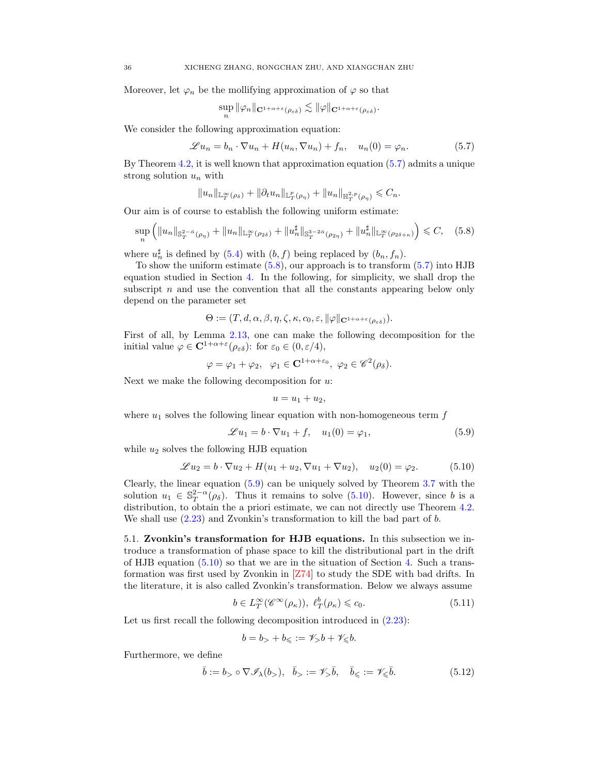Moreover, let  $\varphi_n$  be the mollifying approximation of  $\varphi$  so that

<span id="page-35-1"></span>
$$
\sup_n \|\varphi_n\|_{\mathbf{C}^{1+\alpha+\varepsilon}(\rho_{\varepsilon\delta})}\lesssim \|\varphi\|_{\mathbf{C}^{1+\alpha+\varepsilon}(\rho_{\varepsilon\delta})}.
$$

We consider the following approximation equation:

$$
\mathscr{L} u_n = b_n \cdot \nabla u_n + H(u_n, \nabla u_n) + f_n, \quad u_n(0) = \varphi_n.
$$
 (5.7)

By Theorem [4.2,](#page-24-1) it is well known that approximation equation [\(5.7\)](#page-35-1) admits a unique strong solution  $u_n$  with

$$
||u_n||_{\mathbb{L}^\infty_T(\rho_\delta)}+||\partial_t u_n||_{\mathbb{L}^p_T(\rho_\eta)}+||u_n||_{\mathbb{H}^{2,p}_T(\rho_\eta)}\leqslant C_n.
$$

Our aim is of course to establish the following uniform estimate:

$$
\sup_{n} \left( \|u_{n}\|_{\mathbb{S}_{T}^{2-\bar{\alpha}}(\rho_{\eta})} + \|u_{n}\|_{\mathbb{L}_{T}^{\infty}(\rho_{2\delta})} + \|u_{n}^{\sharp}\|_{\mathbb{S}_{T}^{3-2\bar{\alpha}}(\rho_{2\eta})} + \|u_{n}^{\sharp}\|_{\mathbb{L}_{T}^{\infty}(\rho_{2\delta+\kappa})} \right) \leq C, \quad (5.8)
$$

where  $u_n^{\sharp}$  is defined by [\(5.4\)](#page-34-2) with  $(b, f)$  being replaced by  $(b_n, f_n)$ .

To show the uniform estimate  $(5.8)$ , our approach is to transform  $(5.7)$  into HJB equation studied in Section [4.](#page-22-0) In the following, for simplicity, we shall drop the subscript  $n$  and use the convention that all the constants appearing below only depend on the parameter set

$$
\Theta := (T, d, \alpha, \beta, \eta, \zeta, \kappa, c_0, \varepsilon, \|\varphi\|_{\mathbf{C}^{1+\alpha+\varepsilon}(\rho_{\varepsilon\delta})}).
$$

First of all, by Lemma [2.13,](#page-12-5) one can make the following decomposition for the initial value  $\varphi \in \mathbf{C}^{1+\alpha+\varepsilon}(\rho_{\varepsilon\delta})$ : for  $\varepsilon_0 \in (0,\varepsilon/4)$ ,

$$
\varphi = \varphi_1 + \varphi_2, \quad \varphi_1 \in \mathbf{C}^{1+\alpha+\varepsilon_0}, \quad \varphi_2 \in \mathscr{C}^2(\rho_\delta).
$$

Next we make the following decomposition for  $u$ :

<span id="page-35-2"></span>
$$
u = u_1 + u_2,
$$

where  $u_1$  solves the following linear equation with non-homogeneous term f

<span id="page-35-3"></span>
$$
\mathcal{L}u_1 = b \cdot \nabla u_1 + f, \quad u_1(0) = \varphi_1,\tag{5.9}
$$

while  $u_2$  solves the following HJB equation

<span id="page-35-4"></span>
$$
\mathcal{L}u_2 = b \cdot \nabla u_2 + H(u_1 + u_2, \nabla u_1 + \nabla u_2), \quad u_2(0) = \varphi_2.
$$
 (5.10)

Clearly, the linear equation [\(5.9\)](#page-35-3) can be uniquely solved by Theorem [3.7](#page-18-1) with the solution  $u_1 \in \mathbb{S}_T^{2-\alpha}(\rho_\delta)$ . Thus it remains to solve [\(5.10\)](#page-35-4). However, since b is a distribution, to obtain the a priori estimate, we can not directly use Theorem [4.2.](#page-24-1) We shall use  $(2.23)$  and Zvonkin's transformation to kill the bad part of b.

<span id="page-35-0"></span>5.1. Zvonkin's transformation for HJB equations. In this subsection we introduce a transformation of phase space to kill the distributional part in the drift of HJB equation [\(5.10\)](#page-35-4) so that we are in the situation of Section [4.](#page-22-0) Such a transformation was first used by Zvonkin in [\[Z74\]](#page-48-27) to study the SDE with bad drifts. In the literature, it is also called Zvonkin's transformation. Below we always assume

$$
b \in L_T^{\infty}(\mathscr{C}^{\infty}(\rho_\kappa)), \ \ell_T^b(\rho_\kappa) \leqslant c_0. \tag{5.11}
$$

Let us first recall the following decomposition introduced in  $(2.23)$ :

<span id="page-35-6"></span><span id="page-35-5"></span>
$$
b = b_{>} + b_{\leqslant} := \mathscr{V}_> b + \mathscr{V}_{\leqslant} b.
$$

Furthermore, we define

$$
\bar{b} := b_{>} \circ \nabla \mathcal{I}_{\lambda}(b_{>}), \quad \bar{b}_{>} := \mathcal{V}_{>} \bar{b}, \quad \bar{b}_{\leq} := \mathcal{V}_{\leq} \bar{b}.
$$
 (5.12)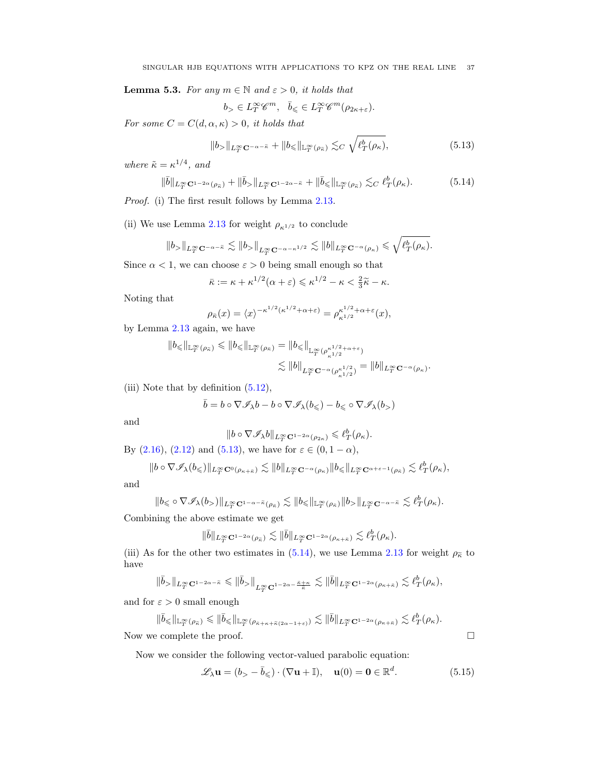<span id="page-36-2"></span>**Lemma 5.3.** For any  $m \in \mathbb{N}$  and  $\varepsilon > 0$ , it holds that

<span id="page-36-1"></span><span id="page-36-0"></span>
$$
b_>\in L_T^\infty{\mathscr C}^{m},\ \ \bar b_\leqslant\in L_T^\infty{\mathscr C}^{m}(\rho_{2\kappa+\varepsilon}).
$$

For some  $C = C(d, \alpha, \kappa) > 0$ , it holds that

$$
||b_{>}||_{L^{\infty}_{T}\mathbf{C}^{-\alpha-\tilde{\kappa}}}+||b_{\leq}||_{\mathbb{L}^{\infty}_{T}(\rho_{\tilde{\kappa}})} \lesssim_{C} \sqrt{\ell_{T}^{b}(\rho_{\kappa})},
$$
\n(5.13)

where  $\tilde{\kappa} = \kappa^{1/4}$ , and

$$
\|\bar{b}\|_{L_T^{\infty} \mathbf{C}^{1-2\alpha}(\rho_{\tilde{\kappa}})} + \|\bar{b}_{>}\|_{L_T^{\infty} \mathbf{C}^{1-2\alpha-\tilde{\kappa}}} + \|\bar{b}_{\leq} \|_{\mathbb{L}_T^{\infty}(\rho_{\tilde{\kappa}})} \lesssim_C \ell_T^b(\rho_{\kappa}). \tag{5.14}
$$

Proof. (i) The first result follows by Lemma [2.13.](#page-12-5)

(ii) We use Lemma [2.13](#page-12-5) for weight  $\rho_{\kappa^{1/2}}$  to conclude

$$
||b_{>}||_{L^{\infty}_{T}C^{-\alpha-\tilde{\kappa}}}\lesssim ||b_{>}||_{L^{\infty}_{T}C^{-\alpha-\kappa^{1/2}}}\lesssim ||b||_{L^{\infty}_{T}C^{-\alpha}(\rho_{\kappa})}\leqslant \sqrt{\ell^{b}_{T}(\rho_{\kappa})}.
$$

Since  $\alpha < 1$ , we can choose  $\varepsilon > 0$  being small enough so that

$$
\bar{\kappa} := \kappa + \kappa^{1/2}(\alpha + \varepsilon) \leq \kappa^{1/2} - \kappa < \frac{2}{3}\tilde{\kappa} - \kappa.
$$

Noting that

$$
\rho_{\bar{\kappa}}(x) = \langle x \rangle^{-\kappa^{1/2} (\kappa^{1/2} + \alpha + \varepsilon)} = \rho_{\kappa^{1/2} + \alpha + \varepsilon}^{\kappa^{1/2} + \alpha + \varepsilon}(x),
$$

by Lemma [2.13](#page-12-5) again, we have

$$
\|b_{\leq}\|_{\mathbb{L}_{T}^{\infty}(\rho_{\tilde{\kappa}})} \leq \|b_{\leq}\|_{\mathbb{L}_{T}^{\infty}(\rho_{\tilde{\kappa}})} = \|b_{\leq}\|_{\mathbb{L}_{T}^{\infty}(\rho_{\kappa^{1/2}}^{\kappa^{1/2}+\alpha+\varepsilon})}
$$
  

$$
\lesssim \|b\|_{L_{T}^{\infty}\mathbf{C}^{-\alpha}(\rho_{\kappa^{1/2}}^{\kappa^{1/2}})} = \|b\|_{L_{T}^{\infty}\mathbf{C}^{-\alpha}(\rho_{\kappa})}.
$$

(iii) Note that by definition  $(5.12)$ ,

$$
\bar b = b\circ \nabla {\mathscr I}_\lambda b - b\circ \nabla {\mathscr I}_\lambda(b_\leqslant) - b_\leqslant \circ \nabla {\mathscr I}_\lambda(b_>)
$$

and

$$
\|b\circ\nabla\mathscr{I}_\lambda b\|_{L^\infty_T{\mathbf C}^{1-2\alpha}(\rho_{2\kappa})}\leqslant \ell_T^b(\rho_\kappa).
$$

By [\(2.16\)](#page-10-3), [\(2.12\)](#page-9-0) and [\(5.13\)](#page-36-0), we have for  $\varepsilon \in (0, 1 - \alpha)$ ,

$$
||b \circ \nabla \mathcal{I}_{\lambda}(b_{\leq})||_{L^{\infty}_{T}C^{0}(\rho_{\kappa+\bar{\kappa}})} \lesssim ||b||_{L^{\infty}_{T}C^{-\alpha}(\rho_{\kappa})}||b_{\leq}||_{L^{\infty}_{T}C^{\alpha+\varepsilon-1}(\rho_{\bar{\kappa}})} \lesssim \ell^{b}_{T}(\rho_{\kappa}),
$$

and

$$
\|b_\leqslant \circ \nabla \mathscr I_\lambda(b_>)\|_{L^\infty_T{\mathbf C}^{1-\alpha-\tilde\kappa}(\rho_{\bar\kappa})}\lesssim \|b_\leqslant\|_{{\mathbb L}^\infty_T(\rho_{\bar\kappa})}\|b_>\|_{L^\infty_T{\mathbf C}^{-\alpha-\tilde\kappa}}\lesssim \ell_T^b(\rho_\kappa).
$$

Combining the above estimate we get

$$
\|\bar b\|_{L^\infty_T{\mathbf C}^{1-2\alpha}(\rho_{\tilde\kappa})}\lesssim \|\bar b\|_{L^\infty_T{\mathbf C}^{1-2\alpha}(\rho_{\kappa+\bar\kappa})}\lesssim \ell_T^b(\rho_\kappa).
$$

(iii) As for the other two estimates in [\(5.14\)](#page-36-1), we use Lemma [2.13](#page-12-5) for weight  $\rho_{\tilde{\kappa}}$  to have

$$
\|\bar{b}_> \|_{L^\infty_T \mathbf{C}^{1-2\alpha-\tilde \kappa}} \leqslant \|\bar{b}_> \|_{L^\infty_T \mathbf{C}^{1-2\alpha-\frac{\tilde \kappa+\kappa}{\tilde \kappa}}} \lesssim \|\bar{b}\|_{L^\infty_T \mathbf{C}^{1-2\alpha}(\rho_{\kappa+\tilde \kappa})} \lesssim \ell_T^b(\rho_{\kappa}),
$$

and for  $\varepsilon > 0$  small enough

$$
\|\bar{b}_{\leq}\|_{\mathbb{L}^{\infty}_{T}(\rho_{\bar{\kappa}})} \leq \|\bar{b}_{\leq}\|_{\mathbb{L}^{\infty}_{T}(\rho_{\bar{\kappa}+\kappa+\tilde{\kappa}(2\alpha-1+\varepsilon)})} \lesssim \|\bar{b}\|_{L^{\infty}_{T}C^{1-2\alpha}(\rho_{\kappa+\bar{\kappa}})} \lesssim \ell^{b}_{T}(\rho_{\kappa}).
$$
  
Now we complete the proof.

Now we consider the following vector-valued parabolic equation:

$$
\mathscr{L}_{\lambda}\mathbf{u} = (b_{>} - \bar{b}_{\leqslant}) \cdot (\nabla \mathbf{u} + \mathbb{I}), \quad \mathbf{u}(0) = \mathbf{0} \in \mathbb{R}^{d}.
$$
 (5.15)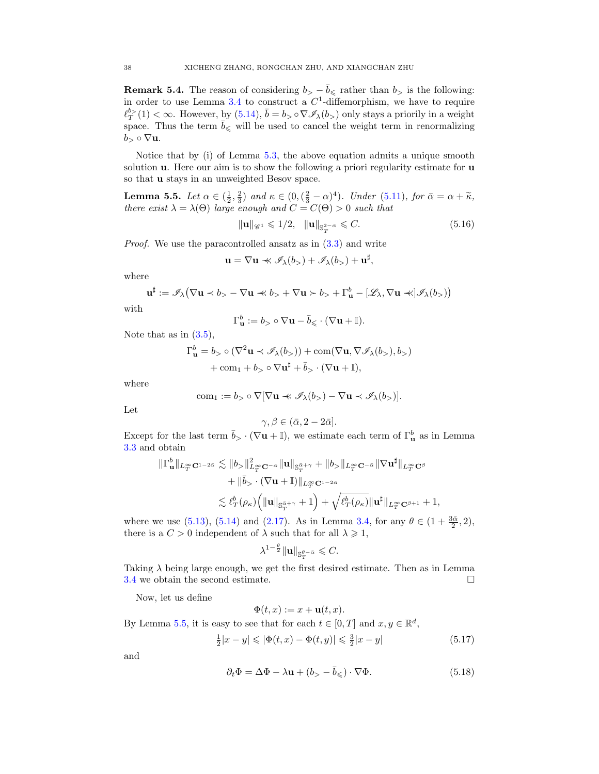<span id="page-37-4"></span>**Remark 5.4.** The reason of considering  $b > -\overline{b} \le$  rather than  $b >$  is the following: in order to use Lemma [3.4](#page-16-6) to construct a  $C<sup>1</sup>$ -diffemorphism, we have to require  $\ell_T^{b>} (1) < \infty$ . However, by  $(5.14)$ ,  $\bar{b} = b > \circ \nabla \mathscr{I}_{\lambda}(b)$  only stays a priorily in a weight space. Thus the term  $\bar{b}_{\leqslant}$  will be used to cancel the weight term in renormalizing  $b > \circ \nabla$ **u**.

Notice that by (i) of Lemma [5.3,](#page-36-2) the above equation admits a unique smooth solution **u**. Here our aim is to show the following a priori regularity estimate for **u** so that u stays in an unweighted Besov space.

<span id="page-37-0"></span>**Lemma 5.5.** Let  $\alpha \in (\frac{1}{2}, \frac{2}{3})$  and  $\kappa \in (0, (\frac{2}{3} - \alpha)^4)$ . Under [\(5.11\)](#page-35-6), for  $\bar{\alpha} = \alpha + \tilde{\kappa}$ , there exist  $\lambda = \lambda(\Theta)$  large enough and  $C = C(\Theta) > 0$  such that

<span id="page-37-3"></span> $\|\mathbf{u}\|_{\mathscr{C}^1} \leq 1/2, \quad \|\mathbf{u}\|_{\mathbb{S}^{2-\bar{\alpha}}_{T}} \leq C.$  (5.16)

Proof. We use the paracontrolled ansatz as in [\(3.3\)](#page-14-4) and write

$$
\mathbf{u} = \nabla \mathbf{u} \prec \mathscr{I}_{\lambda}(b_{>} ) + \mathscr{I}_{\lambda}(b_{>} ) + \mathbf{u}^{\sharp},
$$

where

$$
\mathbf{u}^{\sharp} := \mathscr{I}_{\lambda} \big( \nabla \mathbf{u} \prec b_{>} - \nabla \mathbf{u} \ll b_{>} + \nabla \mathbf{u} \succ b_{>} + \Gamma_{\mathbf{u}}^{b} - [\mathscr{L}_{\lambda}, \nabla \mathbf{u} \ll ] \mathscr{I}_{\lambda}(b_{>})\big)
$$

with

$$
\Gamma_{\mathbf{u}}^b:=b_>\circ \nabla \mathbf{u}-\bar b_\leqslant \cdot (\nabla \mathbf{u}+\mathbb{I}).
$$

Note that as in  $(3.5)$ ,

$$
\Gamma_{\mathbf{u}}^{b} = b_{>} \circ (\nabla^{2} \mathbf{u} \prec \mathscr{I}_{\lambda}(b_{>})) + \text{com}(\nabla \mathbf{u}, \nabla \mathscr{I}_{\lambda}(b_{>}), b_{>})
$$

$$
+ \text{com}_{1} + b_{>} \circ \nabla \mathbf{u}^{\sharp} + \bar{b}_{>} \cdot (\nabla \mathbf{u} + \mathbb{I}),
$$

where

$$
com_1 := b_{>} \circ \nabla[\nabla \mathbf{u} \prec \mathscr{I}_{\lambda}(b_{>} - \nabla \mathbf{u} \prec \mathscr{I}_{\lambda}(b_{>})].
$$

Let

$$
\gamma, \beta \in (\bar{\alpha}, 2 - 2\bar{\alpha}].
$$

Except for the last term  $\bar{b}_{>} \cdot (\nabla \mathbf{u} + \mathbb{I})$ , we estimate each term of  $\Gamma_{\mathbf{u}}^{b}$  as in Lemma [3.3](#page-15-1) and obtain

$$
\label{eq:3.1} \begin{split} \|\Gamma^b_{\mathbf{u}}\|_{L^\infty_T \mathbf{C}^{1-2\bar{\alpha}}} &\lesssim \|b_> \|^2_{L^\infty_T \mathbf{C}^{-\bar{\alpha}}} \|\mathbf{u}\|_{\mathbb{S}^{\bar{\alpha}+\gamma}_T} + \|b_> \|_{L^\infty_T \mathbf{C}^{-\bar{\alpha}}} \|\nabla \mathbf{u}^\sharp\|_{L^\infty_T \mathbf{C}^\beta} \\ &\qquad + \|\bar b_> \cdot (\nabla \mathbf{u} + \mathbb{I})\|_{L^\infty_T \mathbf{C}^{1-2\bar{\alpha}}} \\ &\lesssim \ell_T^b(\rho_\kappa) \Big( \|\mathbf{u}\|_{\mathbb{S}^{\bar{\alpha}+\gamma}_T} + 1 \Big) + \sqrt{\ell_T^b(\rho_\kappa)} \|\mathbf{u}^\sharp\|_{L^\infty_T \mathbf{C}^{\beta+1}} + 1, \end{split}
$$

where we use [\(5.13\)](#page-36-0), [\(5.14\)](#page-36-1) and [\(2.17\)](#page-10-4). As in Lemma [3.4,](#page-16-6) for any  $\theta \in (1 + \frac{3\bar{\alpha}}{2}, 2)$ , there is a  $C > 0$  independent of  $\lambda$  such that for all  $\lambda \geq 1$ ,

$$
\lambda^{1-\frac{\theta}{2}}\|\mathbf{u}\|_{\mathbb{S}^{\theta-\bar{\alpha}}_{T}}\leqslant C.
$$

Taking  $\lambda$  being large enough, we get the first desired estimate. Then as in Lemma [3.4](#page-16-6) we obtain the second estimate.  $\square$ 

Now, let us define

<span id="page-37-2"></span><span id="page-37-1"></span>
$$
\Phi(t,x):=x+\mathbf{u}(t,x)
$$

By Lemma [5.5,](#page-37-0) it is easy to see that for each  $t \in [0, T]$  and  $x, y \in \mathbb{R}^d$ ,

$$
\frac{1}{2}|x - y| \leq |\Phi(t, x) - \Phi(t, y)| \leq \frac{3}{2}|x - y| \tag{5.17}
$$

and

$$
\partial_t \Phi = \Delta \Phi - \lambda \mathbf{u} + (b_{>} - \bar{b}_{\leqslant}) \cdot \nabla \Phi. \tag{5.18}
$$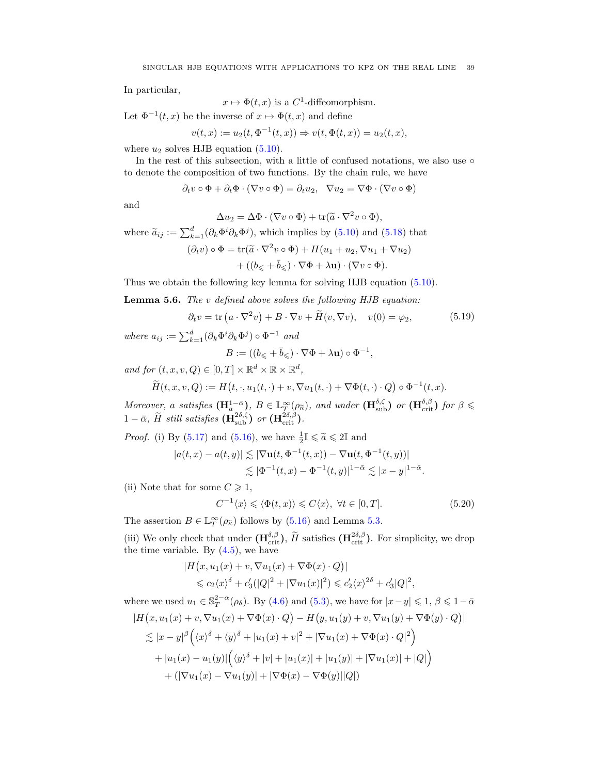In particular,

$$
x \mapsto \Phi(t, x)
$$
 is a C<sup>1</sup>-diffeomorphism.

Let  $\Phi^{-1}(t, x)$  be the inverse of  $x \mapsto \Phi(t, x)$  and define

$$
v(t, x) := u_2(t, \Phi^{-1}(t, x)) \Rightarrow v(t, \Phi(t, x)) = u_2(t, x),
$$

where  $u_2$  solves HJB equation [\(5.10\)](#page-35-4).

In the rest of this subsection, with a little of confused notations, we also use  $\circ$ to denote the composition of two functions. By the chain rule, we have

$$
\partial_t v \circ \Phi + \partial_t \Phi \cdot (\nabla v \circ \Phi) = \partial_t u_2, \ \ \nabla u_2 = \nabla \Phi \cdot (\nabla v \circ \Phi)
$$

and

$$
\Delta u_2 = \Delta \Phi \cdot (\nabla v \circ \Phi) + \text{tr}(\widetilde{a} \cdot \nabla^2 v \circ \Phi),
$$

where  $\tilde{a}_{ij} := \sum_{k=1}^{d} (\partial_k \Phi^i \partial_k \Phi^j)$ , which implies by [\(5.10\)](#page-35-4) and [\(5.18\)](#page-37-1) that  $(\partial_t v) \circ \Phi = \text{tr}(\tilde{a} \cdot \nabla^2 v \circ \Phi) + H(u_1 + u_2, \nabla u_1 + \nabla u_2)$  $+ ((b<sub><</sub> + \bar{b}<sub><</sub>) \cdot \nabla \Phi + \lambda \mathbf{u}) \cdot (\nabla v \circ \Phi).$ 

Thus we obtain the following key lemma for solving HJB equation [\(5.10\)](#page-35-4).

<span id="page-38-1"></span>Lemma 5.6. The v defined above solves the following HJB equation:

$$
\partial_t v = \text{tr}\left(a \cdot \nabla^2 v\right) + B \cdot \nabla v + \tilde{H}(v, \nabla v), \quad v(0) = \varphi_2,\tag{5.19}
$$

<span id="page-38-0"></span>,

where  $a_{ij} := \sum_{k=1}^d (\partial_k \Phi^i \partial_k \Phi^j) \circ \Phi^{-1}$  and

$$
B:=((b_{\leqslant}+\bar b_{\leqslant})\cdot\nabla\Phi+\lambda{\bf u})\circ\Phi^{-1}
$$

and for  $(t, x, v, Q) \in [0, T] \times \mathbb{R}^d \times \mathbb{R} \times \mathbb{R}^d$ ,

$$
\widetilde{H}(t,x,v,Q) := H\big(t,\cdot,u_1(t,\cdot) + v, \nabla u_1(t,\cdot) + \nabla \Phi(t,\cdot) \cdot Q\big) \circ \Phi^{-1}(t,x).
$$

Moreover, a satisfies  $(\mathbf{H}_{a}^{1-\bar{\alpha}}), B \in \mathbb{L}_{T}^{\infty}(\rho_{\bar{\kappa}}),$  and under  $(\mathbf{H}_{sub}^{\delta,\zeta})$  or  $(\mathbf{H}_{crit}^{\delta,\beta})$  for  $\beta \leq$  $1-\bar{\alpha}$ ,  $\widetilde{H}$  still satisfies  $(\mathbf{H}^{2\delta,\zeta}_{\text{sub}})$  or  $(\mathbf{H}^{2\delta,\beta}_{\text{crit}})$ .

*Proof.* (i) By [\(5.17\)](#page-37-2) and [\(5.16\)](#page-37-3), we have  $\frac{1}{2}I \leq \tilde{a} \leq 2I$  and

$$
|a(t,x) - a(t,y)| \lesssim |\nabla {\bf u}(t, \Phi^{-1}(t,x)) - \nabla {\bf u}(t, \Phi^{-1}(t,y))|
$$
  

$$
\lesssim |\Phi^{-1}(t,x) - \Phi^{-1}(t,y)|^{1-\bar{\alpha}} \lesssim |x-y|^{1-\bar{\alpha}}.
$$

(ii) Note that for some  $C \geq 1$ ,

$$
C^{-1}\langle x\rangle \leq \langle \Phi(t,x)\rangle \leq C\langle x\rangle, \ \forall t \in [0,T].\tag{5.20}
$$

The assertion  $B \in \mathbb{L}_T^{\infty}(\rho_{\tilde{\kappa}})$  follows by [\(5.16\)](#page-37-3) and Lemma [5.3.](#page-36-2)

(iii) We only check that under  $(\mathbf{H}_{\text{crit}}^{\delta,\beta}), \tilde{H}$  satisfies  $(\mathbf{H}_{\text{crit}}^{2\delta,\beta})$ . For simplicity, we drop the time variable. By  $(4.5)$ , we have

$$
|H(x, u_1(x) + v, \nabla u_1(x) + \nabla \Phi(x) \cdot Q)|
$$
  
\$\leq c\_2\langle x \rangle^{\delta} + c'\_3(|Q|^2 + |\nabla u\_1(x)|^2) \leq c'\_2\langle x \rangle^{2\delta} + c'\_3|Q|^2\$,

where we used  $u_1 \in \mathbb{S}_T^{2-\alpha}(\rho_\delta)$ . By [\(4.6\)](#page-23-3) and [\(5.3\)](#page-34-6), we have for  $|x-y| \leq 1$ ,  $\beta \leq 1-\bar{\alpha}$  $|H(x, u_1(x) + v, \nabla u_1(x) + \nabla \Phi(x) \cdot Q) - H(y, u_1(y) + v, \nabla u_1(y) + \nabla \Phi(y) \cdot Q)|$  $\lesssim |x-y|^\beta \Big(\langle x\rangle^{\delta} + \langle y\rangle^{\delta} + |u_1(x)+v|^2 + |\nabla u_1(x)+\nabla \Phi(x)\cdot Q|^2\Big)$  $+ |u_1(x) - u_1(y)| (\langle y \rangle^{\delta} + |v| + |u_1(x)| + |u_1(y)| + |\nabla u_1(x)| + |Q|)$ +  $(|\nabla u_1(x) - \nabla u_1(y)| + |\nabla \Phi(x) - \nabla \Phi(y)||Q|)$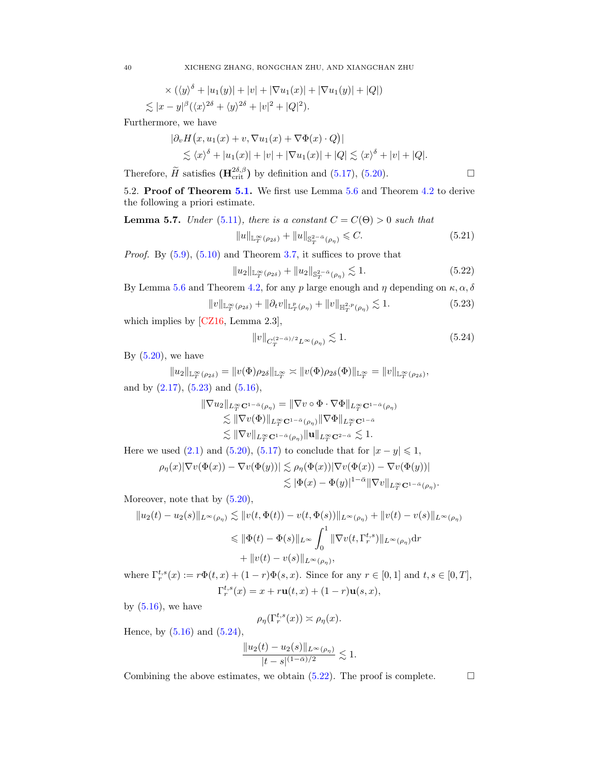$$
\times (\langle y \rangle^{\delta} + |u_1(y)| + |v| + |\nabla u_1(x)| + |\nabla u_1(y)| + |Q|)
$$
  
\$\lesssim |x - y|^{\beta} (\langle x \rangle^{2\delta} + \langle y \rangle^{2\delta} + |v|^2 + |Q|^2).

Furthermore, we have

$$
\begin{aligned} |\partial_v H(x, u_1(x) + v, \nabla u_1(x) + \nabla \Phi(x) \cdot Q)| \\ &\lesssim \langle x \rangle^{\delta} + |u_1(x)| + |v| + |\nabla u_1(x)| + |Q| \lesssim \langle x \rangle^{\delta} + |v| + |Q|. \end{aligned}
$$

Therefore,  $\widetilde{H}$  satisfies  $(\mathbf{H}_{\text{crit}}^{2\delta,\beta})$  by definition and [\(5.17\)](#page-37-2), [\(5.20\)](#page-38-0).

<span id="page-39-0"></span>5.2. Proof of Theorem [5.1.](#page-34-1) We first use Lemma [5.6](#page-38-1) and Theorem [4.2](#page-24-1) to derive the following a priori estimate.

**Lemma 5.7.** Under [\(5.11\)](#page-35-6), there is a constant  $C = C(\Theta) > 0$  such that

$$
||u||_{\mathbb{L}_T^{\infty}(\rho_{2\delta})} + ||u||_{\mathbb{S}_T^{2-\bar{\alpha}}(\rho_{\eta})} \leq C.
$$
\n(5.21)

*Proof.* By  $(5.9)$ ,  $(5.10)$  and Theorem [3.7,](#page-18-1) it suffices to prove that

$$
||u_2||_{\mathbb{L}_T^{\infty}(\rho_{2\delta})} + ||u_2||_{\mathbb{S}_T^{2-\bar{\alpha}}(\rho_{\eta})} \lesssim 1.
$$
 (5.22)

By Lemma [5.6](#page-38-1) and Theorem [4.2,](#page-24-1) for any p large enough and  $\eta$  depending on  $\kappa, \alpha, \delta$ 

$$
||v||_{\mathbb{L}_T^{\infty}(\rho_{2\delta})} + ||\partial_t v||_{\mathbb{L}_T^p(\rho_{\eta})} + ||v||_{\mathbb{H}_T^{2,p}(\rho_{\eta})} \lesssim 1.
$$
 (5.23)

which implies by [\[CZ16,](#page-47-12) Lemma 2.3],

$$
||v||_{C_T^{(2-\bar{\alpha})/2}L^{\infty}(\rho_\eta)} \lesssim 1.
$$
\n
$$
(5.24)
$$

By  $(5.20)$ , we have

$$
||u_2||_{\mathbb{L}_T^\infty(\rho_{2\delta})}=||v(\Phi)\rho_{2\delta}||_{\mathbb{L}_T^\infty}\asymp ||v(\Phi)\rho_{2\delta}(\Phi)||_{\mathbb{L}_T^\infty}=||v||_{\mathbb{L}_T^\infty(\rho_{2\delta})},
$$

and by  $(2.17)$ ,  $(5.23)$  and  $(5.16)$ ,

$$
\|\nabla u_2\|_{L^\infty_T \mathbf{C}^{1-\bar{\alpha}}(\rho_\eta)} = \|\nabla v \circ \Phi \cdot \nabla \Phi\|_{L^\infty_T \mathbf{C}^{1-\bar{\alpha}}(\rho_\eta)}
$$
  

$$
\lesssim \|\nabla v(\Phi)\|_{L^\infty_T \mathbf{C}^{1-\bar{\alpha}}(\rho_\eta)} \|\nabla \Phi\|_{L^\infty_T \mathbf{C}^{1-\bar{\alpha}}}
$$
  

$$
\lesssim \|\nabla v\|_{L^\infty_T \mathbf{C}^{1-\bar{\alpha}}(\rho_\eta)} \|\mathbf{u}\|_{L^\infty_T \mathbf{C}^{2-\bar{\alpha}}} \lesssim 1.
$$

Here we used [\(2.1\)](#page-6-2) and [\(5.20\)](#page-38-0), [\(5.17\)](#page-37-2) to conclude that for  $|x - y| \leq 1$ ,

$$
\rho_{\eta}(x)|\nabla v(\Phi(x)) - \nabla v(\Phi(y))| \lesssim \rho_{\eta}(\Phi(x))|\nabla v(\Phi(x)) - \nabla v(\Phi(y))|
$$
  

$$
\lesssim |\Phi(x) - \Phi(y)|^{1-\bar{\alpha}} \|\nabla v\|_{L^{\infty}_T \mathbf{C}^{1-\bar{\alpha}}(\rho_{\eta})}
$$

Moreover, note that by  $(5.20)$ ,

$$
||u_2(t) - u_2(s)||_{L^{\infty}(\rho_{\eta})} \lesssim ||v(t, \Phi(t)) - v(t, \Phi(s))||_{L^{\infty}(\rho_{\eta})} + ||v(t) - v(s)||_{L^{\infty}(\rho_{\eta})}
$$
  

$$
\leq ||\Phi(t) - \Phi(s)||_{L^{\infty}} \int_0^1 ||\nabla v(t, \Gamma_r^{t,s})||_{L^{\infty}(\rho_{\eta})} dr
$$
  

$$
+ ||v(t) - v(s)||_{L^{\infty}(\rho_{\eta})},
$$

where  $\Gamma_r^{t,s}(x) := r \Phi(t,x) + (1-r) \Phi(s,x)$ . Since for any  $r \in [0,1]$  and  $t,s \in [0,T]$ ,  $\Gamma_r^{t,s}(x) = x + r \mathbf{u}(t,x) + (1 - r) \mathbf{u}(s,x),$ 

by  $(5.16)$ , we have

$$
\rho_{\eta}(\Gamma_r^{t,s}(x)) \asymp \rho_{\eta}(x).
$$

Hence, by  $(5.16)$  and  $(5.24)$ ,

$$
\frac{\|u_2(t) - u_2(s)\|_{L^{\infty}(\rho_{\eta})}}{|t - s|^{(1 - \bar{\alpha})/2}} \lesssim 1.
$$

Combining the above estimates, we obtain  $(5.22)$ . The proof is complete.  $\Box$ 

<span id="page-39-2"></span>.

<span id="page-39-4"></span><span id="page-39-3"></span><span id="page-39-1"></span>
$$
\Box
$$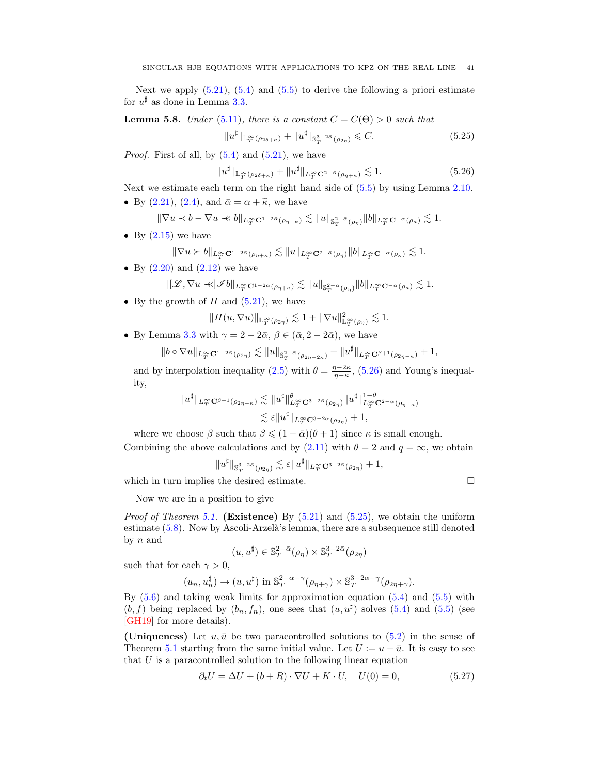Next we apply  $(5.21)$ ,  $(5.4)$  and  $(5.5)$  to derive the following a priori estimate for  $u^{\sharp}$  as done in Lemma [3.3.](#page-15-1)

**Lemma 5.8.** Under [\(5.11\)](#page-35-6), there is a constant  $C = C(\Theta) > 0$  such that

<span id="page-40-1"></span>
$$
||u^{\sharp}||_{\mathbb{L}_{T}^{\infty}(\rho_{2\delta+\kappa})}+||u^{\sharp}||_{\mathbb{S}_{T}^{3-2\bar{\alpha}}(\rho_{2\eta})} \leqslant C.
$$
 (5.25)

*Proof.* First of all, by  $(5.4)$  and  $(5.21)$ , we have

<span id="page-40-0"></span>
$$
||u^{\sharp}||_{\mathbb{L}_T^{\infty}(\rho_{2\delta+\kappa})} + ||u^{\sharp}||_{L_T^{\infty} \mathbf{C}^{2-\bar{\alpha}}(\rho_{\eta+\kappa})} \lesssim 1.
$$
 (5.26)

Next we estimate each term on the right hand side of [\(5.5\)](#page-34-3) by using Lemma [2.10.](#page-10-6) • By [\(2.21\)](#page-11-1), [\(2.4\)](#page-7-1), and  $\bar{\alpha} = \alpha + \tilde{\kappa}$ , we have

$$
\|\nabla u\prec b-\nabla u\prec\!\!\prec b\|_{L^\infty_T{\mathbf C}^{1-2\bar\alpha}(\rho_{\eta+\kappa})}\lesssim \|u\|_{{\mathbb S}^{2-\bar\alpha}_T(\rho_{\eta})}\|b\|_{L^\infty_T{\mathbf C}^{-\alpha}(\rho_{\kappa})}\lesssim 1.
$$

• By  $(2.15)$  we have

$$
\|\nabla u \succ b\|_{L^\infty_T{\mathbf C}^{1-2\bar\alpha}(\rho_{\eta+\kappa})} \lesssim \|u\|_{L^\infty_T{\mathbf C}^{2-\bar\alpha}(\rho_{\eta})} \|b\|_{L^\infty_T{\mathbf C}^{-\alpha}(\rho_{\kappa})} \lesssim 1.
$$

• By  $(2.20)$  and  $(2.12)$  we have

$$
\| [\mathscr{L}, \nabla u \prec\!\!\prec] \mathscr{I} b \|_{L^\infty_T {\mathbf C}^{1-2\bar\alpha}(\rho_{\eta+\kappa})} \lesssim \| u \|_{{\mathbf S}^{2-\bar\alpha}_T(\rho_{\eta})} \| b \|_{L^\infty_T {\mathbf C}^{-\alpha}(\rho_{\kappa})} \lesssim 1.
$$

• By the growth of  $H$  and  $(5.21)$ , we have

$$
||H(u,\nabla u)||_{\mathbb{L}_T^{\infty}(\rho_{2\eta})} \lesssim 1 + ||\nabla u||_{\mathbb{L}_T^{\infty}(\rho_{\eta})}^2 \lesssim 1.
$$

• By Lemma [3.3](#page-15-1) with  $\gamma = 2 - 2\bar{\alpha}, \beta \in (\bar{\alpha}, 2 - 2\bar{\alpha})$ , we have

$$
||b \circ \nabla u||_{L_T^{\infty} \mathbf{C}^{1-2\bar{\alpha}}(\rho_{2\eta})} \lesssim ||u||_{\mathbb{S}_T^{2-\bar{\alpha}}(\rho_{2\eta-2\kappa})} + ||u^{\sharp}||_{L_T^{\infty} \mathbf{C}^{\beta+1}(\rho_{2\eta-\kappa})} + 1,
$$

and by interpolation inequality [\(2.5\)](#page-8-6) with  $\theta = \frac{\eta - 2\kappa}{\eta - \kappa}$ , [\(5.26\)](#page-40-0) and Young's inequality,

$$
||u^{\sharp}||_{L^{\infty}_{T} \mathbf{C}^{\beta+1}(\rho_{2\eta-\kappa})} \lesssim ||u^{\sharp}||_{L^{\infty}_{T} \mathbf{C}^{3-2\bar{\alpha}}(\rho_{2\eta})}^{\theta} ||u^{\sharp}||_{L^{\infty}_{T} \mathbf{C}^{2-\bar{\alpha}}(\rho_{\eta+\kappa})}^{1-\theta}
$$
  

$$
\lesssim \varepsilon ||u^{\sharp}||_{L^{\infty}_{T} \mathbf{C}^{3-2\bar{\alpha}}(\rho_{2\eta})} + 1,
$$

where we choose  $\beta$  such that  $\beta \leq (1 - \bar{\alpha})(\theta + 1)$  since  $\kappa$  is small enough. Combining the above calculations and by  $(2.11)$  with  $\theta = 2$  and  $q = \infty$ , we obtain

$$
\|u^{\sharp}\|_{{\mathbb S}^{3-2\bar{\alpha}}_T(\rho_{2\eta})}\lesssim \varepsilon\|u^{\sharp}\|_{L^\infty_T{\mathbf C}^{3-2\bar{\alpha}}(\rho_{2\eta})}+1,
$$

which in turn implies the desired estimate.  $\hfill \square$ 

Now we are in a position to give

*Proof of Theorem [5.1.](#page-34-1)* (Existence) By  $(5.21)$  and  $(5.25)$ , we obtain the uniform estimate  $(5.8)$ . Now by Ascoli-Arzelà's lemma, there are a subsequence still denoted by  $n$  and

$$
(u, u^{\sharp}) \in \mathbb{S}_T^{2-\bar{\alpha}}(\rho_{\eta}) \times \mathbb{S}_T^{3-2\bar{\alpha}}(\rho_{2\eta})
$$

such that for each  $\gamma > 0$ ,

$$
(u_n, u_n^{\sharp}) \to (u, u^{\sharp})
$$
 in  $\mathbb{S}_T^{2-\bar{\alpha}-\gamma}(\rho_{\eta+\gamma}) \times \mathbb{S}_T^{3-2\bar{\alpha}-\gamma}(\rho_{2\eta+\gamma}).$ 

By [\(5.6\)](#page-34-7) and taking weak limits for approximation equation [\(5.4\)](#page-34-2) and [\(5.5\)](#page-34-3) with  $(b, f)$  being replaced by  $(b_n, f_n)$ , one sees that  $(u, u^{\sharp})$  solves  $(5.4)$  and  $(5.5)$  (see [\[GH19\]](#page-48-16) for more details).

(Uniqueness) Let  $u, \bar{u}$  be two paracontrolled solutions to [\(5.2\)](#page-34-4) in the sense of Theorem [5.1](#page-34-1) starting from the same initial value. Let  $U := u - \bar{u}$ . It is easy to see that  $U$  is a paracontrolled solution to the following linear equation

$$
\partial_t U = \Delta U + (b + R) \cdot \nabla U + K \cdot U, \quad U(0) = 0,\tag{5.27}
$$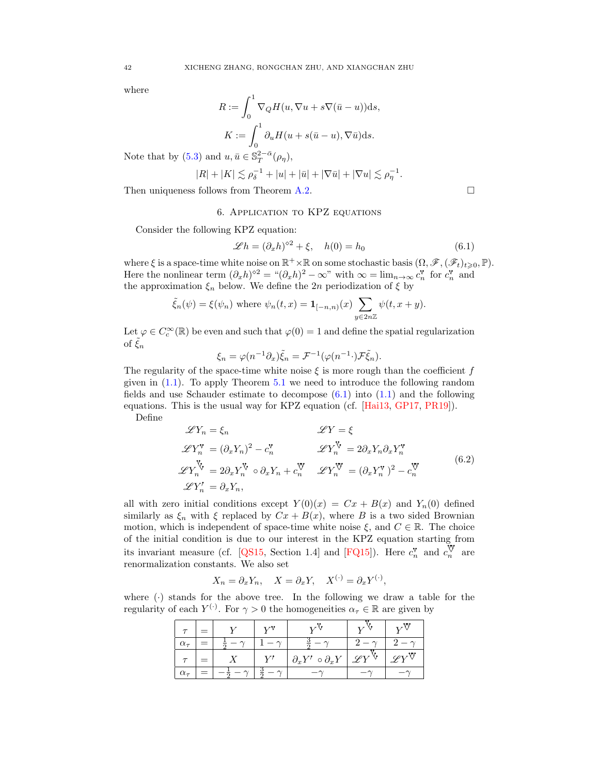where

$$
R := \int_0^1 \nabla_Q H(u, \nabla u + s\nabla(\bar{u} - u)) ds,
$$
  

$$
K := \int_0^1 \partial_u H(u + s(\bar{u} - u), \nabla \bar{u}) ds.
$$

Note that by [\(5.3\)](#page-34-6) and  $u, \bar{u} \in \mathbb{S}_T^{2-\bar{\alpha}}(\rho_\eta)$ ,

$$
|R|+|K| \lesssim \rho_\delta^{-1}+|u|+|\bar{u}|+|\nabla \bar{u}|+|\nabla u| \lesssim \rho_\eta^{-1}
$$

<span id="page-41-0"></span>Then uniqueness follows from Theorem [A.2.](#page-46-1)

### 6. Application to KPZ equations

Consider the following KPZ equation:

<span id="page-41-1"></span>
$$
\mathscr{L}h = (\partial_x h)^{\diamond 2} + \xi, \quad h(0) = h_0 \tag{6.1}
$$

.

where  $\xi$  is a space-time white noise on  $\mathbb{R}^+ \times \mathbb{R}$  on some stochastic basis  $(\Omega, \mathscr{F}, (\mathscr{F}_t)_{t \geqslant 0}, \mathbb{P})$ . Here the nonlinear term  $(\partial_x h)^{\circ 2} = \sqrt{a^2 + b^2 - \infty}$  with  $\infty = \lim_{n \to \infty} c_n^{\mathbf{v}}$  for  $c_n^{\mathbf{v}}$  and the approximation  $\xi_n$  below. We define the 2n periodization of  $\xi$  by

$$
\tilde{\xi}_n(\psi) = \xi(\psi_n) \text{ where } \psi_n(t,x) = \mathbf{1}_{[-n,n)}(x) \sum_{y \in 2n\mathbb{Z}} \psi(t, x+y).
$$

Let  $\varphi \in C_c^{\infty}(\mathbb{R})$  be even and such that  $\varphi(0) = 1$  and define the spatial regularization of  $\tilde{\xi}_n$ 

$$
\xi_n = \varphi(n^{-1}\partial_x)\tilde{\xi}_n = \mathcal{F}^{-1}(\varphi(n^{-1}\cdot)\mathcal{F}\tilde{\xi}_n).
$$

The regularity of the space-time white noise  $\xi$  is more rough than the coefficient f given in [\(1.1\)](#page-1-1). To apply Theorem [5.1](#page-34-1) we need to introduce the following random fields and use Schauder estimate to decompose [\(6.1\)](#page-41-1) into [\(1.1\)](#page-1-1) and the following equations. This is the usual way for KPZ equation (cf. [\[Hai13,](#page-48-9) [GP17,](#page-48-11) [PR19\]](#page-48-17)). Define

<span id="page-41-2"></span>
$$
\mathscr{L}Y_n = \xi_n \qquad \mathscr{L}Y = \xi
$$
  
\n
$$
\mathscr{L}Y_n^{\mathbf{v}} = (\partial_x Y_n)^2 - c_n^{\mathbf{v}} \qquad \mathscr{L}Y_n^{\mathbf{v}} = 2\partial_x Y_n \partial_x Y_n^{\mathbf{v}}
$$
  
\n
$$
\mathscr{L}Y_n^{\mathbf{v}} = 2\partial_x Y_n^{\mathbf{v}} \circ \partial_x Y_n + c_n^{\mathbf{v}} \qquad \mathscr{L}Y_n^{\mathbf{v}} = (\partial_x Y_n^{\mathbf{v}})^2 - c_n^{\mathbf{v}}
$$
  
\n
$$
\mathscr{L}Y_n' = \partial_x Y_n, \qquad (6.2)
$$

all with zero initial conditions except  $Y(0)(x) = Cx + B(x)$  and  $Y_n(0)$  defined similarly as  $\xi_n$  with  $\xi$  replaced by  $Cx + B(x)$ , where B is a two sided Brownian motion, which is independent of space-time white noise  $\xi$ , and  $C \in \mathbb{R}$ . The choice of the initial condition is due to our interest in the KPZ equation starting from its invariant measure (cf. [\[QS15,](#page-48-28) Section 1.4] and [\[FQ15\]](#page-47-13)). Here  $c_n^{\mathbf{v}}$  and  $c_n^{\mathbf{v}}$  are renormalization constants. We also set

$$
X_n = \partial_x Y_n
$$
,  $X = \partial_x Y$ ,  $X^{(\cdot)} = \partial_x Y^{(\cdot)}$ ,

where  $\left(\cdot\right)$  stands for the above tree. In the following we draw a table for the regularity of each  $Y^{(\cdot)}$ . For  $\gamma > 0$  the homogeneities  $\alpha_{\tau} \in \mathbb{R}$  are given by

| $\alpha_{\tau}$ |  |              |                                                                                                 |                           |
|-----------------|--|--------------|-------------------------------------------------------------------------------------------------|---------------------------|
|                 |  | $V^{\prime}$ | $\left \right. \partial_{x} Y^{\prime} \circ \partial_{x} Y \left \right. \mathscr{L} Y^{\vee}$ | $\mathscr{L}Y^\heartsuit$ |
| $\alpha_{\tau}$ |  |              |                                                                                                 |                           |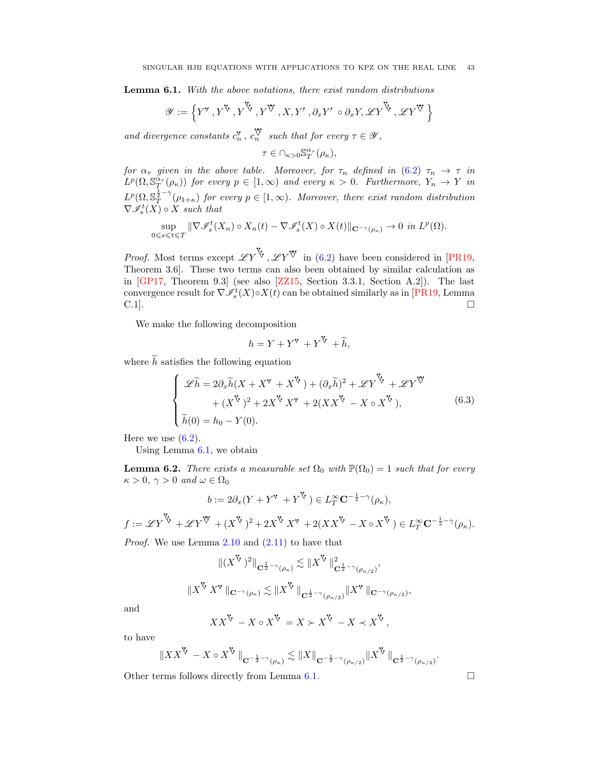<span id="page-42-1"></span>Lemma 6.1. With the above notations, there exist random distributions

$$
\mathscr{Y}:=\left\{\boldsymbol{Y}^{\mathbf{V}}\,,\boldsymbol{Y}^{\mathbf{V}}\,,\boldsymbol{Y}^{\mathbf{V}}\,,\boldsymbol{Y}^{\mathbf{V}}\,,\boldsymbol{X},\boldsymbol{Y}'\,,\partial_x\boldsymbol{Y}'\,\circ\partial_x\boldsymbol{Y},\mathscr{L}\boldsymbol{Y}^{\mathbf{V}}\,,\mathscr{L}\boldsymbol{Y}^{\mathbf{V}}\,\right\}
$$

and divergence constants  $c_n^{\mathbf{v}}$ ,  $c_n^{\mathbf{v}}$  such that for every  $\tau \in \mathcal{Y}$ ,

$$
\tau\in \cap_{\kappa>0}\mathbb{S}^{\alpha_{\tau}}_T(\rho_{\kappa}),
$$

for  $\alpha_{\tau}$  given in the above table. Moreover, for  $\tau_n$  defined in  $(6.2)$   $\tau_n \to \tau$  in  $L^p(\Omega, \mathbb{S}^{\alpha_{\tau}}_T(\rho_{\kappa}))$  for every  $p \in [1,\infty)$  and every  $\kappa > 0$ . Furthermore,  $Y_n \to Y$  in  $L^p(\Omega, \mathbb{S}_T^{\frac{1}{2}-\gamma}(\rho_{1+\kappa})$  for every  $p \in [1,\infty)$ . Moreover, there exist random distribution  $\nabla \mathcal{I}_s^t(X) \circ X$  such that

$$
\sup_{0\leq s\leq t\leq T} \|\nabla \mathcal{I}_s^t(X_n)\circ X_n(t) - \nabla \mathcal{I}_s^t(X)\circ X(t)\|_{\mathbf{C}^{-\gamma}(\rho_{\kappa})}\to 0 \text{ in } L^p(\Omega).
$$

*Proof.* Most terms except  $\mathscr{L} Y^{\nabla}$ ,  $\mathscr{L} Y^{\nabla}$  in [\(6.2\)](#page-41-2) have been considered in [\[PR19,](#page-48-17) Theorem 3.6]. These two terms can also been obtained by similar calculation as in  $[GP17, Theorem 9.3]$  (see also  $[ZZ15, Section 3.3.1, Section A.2]$ ). The last convergence result for  $\nabla \mathcal{I}_s^t(X) \circ X(t)$  can be obtained similarly as in [\[PR19,](#page-48-17) Lemma  $\Box$ 

We make the following decomposition

$$
h = Y + Y^{\mathbf{v}} + Y^{\mathbf{v}} + \widetilde{h},
$$

where  $\tilde{h}$  satisfies the following equation

<span id="page-42-0"></span>
$$
\begin{cases}\n\mathscr{L}\widetilde{h} = 2\partial_x \widetilde{h}(X + X^{\mathbf{v}} + X^{\mathbf{v}}) + (\partial_x \widetilde{h})^2 + \mathscr{L}Y^{\mathbf{v}} + \mathscr{L}Y^{\mathbf{v}} \\
+ (X^{\mathbf{v}})^2 + 2X^{\mathbf{v}}X^{\mathbf{v}} + 2(XX^{\mathbf{v}} - X \circ X^{\mathbf{v}}), \\
\widetilde{h}(0) = h_0 - Y(0).\n\end{cases} \tag{6.3}
$$

Here we use  $(6.2)$ .

Using Lemma [6.1,](#page-42-1) we obtain

<span id="page-42-2"></span>**Lemma 6.2.** There exists a measurable set  $\Omega_0$  with  $\mathbb{P}(\Omega_0) = 1$  such that for every  $\kappa > 0$ ,  $\gamma > 0$  and  $\omega \in \Omega_0$ 

$$
b := 2\partial_x (Y + Y^{\mathbf{v}} + Y^{\mathbf{v}}) \in L_T^{\infty} \mathbf{C}^{-\frac{1}{2} - \gamma}(\rho_{\kappa}),
$$
  

$$
f := \mathscr{L}Y^{\mathbf{v}} + \mathscr{L}Y^{\mathbf{w}} + (X^{\mathbf{v}})^2 + 2X^{\mathbf{v}} X^{\mathbf{v}} + 2(XX^{\mathbf{v}} - X \circ X^{\mathbf{v}}) \in L_T^{\infty} \mathbf{C}^{-\frac{1}{2} - \gamma}(\rho_{\kappa}).
$$

Proof. We use Lemma [2.10](#page-10-6) and [\(2.11\)](#page-9-1) to have that

$$
\|(X^{\mathbf{V}})^2\|_{\mathbf{C}^{\frac{1}{2}-\gamma}(\rho_{\kappa})} \lesssim \|X^{\mathbf{V}}\|_{\mathbf{C}^{\frac{1}{2}-\gamma}(\rho_{\kappa/2})}^2,
$$
  

$$
\|X^{\mathbf{V}}X^{\mathbf{v}}\|_{\mathbf{C}^{-\gamma}(\rho_{\kappa})} \lesssim \|X^{\mathbf{V}}\|_{\mathbf{C}^{\frac{1}{2}-\gamma}(\rho_{\kappa/2})} \|X^{\mathbf{v}}\|_{\mathbf{C}^{-\gamma}(\rho_{\kappa/2})},
$$

and

$$
XX^{\mathbf{V}} - X \circ X^{\mathbf{V}} = X \succ X^{\mathbf{V}} - X \prec X^{\mathbf{V}},
$$

to have

$$
\left\|XX^\mathbb{V}\right\| - X\circ X^\mathbb{V}\left\|_{\mathbf{C}^{-\frac{1}{2}-\gamma}(\rho_\kappa)}\lesssim \|X\|_{\mathbf{C}^{-\frac{1}{2}-\gamma}(\rho_{\kappa/2})} \|X^\mathbb{V}\right\|_{\mathbf{C}^{\frac{1}{2}-\gamma}(\rho_{\kappa/2})}.
$$

Other terms follows directly from Lemma [6.1.](#page-42-1)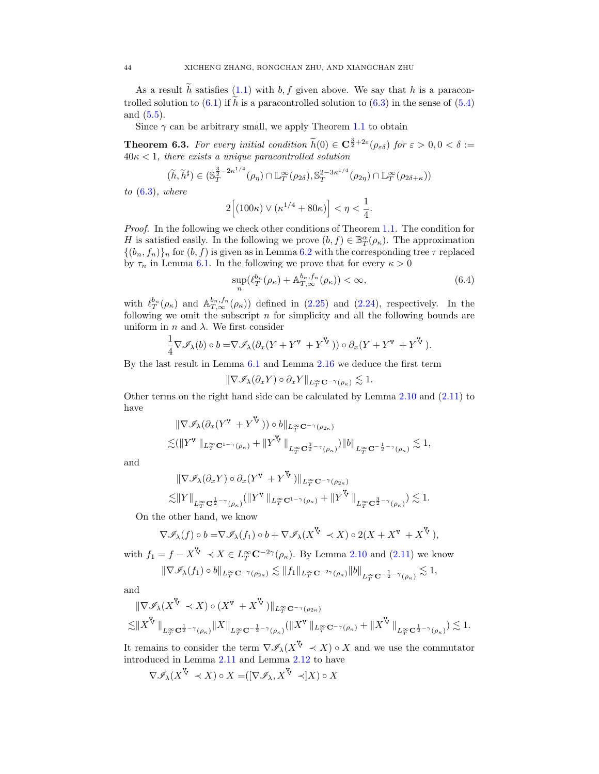As a result  $\tilde{h}$  satisfies [\(1.1\)](#page-1-1) with b, f given above. We say that h is a paracontrolled solution to  $(6.1)$  if  $\widetilde{h}$  is a paracontrolled solution to  $(6.3)$  in the sense of  $(5.4)$ and [\(5.5\)](#page-34-3).

Since  $\gamma$  can be arbitrary small, we apply Theorem [1.1](#page-3-2) to obtain

<span id="page-43-0"></span>**Theorem 6.3.** For every initial condition  $\tilde{h}(0) \in \mathbb{C}^{\frac{3}{2}+2\varepsilon}(\rho_{\varepsilon\delta})$  for  $\varepsilon > 0, 0 < \delta :=$  $40\kappa < 1$ , there exists a unique paracontrolled solution

$$
(\widetilde{h}, \widetilde{h}^{\sharp}) \in (\mathbb{S}_T^{\frac{3}{2}-2\kappa^{1/4}}(\rho_{\eta}) \cap \mathbb{L}_T^{\infty}(\rho_{2\delta}), \mathbb{S}_T^{2-3\kappa^{1/4}}(\rho_{2\eta}) \cap \mathbb{L}_T^{\infty}(\rho_{2\delta+\kappa}))
$$

to  $(6.3)$ , where

$$
2\Big[(100\kappa)\vee(\kappa^{1/4}+80\kappa)\Big]<\eta<\frac{1}{4}.
$$

Proof. In the following we check other conditions of Theorem [1.1.](#page-3-2) The condition for H is satisfied easily. In the following we prove  $(b, f) \in \mathbb{B}^{\alpha}_{T}(\rho_{\kappa})$ . The approximation  $\{(b_n, f_n)\}_n$  for  $(b, f)$  is given as in Lemma [6.2](#page-42-2) with the corresponding tree  $\tau$  replaced by  $\tau_n$  in Lemma [6.1.](#page-42-1) In the following we prove that for every  $\kappa > 0$ 

<span id="page-43-1"></span>
$$
\sup_{n} (\ell_T^{b_n}(\rho_\kappa) + \mathbb{A}_{T,\infty}^{b_n, f_n}(\rho_\kappa)) < \infty,\tag{6.4}
$$

with  $\ell_T^{b_n}(\rho_\kappa)$  and  $\mathbb{A}_{T,\infty}^{b_n,f_n}(\rho_\kappa)$  defined in [\(2.25\)](#page-12-6) and [\(2.24\)](#page-12-7), respectively. In the following we omit the subscript  $n$  for simplicity and all the following bounds are uniform in  $n$  and  $\lambda$ . We first consider

$$
\frac{1}{4}\nabla \mathscr{I}_{\lambda}(b) \circ b = \nabla \mathscr{I}_{\lambda}(\partial_x(Y+Y^{\mathbf{v}}+Y^{\mathbf{v}})) \circ \partial_x(Y+Y^{\mathbf{v}}+Y^{\mathbf{v}}).
$$

By the last result in Lemma [6.1](#page-42-1) and Lemma [2.16](#page-13-2) we deduce the first term

$$
\|\nabla \mathscr{I}_{\lambda}(\partial_x Y)\circ \partial_x Y\|_{L^\infty_T\mathbf{C}^{-\gamma}(\rho_\kappa)}\lesssim 1.
$$

Other terms on the right hand side can be calculated by Lemma [2.10](#page-10-6) and [\(2.11\)](#page-9-1) to have

$$
\|\nabla \mathscr{I}_{\lambda}(\partial_x (Y^{\mathbf{v}} + Y^{\mathbf{V}})) \circ b\|_{L_T^{\infty} \mathbf{C}^{-\gamma}(\rho_{2\kappa})}
$$
  

$$
\lesssim (\|Y^{\mathbf{v}}\|_{L_T^{\infty} \mathbf{C}^{1-\gamma}(\rho_{\kappa})} + \|Y^{\mathbf{V}}\|_{L_T^{\infty} \mathbf{C}^{\frac{3}{2}-\gamma}(\rho_{\kappa})}) \|b\|_{L_T^{\infty} \mathbf{C}^{-\frac{1}{2}-\gamma}(\rho_{\kappa})} \lesssim 1,
$$

and

$$
\|\nabla \mathscr{I}_{\lambda}(\partial_x Y) \circ \partial_x (Y^{\mathbf{v}} + Y^{\mathbf{V}})\|_{L_T^{\infty} \mathbf{C}^{-\gamma}(\rho_{2\kappa})}\n\n\lesssim \|Y\|_{L_T^{\infty} \mathbf{C}^{\frac{1}{2}-\gamma}(\rho_{\kappa})} (\|Y^{\mathbf{v}}\|_{L_T^{\infty} \mathbf{C}^{1-\gamma}(\rho_{\kappa})} + \|Y^{\mathbf{V}}\|_{L_T^{\infty} \mathbf{C}^{\frac{3}{2}-\gamma}(\rho_{\kappa})}) \lesssim 1.
$$

On the other hand, we know

$$
\nabla \mathscr{I}_{\lambda}(f) \circ b = \nabla \mathscr{I}_{\lambda}(f_1) \circ b + \nabla \mathscr{I}_{\lambda}(X^{\mathbf{V}} \prec X) \circ 2(X + X^{\mathbf{V}} + X^{\mathbf{V}}),
$$

with  $f_1 = f - X^{\vee} \prec X \in L_T^{\infty} \mathbb{C}^{-2\gamma}(\rho_{\kappa})$ . By Lemma [2.10](#page-10-6) and [\(2.11\)](#page-9-1) we know

$$
\|\nabla \mathscr I_\lambda(f_1)\circ b\|_{L^\infty_T\mathbf C^{-\gamma}(\rho_{2\kappa})}\lesssim \|f_1\|_{L^\infty_T\mathbf C^{-2\gamma}(\rho_\kappa)}\|b\|_{L^\infty_T\mathbf C^{-\frac12-\gamma}(\rho_\kappa)}\lesssim 1,
$$

and

$$
\begin{split} \|\nabla \mathscr{I}_{\lambda}(X^{\mathbf{V}} \prec X) \circ (X^{\mathbf{v}} + X^{\mathbf{V}})\|_{L^{\infty}_{T}C^{-\gamma}(\rho_{2\kappa})} \\ \lesssim & \|X^{\mathbf{V}}\|_{L^{\infty}_{T}C^{\frac{1}{2}-\gamma}(\rho_{\kappa})} \|X\|_{L^{\infty}_{T}C^{-\frac{1}{2}-\gamma}(\rho_{\kappa})} (\|X^{\mathbf{V}}\|_{L^{\infty}_{T}C^{-\gamma}(\rho_{\kappa})} + \|X^{\mathbf{V}}\|_{L^{\infty}_{T}C^{\frac{1}{2}-\gamma}(\rho_{\kappa})}) \lesssim 1. \end{split}
$$

It remains to consider the term  $\nabla \mathscr{I}_{\lambda}(X^{\mathbf{V}} \prec X) \circ X$  and we use the commutator introduced in Lemma [2.11](#page-10-7) and Lemma [2.12](#page-11-3) to have

$$
\nabla \mathscr{I}_{\lambda}(X^{\mathsf{V}} \prec X) \circ X = ([\nabla \mathscr{I}_{\lambda}, X^{\mathsf{V}} \prec] X) \circ X
$$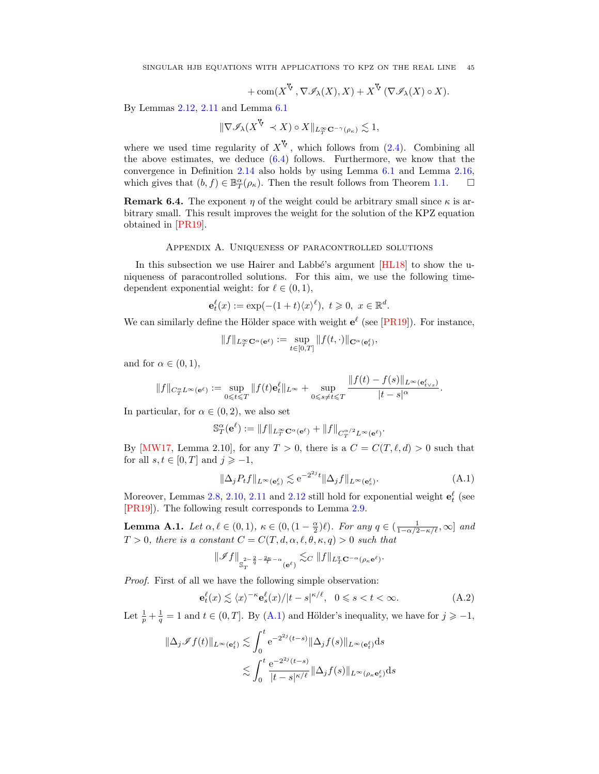SINGULAR HJB EQUATIONS WITH APPLICATIONS TO KPZ ON THE REAL LINE 45

+ 
$$
\text{com}(X^{\mathbf{V}}, \nabla \mathcal{I}_{\lambda}(X), X) + X^{\mathbf{V}}(\nabla \mathcal{I}_{\lambda}(X) \circ X).
$$

By Lemmas [2.12,](#page-11-3) [2.11](#page-10-7) and Lemma [6.1](#page-42-1)

$$
\|\nabla \mathscr{I}_{\lambda}(X^{\mathsf{V}} \prec X) \circ X\|_{L^{\infty}_T \mathbf{C}^{-\gamma}(\rho_{\kappa})} \lesssim 1,
$$

where we used time regularity of  $X^V$ , which follows from [\(2.4\)](#page-7-1). Combining all the above estimates, we deduce  $(6.4)$  follows. Furthermore, we know that the convergence in Definition [2.14](#page-12-1) also holds by using Lemma [6.1](#page-42-1) and Lemma [2.16,](#page-13-2) which gives that  $(b, f) \in \mathbb{B}^{\alpha}_{T}(\rho_{\kappa})$ . Then the result follows from Theorem [1.1.](#page-3-2)  $\Box$ 

**Remark 6.4.** The exponent  $\eta$  of the weight could be arbitrary small since  $\kappa$  is arbitrary small. This result improves the weight for the solution of the KPZ equation obtained in [\[PR19\]](#page-48-17).

Appendix A. Uniqueness of paracontrolled solutions

<span id="page-44-0"></span>In this subsection we use Hairer and Labbé's argument [\[HL18\]](#page-48-13) to show the uniqueness of paracontrolled solutions. For this aim, we use the following timedependent exponential weight: for  $\ell \in (0, 1)$ ,

$$
\mathbf{e}_t^{\ell}(x) := \exp(-(1+t)\langle x \rangle^{\ell}), \ t \geqslant 0, \ x \in \mathbb{R}^d.
$$

We can similarly define the Hölder space with weight  $e^{\ell}$  (see [\[PR19\]](#page-48-17)). For instance,

$$
||f||_{L_T^{\infty} \mathbf{C}^{\alpha}(\mathbf{e}^{\ell})} := \sup_{t \in [0,T]} ||f(t, \cdot)||_{\mathbf{C}^{\alpha}(\mathbf{e}_t^{\ell})},
$$

and for  $\alpha \in (0,1)$ ,

$$
\|f\|_{C_T^{\alpha}L^{\infty}(\mathbf{e}^{\ell})} := \sup_{0 \leqslant t \leqslant T} \|f(t)\mathbf{e}_t^{\ell}\|_{L^{\infty}} + \sup_{0 \leqslant s \neq t \leqslant T} \frac{\|f(t) - f(s)\|_{L^{\infty}(\mathbf{e}_{t \vee s}^{\ell})}}{|t - s|^{\alpha}}.
$$

In particular, for  $\alpha \in (0, 2)$ , we also set

$$
\mathbb{S}_T^{\alpha}(\mathbf{e}^{\ell}) := \|f\|_{L_T^{\infty} \mathbf{C}^{\alpha}(\mathbf{e}^{\ell})} + \|f\|_{C_T^{\alpha/2} L^{\infty}(\mathbf{e}^{\ell})}.
$$

By [\[MW17,](#page-48-14) Lemma 2.10], for any  $T > 0$ , there is a  $C = C(T, \ell, d) > 0$  such that for all  $s, t \in [0, T]$  and  $j \geq -1$ ,

<span id="page-44-1"></span>
$$
\|\Delta_j P_t f\|_{L^\infty(\mathbf{e}_s^\ell)} \lesssim e^{-2^{2j}t} \|\Delta_j f\|_{L^\infty(\mathbf{e}_s^\ell)}.\tag{A.1}
$$

Moreover, Lemmas [2.8,](#page-8-7) [2.10,](#page-10-6) [2.11](#page-10-7) and [2.12](#page-11-3) still hold for exponential weight  $\mathbf{e}_t^{\ell}$  (see [\[PR19\]](#page-48-17)). The following result corresponds to Lemma [2.9.](#page-9-2)

<span id="page-44-3"></span>**Lemma A.1.** Let  $\alpha, \ell \in (0, 1)$ ,  $\kappa \in (0, (1 - \frac{\alpha}{2})\ell)$ . For any  $q \in (\frac{1}{1 - \alpha/2 - \kappa/\ell}, \infty]$  and  $T > 0$ , there is a constant  $C = C(T, d, \alpha, \ell, \theta, \kappa, q) > 0$  such that

<span id="page-44-2"></span>
$$
\|\mathscr{I}f\|_{\mathbb{S}^{\frac{2}{T} - \frac{2}{q} - \frac{2\kappa}{\ell} - \alpha}_{T}(\mathbf{e}^{\ell})} \lesssim_C \|f\|_{L^q_T \mathbf{C}^{-\alpha}(\rho_\kappa \mathbf{e}^\ell)}.
$$

Proof. First of all we have the following simple observation:

$$
\mathbf{e}_t^{\ell}(x) \lesssim \langle x \rangle^{-\kappa} \mathbf{e}_s^{\ell}(x) / |t - s|^{\kappa/\ell}, \ \ 0 \le s < t < \infty.
$$
 (A.2)

Let  $\frac{1}{p} + \frac{1}{q} = 1$  and  $t \in (0, T]$ . By [\(A.1\)](#page-44-1) and Hölder's inequality, we have for  $j \geqslant -1$ ,

$$
\|\Delta_j \mathscr{I} f(t)\|_{L^{\infty}(\mathbf{e}_t^{\ell})} \lesssim \int_0^t e^{-2^{2j}(t-s)} \|\Delta_j f(s)\|_{L^{\infty}(\mathbf{e}_t^{\ell})} ds
$$
  

$$
\lesssim \int_0^t \frac{e^{-2^{2j}(t-s)}}{|t-s|^{\kappa/\ell}} \|\Delta_j f(s)\|_{L^{\infty}(\rho_{\kappa} \mathbf{e}_s^{\ell})} ds
$$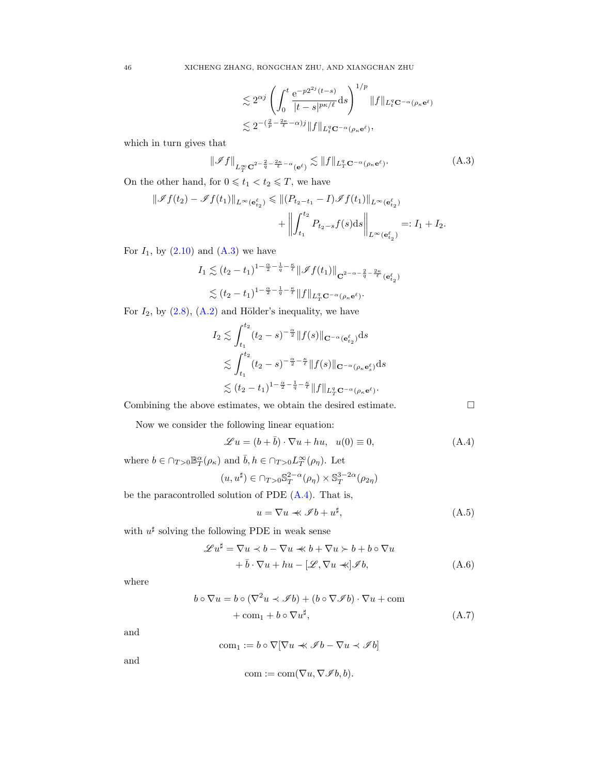<span id="page-45-0"></span>
$$
\lesssim 2^{\alpha j} \left( \int_0^t \frac{e^{-p2^{2j}(t-s)}}{|t-s|^{p\kappa/\ell}} ds \right)^{1/p} ||f||_{L_t^q \mathbf{C}^{-\alpha}(\rho_\kappa \mathbf{e}^\ell)}
$$
  

$$
\lesssim 2^{-(\frac{2}{p} - \frac{2\kappa}{\ell} - \alpha)j} ||f||_{L_t^q \mathbf{C}^{-\alpha}(\rho_\kappa \mathbf{e}^\ell)},
$$

which in turn gives that

$$
\|\mathscr{I}f\|_{L_T^{\infty} \mathbf{C}^{2-\frac{2}{q}-\frac{2\kappa}{\ell}-\alpha}(\mathbf{e}^{\ell})} \lesssim \|f\|_{L_T^q \mathbf{C}^{-\alpha}(\rho_\kappa \mathbf{e}^{\ell})}. \tag{A.3}
$$

On the other hand, for  $0 \leq t_1 < t_2 \leq T$ , we have

$$
\|\mathscr{I}f(t_2) - \mathscr{I}f(t_1)\|_{L^{\infty}(\mathbf{e}_{t_2}^{\ell})} \leq \| (P_{t_2 - t_1} - I)\mathscr{I}f(t_1)\|_{L^{\infty}(\mathbf{e}_{t_2}^{\ell})} + \left\| \int_{t_1}^{t_2} P_{t_2 - s}f(s)ds \right\|_{L^{\infty}(\mathbf{e}_{t_2}^{\ell})} =: I_1 + I_2.
$$

For  $I_1$ , by  $(2.10)$  and  $(A.3)$  we have

$$
I_1 \lesssim (t_2 - t_1)^{1 - \frac{\alpha}{2} - \frac{1}{q} - \frac{\kappa}{\ell}} \|\mathscr{I}f(t_1)\|_{\mathbf{C}^{2 - \alpha - \frac{2}{q} - \frac{2\kappa}{\ell}}(\mathbf{e}_{t_2}^{\ell})}
$$
  
\$\lesssim (t\_2 - t\_1)^{1 - \frac{\alpha}{2} - \frac{1}{q} - \frac{\kappa}{\ell}} \|f\|\_{L\_T^q \mathbf{C}^{-\alpha}(\rho\_\kappa \mathbf{e}^{\ell})}.

For  $I_2$ , by  $(2.8)$ ,  $(A.2)$  and Hölder's inequality, we have

$$
I_2 \lesssim \int_{t_1}^{t_2} (t_2 - s)^{-\frac{\alpha}{2}} \|f(s)\|_{\mathbf{C}^{-\alpha}(\mathbf{e}_{t_2}^\ell)} ds
$$
  
\$\lesssim \int\_{t\_1}^{t\_2} (t\_2 - s)^{-\frac{\alpha}{2} - \frac{\kappa}{\ell}} \|f(s)\|\_{\mathbf{C}^{-\alpha}(\rho\_\kappa \mathbf{e}\_s^\ell)} ds\$  
\$\lesssim (t\_2 - t\_1)^{1 - \frac{\alpha}{2} - \frac{1}{q} - \frac{\kappa}{\ell}} \|f\|\_{L\_T^q \mathbf{C}^{-\alpha}(\rho\_\kappa \mathbf{e}^\ell)}.

Combining the above estimates, we obtain the desired estimate.  $\Box$ 

Now we consider the following linear equation:

$$
\mathcal{L}u = (b + \bar{b}) \cdot \nabla u + hu, \quad u(0) \equiv 0,
$$
\n(A.4)

where  $b \in \bigcap_{T>0} \mathbb{B}^{\alpha}_T(\rho_{\kappa})$  and  $\overline{b}, h \in \bigcap_{T>0} L^{\infty}_T(\rho_{\eta})$ . Let

$$
(u,u^\sharp)\in \cap_{T>0}\mathbb{S}_T^{2-\alpha}(\rho_\eta)\times \mathbb{S}_T^{3-2\alpha}(\rho_{2\eta})
$$

be the paracontrolled solution of PDE [\(A.4\)](#page-45-1). That is,

$$
u = \nabla u \ll \mathcal{I}b + u^{\sharp}, \qquad (A.5)
$$

with  $u^{\sharp}$  solving the following PDE in weak sense

$$
\mathcal{L}u^{\sharp} = \nabla u \prec b - \nabla u \prec b + \nabla u \succ b + b \circ \nabla u + \bar{b} \cdot \nabla u + hu - [\mathcal{L}, \nabla u \prec] \mathcal{I}b,
$$
 (A.6)

where

$$
b \circ \nabla u = b \circ (\nabla^2 u \prec \mathscr{I}b) + (b \circ \nabla \mathscr{I}b) \cdot \nabla u + \text{com} + \text{com}_1 + b \circ \nabla u^{\sharp},
$$
 (A.7)

and

$$
\text{com}_1:=b\circ \nabla[\nabla u \prec\!\!\prec \mathscr{I} b-\nabla u \prec \mathscr{I} b]
$$

and

$$
com := com(\nabla u, \nabla \mathscr{I}b, b).
$$

<span id="page-45-1"></span>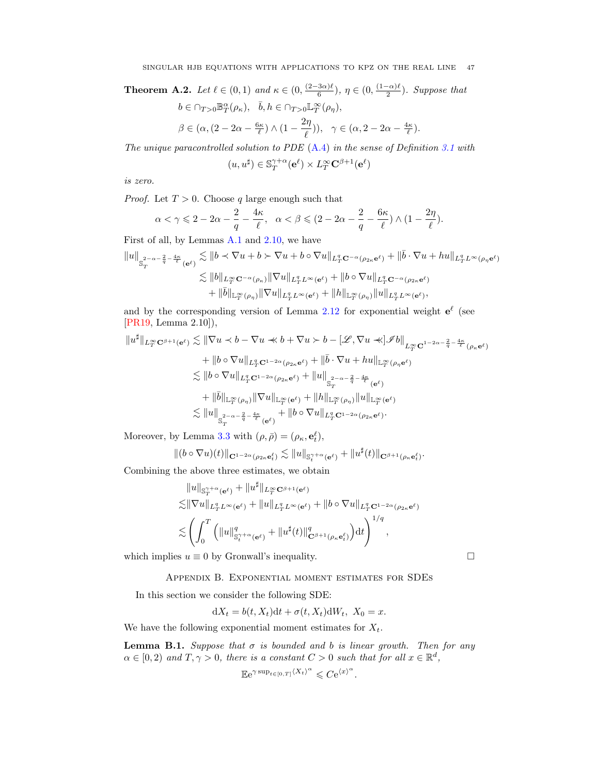<span id="page-46-1"></span>**Theorem A.2.** Let  $\ell \in (0,1)$  and  $\kappa \in (0, \frac{(2-3\alpha)\ell}{6})$  $\frac{3\alpha}{6}$ ,  $\eta \in (0, \frac{(1-\alpha)\ell}{2})$  $\frac{(-\alpha)\ell}{2}$ ). Suppose that

$$
\begin{aligned} &b\in \cap_{T>0} \mathbb{B}^\alpha_T(\rho_\kappa), && \bar b, h\in \cap_{T>0} \mathbb{L}^\infty_T(\rho_\eta),\\ &\beta\in (\alpha, (2-2\alpha-\tfrac{6\kappa}{\ell})\wedge (1-\frac{2\eta}{\ell})), && \gamma\in (\alpha, 2-2\alpha-\tfrac{4\kappa}{\ell}). \end{aligned}
$$

The unique paracontrolled solution to PDE [\(A.4\)](#page-45-1) in the sense of Definition [3.1](#page-15-2) with

$$
(u, u^{\sharp}) \in \mathbb{S}_T^{\gamma + \alpha}(\mathbf{e}^{\ell}) \times L_T^{\infty} \mathbf{C}^{\beta + 1}(\mathbf{e}^{\ell})
$$

is zero.

*Proof.* Let  $T > 0$ . Choose q large enough such that

$$
\alpha<\gamma\leqslant 2-2\alpha-\frac{2}{q}-\frac{4\kappa}{\ell},\quad \alpha<\beta\leqslant(2-2\alpha-\frac{2}{q}-\frac{6\kappa}{\ell})\wedge(1-\frac{2\eta}{\ell}).
$$

First of all, by Lemmas [A.1](#page-44-3) and [2.10,](#page-10-6) we have

$$
\begin{aligned}\|u\|_{\mathbb{S}_T^{2-\alpha-\frac{2}{q}-\frac{4\kappa}{\ell}}(\mathbf{e}^\ell)} &\lesssim \|b\prec \nabla u + b\succ \nabla u + b\circ \nabla u\|_{L^q_T\mathbf{C}^{-\alpha}(\rho_{2\kappa}\mathbf{e}^\ell)} + \|\bar b\cdot \nabla u + h u\|_{L^q_TL^\infty(\rho_\eta\mathbf{e}^\ell)}\\ &\lesssim \|b\|_{L^\infty_T\mathbf{C}^{-\alpha}(\rho_\kappa)} \|\nabla u\|_{L^q_TL^\infty(\mathbf{e}^\ell)} + \|b\circ \nabla u\|_{L^q_T\mathbf{C}^{-\alpha}(\rho_{2\kappa}\mathbf{e}^\ell)}\\ &\quad + \|\bar b\|_{\mathbb{L}^\infty_T(\rho_\eta)} \|\nabla u\|_{L^q_TL^\infty(\mathbf{e}^\ell)} + \|h\|_{\mathbb{L}^\infty_T(\rho_\eta)} \|u\|_{L^q_TL^\infty(\mathbf{e}^\ell)},\end{aligned}
$$

and by the corresponding version of Lemma [2.12](#page-11-3) for exponential weight  $e^{\ell}$  (see [\[PR19,](#page-48-17) Lemma 2.10]),

$$
\|u^{\sharp}\|_{L^{\infty}_{T} \mathbf{C}^{\beta+1}(\mathbf{e}^{\ell})} \lesssim \|\nabla u \prec b - \nabla u \prec b + \nabla u \succ b - [\mathscr{L}, \nabla u \prec \mathscr{J}b]_{L^{\infty}_{T} \mathbf{C}^{1-2\alpha-\frac{2}{q}-\frac{4\kappa}{\ell}}(\rho_{\kappa} \mathbf{e}^{\ell})}
$$
  
+ 
$$
\|b \circ \nabla u\|_{L^{q}_{T} \mathbf{C}^{1-2\alpha}(\rho_{2\kappa} \mathbf{e}^{\ell})} + \|\bar{b} \cdot \nabla u + hu\|_{\mathbb{L}^{\infty}_{T}(\rho_{\eta} \mathbf{e}^{\ell})}
$$
  

$$
\lesssim \|b \circ \nabla u\|_{L^{q}_{T} \mathbf{C}^{1-2\alpha}(\rho_{2\kappa} \mathbf{e}^{\ell})} + \|u\|_{\mathcal{S}^{-\alpha-\frac{2}{q}-\frac{4\kappa}{\ell}}(\mathbf{e}^{\ell})}
$$
  
+ 
$$
\|\bar{b}\|_{\mathbb{L}^{\infty}_{T}(\rho_{\eta})} \|\nabla u\|_{\mathbb{L}^{\infty}_{T}(\mathbf{e}^{\ell})} + \|h\|_{\mathbb{L}^{\infty}_{T}(\rho_{\eta})} \|u\|_{\mathbb{L}^{\infty}_{T}(\mathbf{e}^{\ell})}
$$
  

$$
\lesssim \|u\|_{\mathcal{S}^{-\alpha-\frac{2}{q}-\frac{4\kappa}{\ell}}(\mathbf{e}^{\ell})} + \|b \circ \nabla u\|_{L^{q}_{T} \mathbf{C}^{1-2\alpha}(\rho_{2\kappa} \mathbf{e}^{\ell})}.
$$

Moreover, by Lemma [3.3](#page-15-1) with  $(\rho, \bar{\rho}) = (\rho_{\kappa}, \mathbf{e}_t^{\ell}),$ 

$$
\|(b\circ\nabla u)(t)\|_{\mathbf{C}^{1-2\alpha}(\rho_{2\kappa}\mathbf{e}^{\ell}_{t})}\lesssim \|u\|_{\mathbb{S}^{\gamma+\alpha}_t(\mathbf{e}^{\ell})}+\|u^{\sharp}(t)\|_{\mathbf{C}^{\beta+1}(\rho_{\kappa}\mathbf{e}^{\ell}_{t})}.
$$

Combining the above three estimates, we obtain

$$
\label{eq:20} \begin{split} &\|u\|_{\mathbb{S}_T^{\gamma+\alpha}(\mathbf{e}^\ell)}+\|u^\sharp\|_{L^\infty_T\mathbf{C}^{\beta+1}(\mathbf{e}^\ell)}\\ \lesssim& \|\nabla u\|_{L^q_TL^\infty(\mathbf{e}^\ell)}+\|u\|_{L^q_TL^\infty(\mathbf{e}^\ell)}+\|b\circ\nabla u\|_{L^q_T\mathbf{C}^{1-2\alpha}(\rho_{2\kappa}\mathbf{e}^\ell)}\\ \lesssim& \left(\int_0^T\left(\|u\|_{\mathbb{S}_t^{\gamma+\alpha}(\mathbf{e}^\ell)}^q+\|u^\sharp(t)\|_{\mathbf{C}^{\beta+1}(\rho_\kappa\mathbf{e}^\ell_t)}^q\right)\!\mathrm{d} t\right)^{1/q}, \end{split}
$$

<span id="page-46-0"></span>which implies  $u \equiv 0$  by Gronwall's inequality.  $\Box$ 

Appendix B. Exponential moment estimates for SDEs

In this section we consider the following SDE:

$$
dX_t = b(t, X_t)dt + \sigma(t, X_t)dW_t, X_0 = x.
$$

We have the following exponential moment estimates for  $X_t$ .

<span id="page-46-2"></span>**Lemma B.1.** Suppose that  $\sigma$  is bounded and b is linear growth. Then for any  $\alpha \in [0,2)$  and  $T, \gamma > 0$ , there is a constant  $C > 0$  such that for all  $x \in \mathbb{R}^d$ ,

$$
\mathbb{E}e^{\gamma \sup_{t \in [0,T]} \langle X_t \rangle^{\alpha}} \leqslant C e^{\langle x \rangle^{\alpha}}.
$$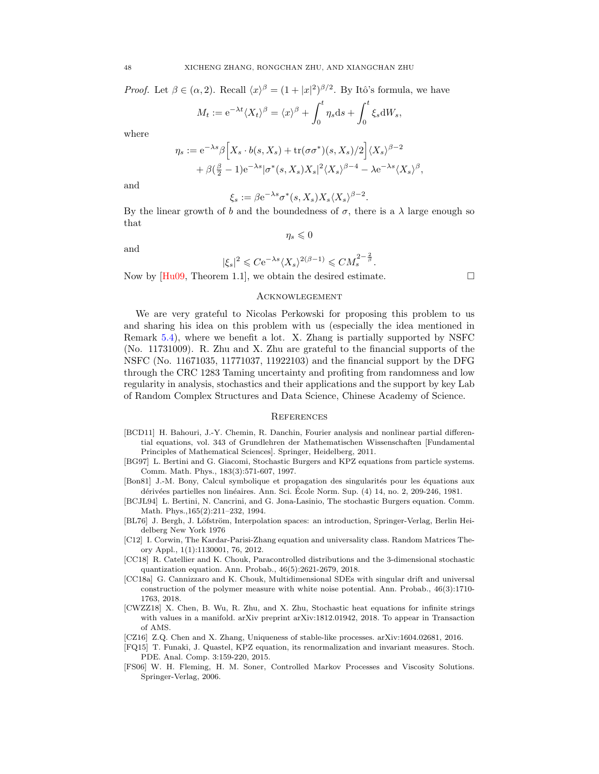*Proof.* Let  $\beta \in (\alpha, 2)$ . Recall  $\langle x \rangle^{\beta} = (1 + |x|^2)^{\beta/2}$ . By Itô's formula, we have

$$
M_t := e^{-\lambda t} \langle X_t \rangle^{\beta} = \langle x \rangle^{\beta} + \int_0^t \eta_s ds + \int_0^t \xi_s dW_s,
$$

where

$$
\eta_s := e^{-\lambda s} \beta \Big[ X_s \cdot b(s, X_s) + \text{tr}(\sigma \sigma^*)(s, X_s)/2 \Big] \langle X_s \rangle^{\beta - 2} + \beta \big( \frac{\beta}{2} - 1 \big) e^{-\lambda s} |\sigma^*(s, X_s) X_s|^2 \langle X_s \rangle^{\beta - 4} - \lambda e^{-\lambda s} \langle X_s \rangle^{\beta},
$$

and

$$
\xi_s := \beta \mathrm{e}^{-\lambda s} \sigma^*(s, X_s) X_s \langle X_s \rangle^{\beta - 2}.
$$

By the linear growth of b and the boundedness of  $\sigma$ , there is a  $\lambda$  large enough so that  $\eta_s \leqslant 0$ 

and

$$
|\xi_s|^2 \leqslant C \mathrm{e}^{-\lambda s} \langle X_s \rangle^{2(\beta - 1)} \leqslant C M_s^{2 - \frac{2}{\beta}}.
$$

Now by  $[Hu09, Theorem 1.1]$ , we obtain the desired estimate.

### <span id="page-47-0"></span>**ACKNOWLEGEMENT**

We are very grateful to Nicolas Perkowski for proposing this problem to us and sharing his idea on this problem with us (especially the idea mentioned in Remark [5.4\)](#page-37-4), where we benefit a lot. X. Zhang is partially supported by NSFC (No. 11731009). R. Zhu and X. Zhu are grateful to the financial supports of the NSFC (No. 11671035, 11771037, 11922103) and the financial support by the DFG through the CRC 1283 Taming uncertainty and profiting from randomness and low regularity in analysis, stochastics and their applications and the support by key Lab of Random Complex Structures and Data Science, Chinese Academy of Science.

#### <span id="page-47-1"></span>**REFERENCES**

- <span id="page-47-8"></span>[BCD11] H. Bahouri, J.-Y. Chemin, R. Danchin, Fourier analysis and nonlinear partial differential equations, vol. 343 of Grundlehren der Mathematischen Wissenschaften [Fundamental Principles of Mathematical Sciences]. Springer, Heidelberg, 2011.
- <span id="page-47-4"></span>[BG97] L. Bertini and G. Giacomi, Stochastic Burgers and KPZ equations from particle systems. Comm. Math. Phys., 183(3):571-607, 1997.
- <span id="page-47-9"></span>[Bon81] J.-M. Bony, Calcul symbolique et propagation des singularités pour les équations aux dérivées partielles non linéaires. Ann. Sci. École Norm. Sup. (4) 14, no. 2, 209-246, 1981.
- <span id="page-47-5"></span>[BCJL94] L. Bertini, N. Cancrini, and G. Jona-Lasinio, The stochastic Burgers equation. Comm. Math. Phys.,165(2):211–232, 1994.
- <span id="page-47-11"></span>[BL76] J. Bergh, J. Löfström, Interpolation spaces: an introduction, Springer-Verlag, Berlin Heidelberg New York 1976
- <span id="page-47-3"></span>[C12] I. Corwin, The Kardar-Parisi-Zhang equation and universality class. Random Matrices Theory Appl., 1(1):1130001, 76, 2012.
- <span id="page-47-10"></span>[CC18] R. Catellier and K. Chouk, Paracontrolled distributions and the 3-dimensional stochastic quantization equation. Ann. Probab., 46(5):2621-2679, 2018.
- <span id="page-47-7"></span>[CC18a] G. Cannizzaro and K. Chouk, Multidimensional SDEs with singular drift and universal construction of the polymer measure with white noise potential. Ann. Probab., 46(3):1710- 1763, 2018.
- <span id="page-47-6"></span>[CWZZ18] X. Chen, B. Wu, R. Zhu, and X. Zhu, Stochastic heat equations for infinite strings with values in a manifold. arXiv preprint arXiv:1812.01942, 2018. To appear in Transaction of AMS.
- <span id="page-47-12"></span>[CZ16] Z.Q. Chen and X. Zhang, Uniqueness of stable-like processes. arXiv:1604.02681, 2016.
- <span id="page-47-13"></span>[FQ15] T. Funaki, J. Quastel, KPZ equation, its renormalization and invariant measures. Stoch. PDE. Anal. Comp. 3:159-220, 2015.
- <span id="page-47-2"></span>[FS06] W. H. Fleming, H. M. Soner, Controlled Markov Processes and Viscosity Solutions. Springer-Verlag, 2006.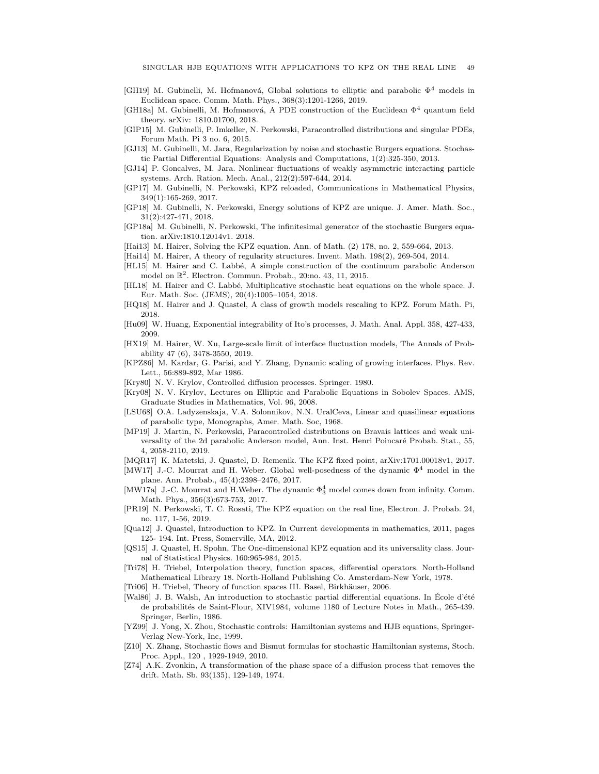- <span id="page-48-16"></span>[GH19] M. Gubinelli, M. Hofmanová, Global solutions to elliptic and parabolic  $\Phi^4$  models in Euclidean space. Comm. Math. Phys., 368(3):1201-1266, 2019.
- <span id="page-48-24"></span>[GH18a] M. Gubinelli, M. Hofmanová, A PDE construction of the Euclidean  $\Phi^4$  quantum field theory. arXiv: 1810.01700, 2018.
- <span id="page-48-0"></span>[GIP15] M. Gubinelli, P. Imkeller, N. Perkowski, Paracontrolled distributions and singular PDEs, Forum Math. Pi 3 no. 6, 2015.
- <span id="page-48-19"></span>[GJ13] M. Gubinelli, M. Jara, Regularization by noise and stochastic Burgers equations. Stochastic Partial Differential Equations: Analysis and Computations, 1(2):325-350, 2013.
- <span id="page-48-18"></span>[GJ14] P. Goncalves, M. Jara. Nonlinear fluctuations of weakly asymmetric interacting particle systems. Arch. Ration. Mech. Anal., 212(2):597-644, 2014.
- <span id="page-48-11"></span>[GP17] M. Gubinelli, N. Perkowski, KPZ reloaded, Communications in Mathematical Physics, 349(1):165-269, 2017.
- <span id="page-48-20"></span>[GP18] M. Gubinelli, N. Perkowski, Energy solutions of KPZ are unique. J. Amer. Math. Soc., 31(2):427-471, 2018.
- <span id="page-48-21"></span>[GP18a] M. Gubinelli, N. Perkowski, The infinitesimal generator of the stochastic Burgers equation. arXiv:1810.12014v1. 2018.
- <span id="page-48-9"></span>[Hai13] M. Hairer, Solving the KPZ equation. Ann. of Math. (2) 178, no. 2, 559-664, 2013.
- <span id="page-48-10"></span>[Hai14] M. Hairer, A theory of regularity structures. Invent. Math. 198(2), 269-504, 2014.
- <span id="page-48-12"></span>[HL15] M. Hairer and C. Labbé, A simple construction of the continuum parabolic Anderson model on  $\mathbb{R}^2$ . Electron. Commun. Probab., 20:no. 43, 11, 2015.
- <span id="page-48-13"></span>[HL18] M. Hairer and C. Labbé, Multiplicative stochastic heat equations on the whole space. J. Eur. Math. Soc. (JEMS), 20(4):1005–1054, 2018.
- <span id="page-48-6"></span>[HQ18] M. Hairer and J. Quastel, A class of growth models rescaling to KPZ. Forum Math. Pi, 2018.
- <span id="page-48-29"></span>[Hu09] W. Huang, Exponential integrability of Ito's processes, J. Math. Anal. Appl. 358, 427-433, 2009.
- <span id="page-48-7"></span>[HX19] M. Hairer, W. Xu, Large-scale limit of interface fluctuation models, The Annals of Probability 47 (6), 3478-3550, 2019.
- <span id="page-48-3"></span>[KPZ86] M. Kardar, G. Parisi, and Y. Zhang, Dynamic scaling of growing interfaces. Phys. Rev. Lett., 56:889-892, Mar 1986.
- <span id="page-48-1"></span>[Kry80] N. V. Krylov, Controlled diffusion processes. Springer. 1980.
- <span id="page-48-25"></span>[Kry08] N. V. Krylov, Lectures on Elliptic and Parabolic Equations in Sobolev Spaces. AMS, Graduate Studies in Mathematics, Vol. 96, 2008.
- <span id="page-48-22"></span>[LSU68] O.A. Ladyzenskaja, V.A. Solonnikov, N.N. UralCeva, Linear and quasilinear equations of parabolic type, Monographs, Amer. Math. Soc, 1968.
- [MP19] J. Martin, N. Perkowski, Paracontrolled distributions on Bravais lattices and weak universality of the 2d parabolic Anderson model, Ann. Inst. Henri Poincaré Probab. Stat., 55, 4, 2058-2110, 2019.
- <span id="page-48-5"></span>[MQR17] K. Matetski, J. Quastel, D. Remenik. The KPZ fixed point, arXiv:1701.00018v1, 2017.
- <span id="page-48-14"></span>[MW17] J.-C. Mourrat and H. Weber. Global well-posedness of the dynamic  $\Phi^4$  model in the plane. Ann. Probab., 45(4):2398–2476, 2017.
- <span id="page-48-15"></span>[MW17a] J.-C. Mourrat and H.Weber. The dynamic  $\Phi_3^4$  model comes down from infinity. Comm. Math. Phys., 356(3):673-753, 2017.
- <span id="page-48-17"></span>[PR19] N. Perkowski, T. C. Rosati, The KPZ equation on the real line, Electron. J. Probab. 24, no. 117, 1-56, 2019.
- <span id="page-48-4"></span>[Qua12] J. Quastel, Introduction to KPZ. In Current developments in mathematics, 2011, pages 125- 194. Int. Press, Somerville, MA, 2012.
- <span id="page-48-28"></span>[QS15] J. Quastel, H. Spohn, The One-dimensional KPZ equation and its universality class. Journal of Statistical Physics. 160:965-984, 2015.
- [Tri78] H. Triebel, Interpolation theory, function spaces, differential operators. North-Holland Mathematical Library 18. North-Holland Publishing Co. Amsterdam-New York, 1978.
- <span id="page-48-23"></span>[Tri06] H. Triebel, Theory of function spaces III. Basel, Birkhäuser, 2006.
- <span id="page-48-8"></span>[Wal86] J. B. Walsh, An introduction to stochastic partial differential equations. In École d'été de probabilités de Saint-Flour, XIV1984, volume 1180 of Lecture Notes in Math., 265-439. Springer, Berlin, 1986.
- <span id="page-48-2"></span>[YZ99] J. Yong, X. Zhou, Stochastic controls: Hamiltonian systems and HJB equations, Springer-Verlag New-York, Inc, 1999.
- <span id="page-48-26"></span>[Z10] X. Zhang, Stochastic flows and Bismut formulas for stochastic Hamiltonian systems, Stoch. Proc. Appl., 120 , 1929-1949, 2010.
- <span id="page-48-27"></span>[Z74] A.K. Zvonkin, A transformation of the phase space of a diffusion process that removes the drift. Math. Sb. 93(135), 129-149, 1974.